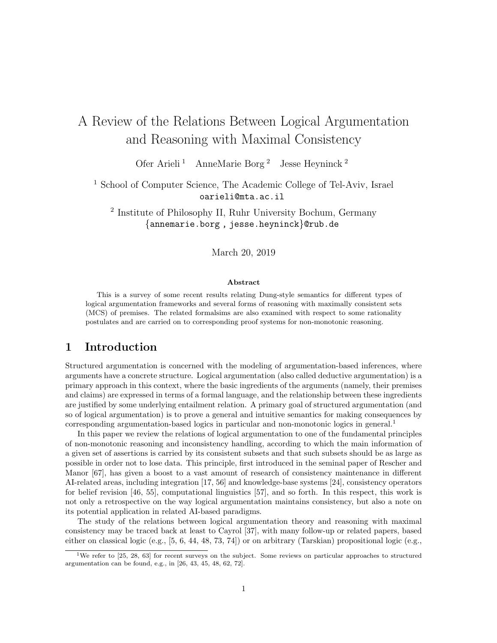# A Review of the Relations Between Logical Argumentation and Reasoning with Maximal Consistency

Ofer Arieli <sup>1</sup> AnneMarie Borg <sup>2</sup> Jesse Heyninck <sup>2</sup>

<sup>1</sup> School of Computer Science, The Academic College of Tel-Aviv, Israel oarieli@mta.ac.il

2 Institute of Philosophy II, Ruhr University Bochum, Germany {annemarie.borg , jesse.heyninck}@rub.de

March 20, 2019

#### Abstract

This is a survey of some recent results relating Dung-style semantics for different types of logical argumentation frameworks and several forms of reasoning with maximally consistent sets (MCS) of premises. The related formalsims are also examined with respect to some rationality postulates and are carried on to corresponding proof systems for non-monotonic reasoning.

## 1 Introduction

Structured argumentation is concerned with the modeling of argumentation-based inferences, where arguments have a concrete structure. Logical argumentation (also called deductive argumentation) is a primary approach in this context, where the basic ingredients of the arguments (namely, their premises and claims) are expressed in terms of a formal language, and the relationship between these ingredients are justified by some underlying entailment relation. A primary goal of structured argumentation (and so of logical argumentation) is to prove a general and intuitive semantics for making consequences by corresponding argumentation-based logics in particular and non-monotonic logics in general.<sup>1</sup>

In this paper we review the relations of logical argumentation to one of the fundamental principles of non-monotonic reasoning and inconsistency handling, according to which the main information of a given set of assertions is carried by its consistent subsets and that such subsets should be as large as possible in order not to lose data. This principle, first introduced in the seminal paper of Rescher and Manor [67], has given a boost to a vast amount of research of consistency maintenance in different AI-related areas, including integration [17, 56] and knowledge-base systems [24], consistency operators for belief revision [46, 55], computational linguistics [57], and so forth. In this respect, this work is not only a retrospective on the way logical argumentation maintains consistency, but also a note on its potential application in related AI-based paradigms.

The study of the relations between logical argumentation theory and reasoning with maximal consistency may be traced back at least to Cayrol [37], with many follow-up or related papers, based either on classical logic (e.g., [5, 6, 44, 48, 73, 74]) or on arbitrary (Tarskian) propositional logic (e.g.,

<sup>&</sup>lt;sup>1</sup>We refer to [25, 28, 63] for recent surveys on the subject. Some reviews on particular approaches to structured argumentation can be found, e.g., in [26, 43, 45, 48, 62, 72].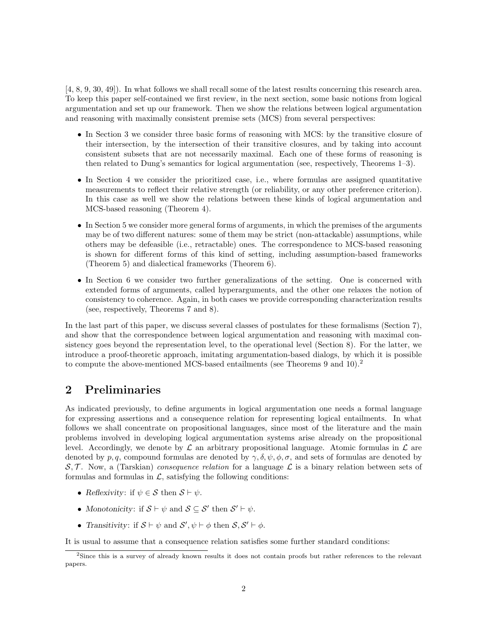[4, 8, 9, 30, 49]). In what follows we shall recall some of the latest results concerning this research area. To keep this paper self-contained we first review, in the next section, some basic notions from logical argumentation and set up our framework. Then we show the relations between logical argumentation and reasoning with maximally consistent premise sets (MCS) from several perspectives:

- In Section 3 we consider three basic forms of reasoning with MCS: by the transitive closure of their intersection, by the intersection of their transitive closures, and by taking into account consistent subsets that are not necessarily maximal. Each one of these forms of reasoning is then related to Dung's semantics for logical argumentation (see, respectively, Theorems 1–3).
- In Section 4 we consider the prioritized case, i.e., where formulas are assigned quantitative measurements to reflect their relative strength (or reliability, or any other preference criterion). In this case as well we show the relations between these kinds of logical argumentation and MCS-based reasoning (Theorem 4).
- In Section 5 we consider more general forms of arguments, in which the premises of the arguments may be of two different natures: some of them may be strict (non-attackable) assumptions, while others may be defeasible (i.e., retractable) ones. The correspondence to MCS-based reasoning is shown for different forms of this kind of setting, including assumption-based frameworks (Theorem 5) and dialectical frameworks (Theorem 6).
- In Section 6 we consider two further generalizations of the setting. One is concerned with extended forms of arguments, called hyperarguments, and the other one relaxes the notion of consistency to coherence. Again, in both cases we provide corresponding characterization results (see, respectively, Theorems 7 and 8).

In the last part of this paper, we discuss several classes of postulates for these formalisms (Section 7), and show that the correspondence between logical argumentation and reasoning with maximal consistency goes beyond the representation level, to the operational level (Section 8). For the latter, we introduce a proof-theoretic approach, imitating argumentation-based dialogs, by which it is possible to compute the above-mentioned MCS-based entailments (see Theorems 9 and  $10$ ).<sup>2</sup>

# 2 Preliminaries

As indicated previously, to define arguments in logical argumentation one needs a formal language for expressing assertions and a consequence relation for representing logical entailments. In what follows we shall concentrate on propositional languages, since most of the literature and the main problems involved in developing logical argumentation systems arise already on the propositional level. Accordingly, we denote by  $\mathcal L$  an arbitrary propositional language. Atomic formulas in  $\mathcal L$  are denoted by p, q, compound formulas are denoted by  $\gamma$ ,  $\delta$ ,  $\psi$ ,  $\phi$ ,  $\sigma$ , and sets of formulas are denoted by  $\mathcal{S}, \mathcal{T}$ . Now, a (Tarskian) consequence relation for a language  $\mathcal{L}$  is a binary relation between sets of formulas and formulas in  $\mathcal{L}$ , satisfying the following conditions:

- Reflexivity: if  $\psi \in \mathcal{S}$  then  $\mathcal{S} \vdash \psi$ .
- Monotonicity: if  $S \vdash \psi$  and  $S \subseteq S'$  then  $S' \vdash \psi$ .
- Transitivity: if  $S \vdash \psi$  and  $S', \psi \vdash \phi$  then  $S, S' \vdash \phi$ .

It is usual to assume that a consequence relation satisfies some further standard conditions:

<sup>2</sup>Since this is a survey of already known results it does not contain proofs but rather references to the relevant papers.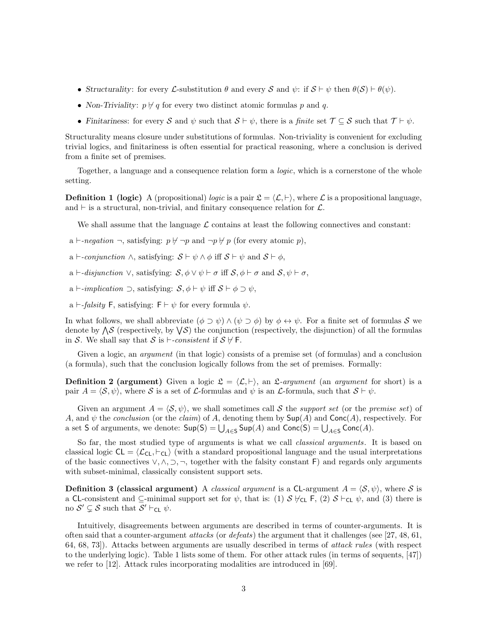- Structurality: for every L-substitution  $\theta$  and every S and  $\psi$ : if  $S \vdash \psi$  then  $\theta(S) \vdash \theta(\psi)$ .
- Non-Triviality:  $p \nmid q$  for every two distinct atomic formulas p and q.
- Finitariness: for every S and  $\psi$  such that  $S \vdash \psi$ , there is a finite set  $\mathcal{T} \subseteq S$  such that  $\mathcal{T} \vdash \psi$ .

Structurality means closure under substitutions of formulas. Non-triviality is convenient for excluding trivial logics, and finitariness is often essential for practical reasoning, where a conclusion is derived from a finite set of premises.

Together, a language and a consequence relation form a *logic*, which is a cornerstone of the whole setting.

**Definition 1 (logic)** A (propositional) logic is a pair  $\mathcal{L} = \langle \mathcal{L}, \vdash \rangle$ , where L is a propositional language, and  $\vdash$  is a structural, non-trivial, and finitary consequence relation for  $\mathcal{L}$ .

We shall assume that the language  $\mathcal L$  contains at least the following connectives and constant:

- a  $\vdash$ -negation  $\neg$ , satisfying:  $p \nvdash \neg p$  and  $\neg p \nvdash p$  (for every atomic p),
- a  $\vdash$ -conjunction  $\land$ , satisfying:  $S \vdash \psi \land \phi$  iff  $S \vdash \psi$  and  $S \vdash \phi$ ,
- a  $\vdash$ -disjunction  $\vee$ , satisfying:  $S, \phi \vee \psi \vdash \sigma$  iff  $S, \phi \vdash \sigma$  and  $S, \psi \vdash \sigma$ ,
- a  $\vdash$ -implication  $\supset$ , satisfying:  $S, \phi \vdash \psi$  iff  $S \vdash \phi \supset \psi$ ,
- a  $\vdash$ -falsity F, satisfying: F  $\vdash \psi$  for every formula  $\psi$ .

In what follows, we shall abbreviate  $(\phi \supset \psi) \wedge (\psi \supset \phi)$  by  $\phi \leftrightarrow \psi$ . For a finite set of formulas S we denote by  $\Lambda S$  (respectively, by  $\forall S$ ) the conjunction (respectively, the disjunction) of all the formulas in S. We shall say that S is  $\vdash$ -consistent if  $S \not\vdash$  F.

Given a logic, an *argument* (in that logic) consists of a premise set (of formulas) and a conclusion (a formula), such that the conclusion logically follows from the set of premises. Formally:

**Definition 2 (argument)** Given a logic  $\mathcal{L} = \langle \mathcal{L}, \vdash \rangle$ , an  $\mathcal{L}$ -argument (an argument for short) is a pair  $A = \langle S, \psi \rangle$ , where S is a set of L-formulas and  $\psi$  is an L-formula, such that  $S \vdash \psi$ .

Given an argument  $A = \langle S, \psi \rangle$ , we shall sometimes call S the support set (or the premise set) of A, and  $\psi$  the conclusion (or the claim) of A, denoting them by  $\text{Sup}(A)$  and  $\text{Conc}(A)$ , respectively. For a set S of arguments, we denote:  $\mathsf{Sup}(S) = \bigcup_{A \in S} \mathsf{Sup}(A)$  and  $\mathsf{Conc}(S) = \bigcup_{A \in S} \mathsf{Conc}(A)$ .

So far, the most studied type of arguments is what we call *classical arguments*. It is based on classical logic  $CL = \langle \mathcal{L}_{CL}, \vdash_{CL} \rangle$  (with a standard propositional language and the usual interpretations of the basic connectives  $\vee, \wedge, \supset, \neg$ , together with the falsity constant F) and regards only arguments with subset-minimal, classically consistent support sets.

**Definition 3 (classical argument)** A *classical argument* is a CL-argument  $A = \langle S, \psi \rangle$ , where S is a CL-consistent and  $\subseteq$ -minimal support set for  $\psi$ , that is: (1)  $S \nvDash_{\mathsf{CL}} \mathsf{F}$ , (2)  $S \vdash_{\mathsf{CL}} \psi$ , and (3) there is no  $S' \subsetneq S$  such that  $S' \vdash_{\mathsf{CL}} \psi$ .

Intuitively, disagreements between arguments are described in terms of counter-arguments. It is often said that a counter-argument *attacks* (or *defeats*) the argument that it challenges (see [27, 48, 61, 64, 68, 73]). Attacks between arguments are usually described in terms of attack rules (with respect to the underlying logic). Table 1 lists some of them. For other attack rules (in terms of sequents, [47]) we refer to [12]. Attack rules incorporating modalities are introduced in [69].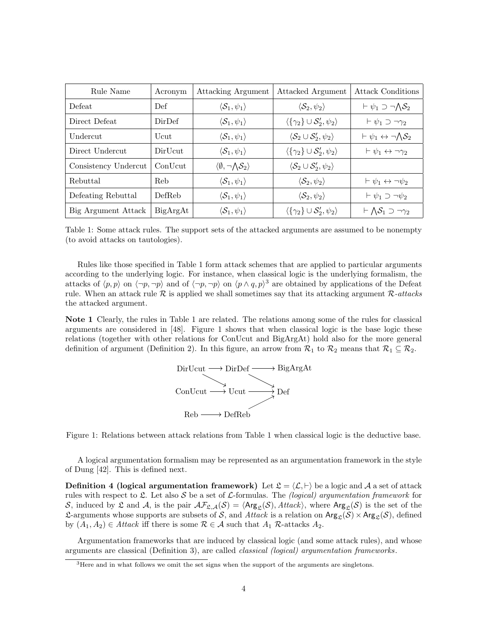| Rule Name            | Acronym  | Attacking Argument                            | Attacked Argument                                                | <b>Attack Conditions</b>                                   |
|----------------------|----------|-----------------------------------------------|------------------------------------------------------------------|------------------------------------------------------------|
| Defeat               | Def      | $\langle \mathcal{S}_1, \psi_1 \rangle$       | $\langle \mathcal{S}_2, \psi_2 \rangle$                          | $\vdash \psi_1 \supset \neg \bigwedge \mathcal{S}_2$       |
| Direct Defeat        | DirDef   | $\langle \mathcal{S}_1, \psi_1 \rangle$       | $\langle {\gamma_2} \rangle \cup \mathcal{S}'_2, \psi_2 \rangle$ | $\vdash \psi_1 \supset \neg \gamma_2$                      |
| Undercut             | Ucut     | $\langle \mathcal{S}_1, \psi_1 \rangle$       | $\langle \mathcal{S}_2 \cup \mathcal{S}'_2, \psi_2 \rangle$      | $\vdash \psi_1 \leftrightarrow \neg \Lambda \mathcal{S}_2$ |
| Direct Undercut      | DirUcut  | $\langle \mathcal{S}_1, \psi_1 \rangle$       | $\langle {\gamma_2} \rangle \cup \mathcal{S}'_2, \psi_2 \rangle$ | $\vdash \psi_1 \leftrightarrow \neg \gamma_2$              |
| Consistency Undercut | ConUcut  | $\langle \emptyset, \neg \Lambda S_2 \rangle$ | $\langle \mathcal{S}_2 \cup \mathcal{S}'_2, \psi_2 \rangle$      |                                                            |
| Rebuttal             | Reb      | $\langle \mathcal{S}_1, \psi_1 \rangle$       | $\langle \mathcal{S}_2, \psi_2 \rangle$                          | $\vdash \psi_1 \leftrightarrow \neg \psi_2$                |
| Defeating Rebuttal   | DefReb   | $\langle S_1,\psi_1\rangle$                   | $\langle \mathcal{S}_2, \psi_2 \rangle$                          | $\vdash \psi_1 \supset \neg \psi_2$                        |
| Big Argument Attack  | BigArgAt | $\langle \mathcal{S}_1, \psi_1 \rangle$       | $\langle {\gamma_2} \rangle \cup \mathcal{S}'_2, \psi_2 \rangle$ | $\vdash \bigwedge \mathcal{S}_1 \supset \neg \gamma_2$     |

Table 1: Some attack rules. The support sets of the attacked arguments are assumed to be nonempty (to avoid attacks on tautologies).

Rules like those specified in Table 1 form attack schemes that are applied to particular arguments according to the underlying logic. For instance, when classical logic is the underlying formalism, the attacks of  $\langle p, p \rangle$  on  $\langle \neg p, \neg p \rangle$  and of  $\langle \neg p, \neg p \rangle$  on  $\langle p \wedge q, p \rangle^3$  are obtained by applications of the Defeat rule. When an attack rule  $R$  is applied we shall sometimes say that its attacking argument  $R$ -attacksthe attacked argument.

Note 1 Clearly, the rules in Table 1 are related. The relations among some of the rules for classical arguments are considered in [48]. Figure 1 shows that when classical logic is the base logic these relations (together with other relations for ConUcut and BigArgAt) hold also for the more general definition of argument (Definition 2). In this figure, an arrow from  $\mathcal{R}_1$  to  $\mathcal{R}_2$  means that  $\mathcal{R}_1 \subseteq \mathcal{R}_2$ .



Figure 1: Relations between attack relations from Table 1 when classical logic is the deductive base.

A logical argumentation formalism may be represented as an argumentation framework in the style of Dung [42]. This is defined next.

**Definition 4 (logical argumentation framework)** Let  $\mathcal{L} = \langle \mathcal{L}, \vdash \rangle$  be a logic and A a set of attack rules with respect to  $\mathfrak{L}$ . Let also  $\mathcal S$  be a set of  $\mathcal L$ -formulas. The *(logical) argumentation framework* for S, induced by  $\mathfrak L$  and A, is the pair  $\mathcal{AF}_{\mathfrak{L},\mathcal{A}}(\mathcal{S}) = \langle \mathsf{Arg}_{\mathfrak{L}}(\mathcal{S}), \mathsf{Attack} \rangle$ , where  $\mathsf{Arg}_{\mathfrak{L}}(\mathcal{S})$  is the set of the L-arguments whose supports are subsets of S, and Attack is a relation on  $\text{Arg}_{\mathcal{L}}(S) \times \text{Arg}_{\mathcal{L}}(S)$ , defined by  $(A_1, A_2) \in \text{Attack}$  iff there is some  $\mathcal{R} \in \mathcal{A}$  such that  $A_1$   $\mathcal{R}\text{-attacks } A_2$ .

Argumentation frameworks that are induced by classical logic (and some attack rules), and whose arguments are classical (Definition 3), are called classical (logical) argumentation frameworks.

 $3$ Here and in what follows we omit the set signs when the support of the arguments are singletons.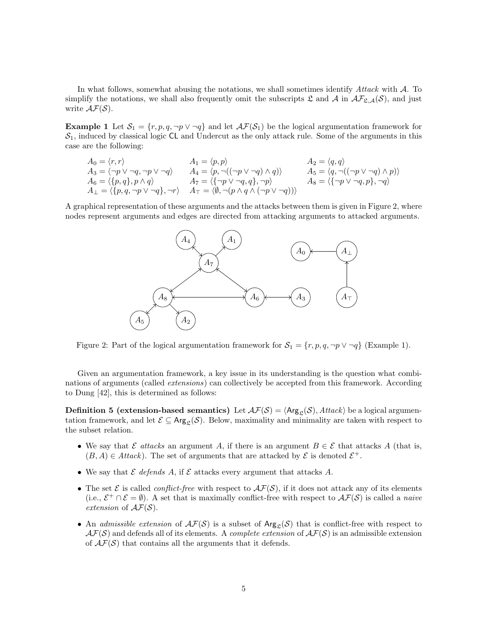In what follows, somewhat abusing the notations, we shall sometimes identify  $Attack$  with  $A$ . To simplify the notations, we shall also frequently omit the subscripts  $\mathfrak{L}$  and  $\mathcal{A}$  in  $\mathcal{AF}_{\mathfrak{L},\mathcal{A}}(\mathcal{S})$ , and just write  $\mathcal{AF}(\mathcal{S})$ .

**Example 1** Let  $S_1 = \{r, p, q, \neg p \lor \neg q\}$  and let  $\mathcal{AF}(S_1)$  be the logical argumentation framework for  $S_1$ , induced by classical logic CL and Undercut as the only attack rule. Some of the arguments in this case are the following:

$$
A_0 = \langle r, r \rangle
$$
  
\n
$$
A_3 = \langle \neg p \lor \neg q, \neg p \lor \neg q \rangle
$$
  
\n
$$
A_4 = \langle p, p \rangle
$$
  
\n
$$
A_5 = \langle q, q \rangle
$$
  
\n
$$
A_6 = \langle \{p, q\}, p \land q \rangle
$$
  
\n
$$
A_7 = \langle \{\neg p \lor \neg q, q\}, \neg p \rangle
$$
  
\n
$$
A_8 = \langle p, q, \neg p \lor \neg q \rangle
$$
  
\n
$$
A_9 = \langle p, q \rangle
$$
  
\n
$$
A_1 = \langle p, \neg q, \neg q, q \rangle
$$
  
\n
$$
A_2 = \langle q, q \rangle
$$
  
\n
$$
A_4 = \langle p, \neg q, \neg q \land q \rangle
$$
  
\n
$$
A_5 = \langle q, \neg ((\neg p \lor \neg q) \land p) \rangle
$$
  
\n
$$
A_8 = \langle \{\neg p \lor \neg q, p\}, \neg q \rangle
$$
  
\n
$$
A_9 = \langle p, q, \neg p \lor \neg q, q \rangle
$$
  
\n
$$
A_1 = \langle p, \neg q, q, q \rangle
$$
  
\n
$$
A_2 = \langle q, q \rangle
$$
  
\n
$$
A_3 = \langle q, \neg ((\neg p \lor \neg q) \land p) \rangle
$$

A graphical representation of these arguments and the attacks between them is given in Figure 2, where nodes represent arguments and edges are directed from attacking arguments to attacked arguments.



Figure 2: Part of the logical argumentation framework for  $S_1 = \{r, p, q, \neg p \vee \neg q\}$  (Example 1).

Given an argumentation framework, a key issue in its understanding is the question what combinations of arguments (called *extensions*) can collectively be accepted from this framework. According to Dung [42], this is determined as follows:

**Definition 5 (extension-based semantics)** Let  $\mathcal{AF}(S) = \langle \mathsf{Arg}_{S}(S), \mathcal{A} \mathcal{H} \mathcal{A} \mathcal{R} \rangle$  be a logical argumentation framework, and let  $\mathcal{E} \subseteq \mathsf{Arg}_{\mathcal{L}}(\mathcal{S})$ . Below, maximality and minimality are taken with respect to the subset relation.

- We say that E attacks an argument A, if there is an argument  $B \in \mathcal{E}$  that attacks A (that is,  $(B, A) \in Attack$ ). The set of arguments that are attacked by  $\mathcal{E}$  is denoted  $\mathcal{E}^+$ .
- We say that  $\mathcal E$  defends  $A$ , if  $\mathcal E$  attacks every argument that attacks  $A$ .
- The set  $\mathcal E$  is called *conflict-free* with respect to  $\mathcal{AF}(S)$ , if it does not attack any of its elements (i.e.,  $\mathcal{E}^+ \cap \mathcal{E} = \emptyset$ ). A set that is maximally conflict-free with respect to  $\mathcal{AF}(S)$  is called a *naive* extension of  $\mathcal{AF}(\mathcal{S})$ .
- An admissible extension of  $\mathcal{AF}(S)$  is a subset of  $\text{Arg}_{\mathfrak{L}}(S)$  that is conflict-free with respect to  $\mathcal{AF}(S)$  and defends all of its elements. A *complete extension* of  $\mathcal{AF}(S)$  is an admissible extension of  $\mathcal{AF}(\mathcal{S})$  that contains all the arguments that it defends.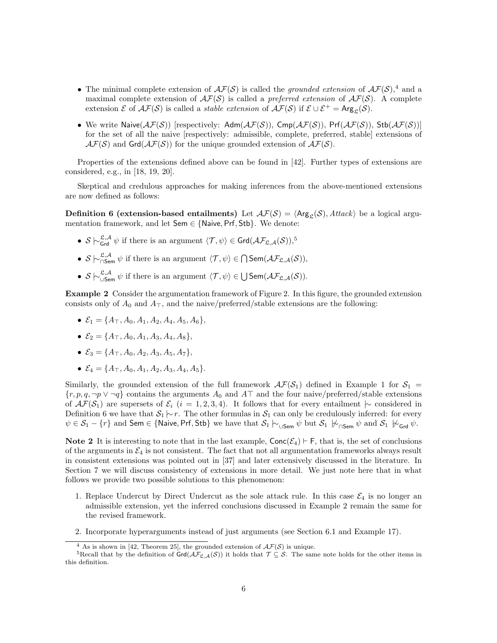- The minimal complete extension of  $\mathcal{AF}(S)$  is called the grounded extension of  $\mathcal{AF}(S)$ ,<sup>4</sup> and a maximal complete extension of  $\mathcal{AF}(S)$  is called a preferred extension of  $\mathcal{AF}(S)$ . A complete extension  $\mathcal E$  of  $\mathcal{AF}(\mathcal{S})$  is called a *stable extension* of  $\mathcal{AF}(\mathcal{S})$  if  $\mathcal E \cup \mathcal E^+ = \text{Arg}_{\mathcal{S}}(\mathcal{S})$ .
- We write Naive $(\mathcal{AF}(S))$  [respectively: Adm $(\mathcal{AF}(S))$ , Cmp $(\mathcal{AF}(S))$ , Prf $(\mathcal{AF}(S))$ , Stb $(\mathcal{AF}(S))$ ] for the set of all the naive [respectively: admissible, complete, preferred, stable] extensions of  $\mathcal{AF}(S)$  and  $\mathsf{Grd}(\mathcal{AF}(S))$  for the unique grounded extension of  $\mathcal{AF}(S)$ .

Properties of the extensions defined above can be found in [42]. Further types of extensions are considered, e.g., in [18, 19, 20].

Skeptical and credulous approaches for making inferences from the above-mentioned extensions are now defined as follows:

**Definition 6 (extension-based entailments)** Let  $\mathcal{AF}(S) = \langle \text{Arg}_{\mathcal{L}}(S), \text{Attack} \rangle$  be a logical argumentation framework, and let Sem ∈ {Naive, Prf, Stb}. We denote:

- $S \n\sim_{\mathsf{Grd}}^{\mathfrak{L},\mathcal{A}} \psi$  if there is an argument  $\langle \mathcal{T}, \psi \rangle \in \mathsf{Grd}(\mathcal{AF}_{\mathfrak{L},\mathcal{A}}(\mathcal{S}))$ ,<sup>5</sup>
- $S \n\vdash_{\mathsf{S}\mathsf{sem}}^{\mathfrak{L},\mathcal{A}} \psi$  if there is an argument  $\langle \mathcal{T}, \psi \rangle \in \bigcap \mathsf{Sem}(\mathcal{AF}_{\mathfrak{L},\mathcal{A}}(\mathcal{S})),$
- $S \vdash_{\mathsf{USem}}^{\mathfrak{L},\mathcal{A}} \psi$  if there is an argument  $\langle \mathcal{T}, \psi \rangle \in \mathsf{USem}(\mathcal{AF}_{\mathfrak{L},\mathcal{A}}(\mathcal{S})).$

Example 2 Consider the argumentation framework of Figure 2. In this figure, the grounded extension consists only of  $A_0$  and  $A_{\perp}$ , and the naive/preferred/stable extensions are the following:

- $\mathcal{E}_1 = \{A_{\top}, A_0, A_1, A_2, A_4, A_5, A_6\},\,$
- $\mathcal{E}_2 = \{A_{\top}, A_0, A_1, A_3, A_4, A_8\},\,$
- $\mathcal{E}_3 = \{A_{\top}, A_0, A_2, A_3, A_5, A_7\},\,$
- $\mathcal{E}_4 = \{A_{\top}, A_0, A_1, A_2, A_3, A_4, A_5\}.$

Similarly, the grounded extension of the full framework  $\mathcal{AF}(S_1)$  defined in Example 1 for  $S_1$  =  $\{r, p, q, \neg p \vee \neg q\}$  contains the arguments  $A_0$  and  $A\top$  and the four naive/preferred/stable extensions of  $\mathcal{AF}(S_1)$  are supersets of  $\mathcal{E}_i$  (i = 1, 2, 3, 4). It follows that for every entailment  $\sim$  considered in Definition 6 we have that  $S_1 \sim r$ . The other formulas in  $S_1$  can only be credulously inferred: for every  $\psi \in \mathcal{S}_1 - \{r\}$  and Sem ∈ {Naive, Prf, Stb} we have that  $\mathcal{S}_1 \vdash_{\bigcup \mathsf{Sem}} \psi$  but  $\mathcal{S}_1 \not\vdash_{\bigcap \mathsf{Sem}} \psi$  and  $\mathcal{S}_1 \not\vdash_{\mathsf{Grad}} \psi$ .

Note 2 It is interesting to note that in the last example,  $Conc(\mathcal{E}_4) \vdash F$ , that is, the set of conclusions of the arguments in  $\mathcal{E}_4$  is not consistent. The fact that not all argumentation frameworks always result in consistent extensions was pointed out in [37] and later extensively discussed in the literature. In Section 7 we will discuss consistency of extensions in more detail. We just note here that in what follows we provide two possible solutions to this phenomenon:

- 1. Replace Undercut by Direct Undercut as the sole attack rule. In this case  $\mathcal{E}_4$  is no longer an admissible extension, yet the inferred conclusions discussed in Example 2 remain the same for the revised framework.
- 2. Incorporate hyperarguments instead of just arguments (see Section 6.1 and Example 17).

<sup>&</sup>lt;sup>4</sup> As is shown in [42, Theorem 25], the grounded extension of  $\mathcal{AF}(S)$  is unique.

<sup>&</sup>lt;sup>5</sup>Recall that by the definition of  $\text{Grd}(\mathcal{AF}_{\mathcal{L},\mathcal{A}}(\mathcal{S}))$  it holds that  $\mathcal{T} \subseteq \mathcal{S}$ . The same note holds for the other items in this definition.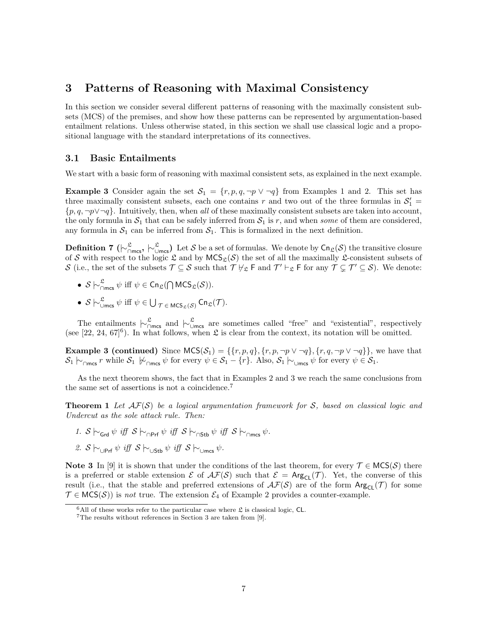# 3 Patterns of Reasoning with Maximal Consistency

In this section we consider several different patterns of reasoning with the maximally consistent subsets (MCS) of the premises, and show how these patterns can be represented by argumentation-based entailment relations. Unless otherwise stated, in this section we shall use classical logic and a propositional language with the standard interpretations of its connectives.

#### 3.1 Basic Entailments

We start with a basic form of reasoning with maximal consistent sets, as explained in the next example.

**Example 3** Consider again the set  $S_1 = \{r, p, q, \neg p \lor \neg q\}$  from Examples 1 and 2. This set has three maximally consistent subsets, each one contains r and two out of the three formulas in  $S'_1$  =  $\{p,q, \neg p \lor \neg q\}$ . Intuitively, then, when all of these maximally consistent subsets are taken into account, the only formula in  $S_1$  that can be safely inferred from  $S_1$  is r, and when some of them are considered, any formula in  $S_1$  can be inferred from  $S_1$ . This is formalized in the next definition.

**Definition 7** ( $\vdash^{\mathfrak{L}}_{\Box \textsf{mcs}}, \vdash^{\mathfrak{L}}_{\Box \textsf{mcs}}$ ) Let S be a set of formulas. We denote by  $\mathsf{Cn}_{\mathfrak{L}}(\mathcal{S})$  the transitive closure of S with respect to the logic  $\mathfrak L$  and by  $MCS_{\mathfrak L}(\mathcal S)$  the set of all the maximally  $\mathfrak L$ -consistent subsets of S (i.e., the set of the subsets  $\mathcal{T} \subseteq \mathcal{S}$  such that  $\mathcal{T} \nvDash_{\mathcal{L}} \mathsf{F}$  and  $\mathcal{T}' \vdash_{\mathcal{L}} \mathsf{F}$  for any  $\mathcal{T} \subsetneq \mathcal{T}' \subseteq \mathcal{S}$ ). We denote:

- $S \nightharpoonup_{\cap \text{mcs}}^{\mathfrak{L}} \psi$  iff  $\psi \in \text{Cn}_{\mathfrak{L}}(\bigcap \text{MCS}_{\mathfrak{L}}(\mathcal{S})).$
- $S \n\sim_{\text{Umes}}^{\mathfrak{L}} \psi$  iff  $\psi \in \bigcup_{\mathcal{T} \in MCS_{\mathfrak{L}}(\mathcal{S})} \text{Cn}_{\mathfrak{L}}(\mathcal{T})$ .

The entailments  $\vdash_{\bigcap_{\text{mes}}^{\mathfrak{L}}}^{\mathfrak{L}}$  and  $\vdash_{\bigcup_{\text{mes}}^{\mathfrak{L}}}^{\mathfrak{L}}$  are sometimes called "free" and "existential", respectively (see [22, 24, 67]<sup>6</sup>). In what follows, when  $\mathfrak L$  is clear from the context, its notation will be omitted.

**Example 3 (continued)** Since  $MCS(\mathcal{S}_1) = \{\{r, p, q\}, \{r, p, \neg p \lor \neg q\}, \{r, q, \neg p \lor \neg q\}\}\,$ , we have that  $\mathcal{S}_1 \vdash_{\cap \mathsf{mcs}} r$  while  $\mathcal{S}_1 \not\vdash_{\cap \mathsf{mcs}} \psi$  for every  $\psi \in \mathcal{S}_1 - \{r\}$ . Also,  $\mathcal{S}_1 \vdash_{\cup \mathsf{mcs}} \psi$  for every  $\psi \in \mathcal{S}_1$ .

As the next theorem shows, the fact that in Examples 2 and 3 we reach the same conclusions from the same set of assertions is not a coincidence.<sup>7</sup>

**Theorem 1** Let  $AF(S)$  be a logical argumentation framework for S, based on classical logic and Undercut as the sole attack rule. Then:

- 1.  $S \sim_{\text{Grd}} \psi$  iff  $S \sim_{\text{QPrf}} \psi$  iff  $S \sim_{\text{QStb}} \psi$  iff  $S \sim_{\text{Qmcs}} \psi$ .
- 2. S  $\vdash$ <sub>∪Prf</sub>  $\psi$  iff S  $\vdash$ <sub>∪Stb</sub>  $\psi$  iff S  $\vdash$ <sub>∪mcs</sub>  $\psi$ .

Note 3 In [9] it is shown that under the conditions of the last theorem, for every  $\mathcal{T} \in \mathsf{MCS}(\mathcal{S})$  there is a preferred or stable extension  $\mathcal E$  of  $\mathcal F(\mathcal S)$  such that  $\mathcal E = \text{Arg}_{\mathsf{CL}}(\mathcal T)$ . Yet, the converse of this result (i.e., that the stable and preferred extensions of  $\mathcal{AF}(S)$  are of the form  $\text{Arg}_{\text{CL}}(\mathcal{T})$  for some  $\mathcal{T} \in \text{MCS}(\mathcal{S})$  is not true. The extension  $\mathcal{E}_4$  of Example 2 provides a counter-example.

 ${}^{6}$ All of these works refer to the particular case where  $\mathfrak L$  is classical logic, CL.

<sup>7</sup>The results without references in Section 3 are taken from [9].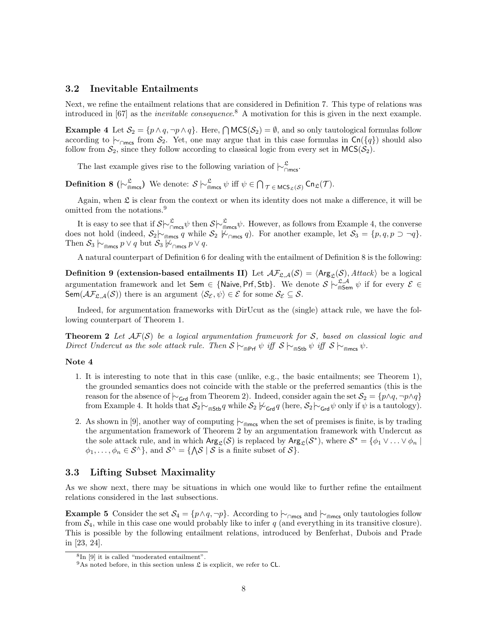#### 3.2 Inevitable Entailments

Next, we refine the entailment relations that are considered in Definition 7. This type of relations was introduced in [67] as the inevitable consequence. <sup>8</sup> A motivation for this is given in the next example.

**Example 4** Let  $S_2 = \{p \land q, \neg p \land q\}$ . Here,  $\bigcap \text{MCS}(\mathcal{S}_2) = \emptyset$ , and so only tautological formulas follow according to  $\vdash_{\cap \text{mes}}$  from  $S_2$ . Yet, one may argue that in this case formulas in Cn({q}) should also follow from  $S_2$ , since they follow according to classical logic from every set in  $MCS(S_2)$ .

The last example gives rise to the following variation of  $\mid \sim_{\cap \text{mes}}^{\mathfrak{L}}$ .

**Definition 8** ( $\vdash^{\mathfrak{L}}_{\widehat{\mathsf{m}}\mathsf{m}\mathsf{c}\mathsf{s}}$ ) We denote:  $S \vdash^{\mathfrak{L}}_{\widehat{\mathsf{m}}\mathsf{m}\mathsf{c}\mathsf{s}} \psi$  iff  $\psi \in \bigcap_{\mathcal{T} \in \mathsf{MCS}_{\mathfrak{L}}(\mathcal{S})} \mathsf{Cn}_{\mathfrak{L}}(\mathcal{T})$ .

Again, when  $\mathfrak L$  is clear from the context or when its identity does not make a difference, it will be omitted from the notations.<sup>9</sup>

It is easy to see that if  $S\sim_{\cap\text{mes}}^{\mathfrak{L}}\psi$  then  $S\sim_{\widehat{\mathfrak{m}}\text{mes}}^{\mathfrak{L}}\psi$ . However, as follows from Example 4, the converse does not hold (indeed,  $S_2 \sim_{\text{max}} q$  while  $S_2 \not\sim_{\text{max}} q$ ). For another example, let  $S_3 = \{p, q, p \supset \neg q\}.$ Then  $S_3 \sim_{\text{max}} p \vee q$  but  $S_3 \not\sim_{\text{max}} p \vee q$ .

A natural counterpart of Definition 6 for dealing with the entailment of Definition 8 is the following:

**Definition 9 (extension-based entailments II)** Let  $\mathcal{AF}_{\mathcal{L},\mathcal{A}}(\mathcal{S}) = \langle \mathsf{Arg}_{\mathcal{L}}(\mathcal{S}), \mathcal{H} \mathcal{H} \mathcal{R} \mathcal{R} \rangle$  be a logical argumentation framework and let Sem ∈ {Naive, Prf, Stb}. We denote  $S \nvert \sim_{\widehat{\mathsf{ms}}_{\mathsf{sem}}}^{\mathfrak{L},\mathcal{A}} \psi$  if for every  $\mathcal{E} \in$ Sem( $\mathcal{AF}_{\mathfrak{L},\mathcal{A}}(\mathcal{S})$ ) there is an argument  $\langle \mathcal{S}_{\mathcal{E}}, \psi \rangle \in \mathcal{E}$  for some  $\mathcal{S}_{\mathcal{E}} \subseteq \mathcal{S}$ .

Indeed, for argumentation frameworks with DirUcut as the (single) attack rule, we have the following counterpart of Theorem 1.

**Theorem 2** Let  $AF(S)$  be a logical argumentation framework for S, based on classical logic and Direct Undercut as the sole attack rule. Then  $S \vdash_{\mathsf{mPrf}} \psi$  iff  $S \vdash_{\mathsf{mStb}} \psi$  iff  $S \vdash_{\mathsf{mmcs}} \psi$ .

#### Note 4

- 1. It is interesting to note that in this case (unlike, e.g., the basic entailments; see Theorem 1), the grounded semantics does not coincide with the stable or the preferred semantics (this is the reason for the absence of  $\vdash_{\mathsf{Grd}}$  from Theorem 2). Indeed, consider again the set  $\mathcal{S}_2 = \{p \land q, \neg p \land q\}$ from Example 4. It holds that  $\mathcal{S}_2 \vdash_{\text{cusp}} q$  while  $\mathcal{S}_2 \not\vdash_{\text{Grd}} q$  (here,  $\mathcal{S}_2 \vdash_{\text{Grd}} \psi$  only if  $\psi$  is a tautology).
- 2. As shown in [9], another way of computing  $\vdash_{\widehat{\mathsf{m}}_{\mathsf{m}}_{\mathsf{m}}}\mathsf{w}$  when the set of premises is finite, is by trading the argumentation framework of Theorem 2 by an argumentation framework with Undercut as the sole attack rule, and in which  $\text{Arg}_{\mathcal{L}}(\mathcal{S})$  is replaced by  $\text{Arg}_{\mathcal{L}}(\mathcal{S}^*)$ , where  $\mathcal{S}^* = \{\phi_1 \vee \ldots \vee \phi_n \mid \phi_n\in \mathcal{S}^* \}$  $\phi_1, \ldots, \phi_n \in \mathcal{S}^{\wedge}$ , and  $\mathcal{S}^{\wedge} = \{ \bigwedge \mathcal{S} \mid \mathcal{S}$  is a finite subset of  $\mathcal{S} \}$ .

#### 3.3 Lifting Subset Maximality

As we show next, there may be situations in which one would like to further refine the entailment relations considered in the last subsections.

**Example 5** Consider the set  $\mathcal{S}_4 = \{p \land q, \neg p\}$ . According to  $\vdash_{\cap \text{mcc}}$  and  $\vdash_{\cap \text{mcc}}$  only tautologies follow from  $S_4$ , while in this case one would probably like to infer q (and everything in its transitive closure). This is possible by the following entailment relations, introduced by Benferhat, Dubois and Prade in [23, 24].

<sup>8</sup> In [9] it is called "moderated entailment".

<sup>&</sup>lt;sup>9</sup>As noted before, in this section unless  $\mathfrak L$  is explicit, we refer to CL.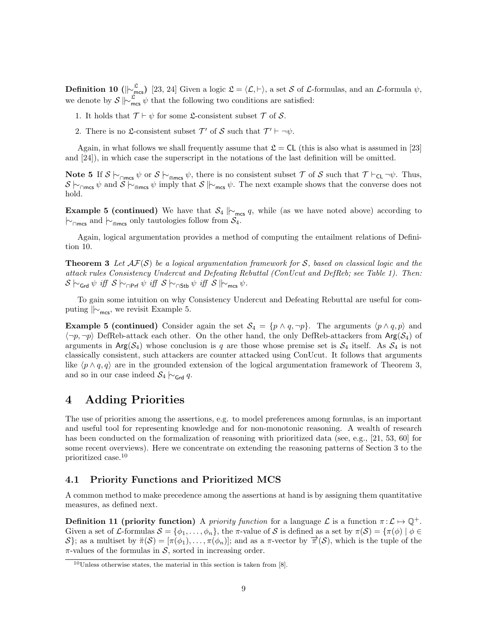**Definition 10** ( $|\n\sim_{\text{mes}}^{\mathfrak{L}}$ ) [23, 24] Given a logic  $\mathfrak{L} = \langle \mathcal{L}, \vdash \rangle$ , a set S of L-formulas, and an L-formula  $\psi$ , we denote by  $S \mid \sim_{\text{mes}}^{\mathfrak{L}} \psi$  that the following two conditions are satisfied:

- 1. It holds that  $\mathcal{T} \vdash \psi$  for some  $\mathcal{L}$ -consistent subset  $\mathcal{T}$  of  $\mathcal{S}$ .
- 2. There is no  $\mathfrak{L}\text{-consistent subset }\mathcal{T}'$  of  $\mathcal{S}$  such that  $\mathcal{T}' \vdash \neg \psi$ .

Again, in what follows we shall frequently assume that  $\mathfrak{L} = CL$  (this is also what is assumed in [23] and [24]), in which case the superscript in the notations of the last definition will be omitted.

Note 5 If  $S \vdash_{\cap \text{mcs}} \psi$  or  $S \vdash_{\cap \text{mcs}} \psi$ , there is no consistent subset  $\mathcal T$  of  $S$  such that  $\mathcal T \vdash_{\mathsf{CL}} \neg \psi$ . Thus,  $S \vdash_{\cap \mathsf{mcs}} \psi$  and  $S \vdash_{\cap \mathsf{mcs}} \psi$  imply that  $S \vdash_{\mathsf{mcs}} \psi$ . The next example shows that the converse does not hold.

**Example 5 (continued)** We have that  $S_4 \rvert_{\text{Res}} q$ , while (as we have noted above) according to  $\vdash_{\cap \mathsf{mcs}}$  and  $\vdash_{\widehat{\mathsf{mms}}}$  only tautologies follow from  $\mathcal{S}_4$ .

Again, logical argumentation provides a method of computing the entailment relations of Definition 10.

**Theorem 3** Let  $\mathcal{AF}(S)$  be a logical argumentation framework for S, based on classical logic and the attack rules Consistency Undercut and Defeating Rebuttal (ConUcut and DefReb; see Table 1). Then:  $\mathcal{S} \vdash_{\mathsf{Grd}} \psi \text{ iff } \mathcal{S} \vdash_{\mathsf{CPrf}} \psi \text{ iff } \mathcal{S} \vdash_{\mathsf{CStb}} \psi \text{ iff } \mathcal{S} \Vdash_{\mathsf{mcs}} \psi.$ 

To gain some intuition on why Consistency Undercut and Defeating Rebuttal are useful for computing  $\|v_{\text{mes}}\|$ , we revisit Example 5.

**Example 5 (continued)** Consider again the set  $\mathcal{S}_4 = \{p \land q, \neg p\}$ . The arguments  $\langle p \land q, p \rangle$  and  $\langle \neg p, \neg p \rangle$  DefReb-attack each other. On the other hand, the only DefReb-attackers from Arg( $\mathcal{S}_4$ ) of arguments in  $Arg(S_4)$  whose conclusion is q are those whose premise set is  $S_4$  itself. As  $S_4$  is not classically consistent, such attackers are counter attacked using ConUcut. It follows that arguments like  $\langle p \wedge q, q \rangle$  are in the grounded extension of the logical argumentation framework of Theorem 3, and so in our case indeed  $S_4 \n\sim_{\mathsf{Grd}} q$ .

# 4 Adding Priorities

The use of priorities among the assertions, e.g. to model preferences among formulas, is an important and useful tool for representing knowledge and for non-monotonic reasoning. A wealth of research has been conducted on the formalization of reasoning with prioritized data (see, e.g., [21, 53, 60] for some recent overviews). Here we concentrate on extending the reasoning patterns of Section 3 to the prioritized case.<sup>10</sup>

#### 4.1 Priority Functions and Prioritized MCS

A common method to make precedence among the assertions at hand is by assigning them quantitative measures, as defined next.

**Definition 11 (priority function)** A priority function for a language  $\mathcal{L}$  is a function  $\pi: \mathcal{L} \mapsto \mathbb{Q}^+$ . Given a set of L-formulas  $S = \{\phi_1, \ldots, \phi_n\}$ , the  $\pi$ -value of S is defined as a set by  $\pi(S) = \{\pi(\phi) \mid \phi \in$ S}; as a multiset by  $\pi(\mathcal{S}) = [\pi(\phi_1), \ldots, \pi(\phi_n)]$ ; and as a  $\pi$ -vector by  $\overrightarrow{\pi}(\mathcal{S})$ , which is the tuple of the  $\pi$ -values of the formulas in S, sorted in increasing order.

 $10$ Unless otherwise states, the material in this section is taken from [8].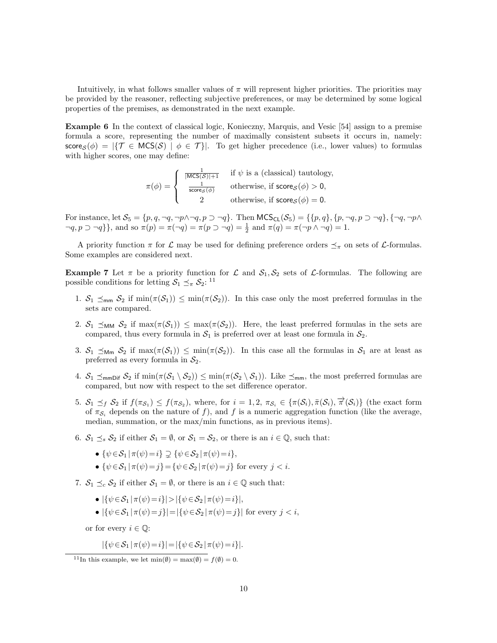Intuitively, in what follows smaller values of  $\pi$  will represent higher priorities. The priorities may be provided by the reasoner, reflecting subjective preferences, or may be determined by some logical properties of the premises, as demonstrated in the next example.

Example 6 In the context of classical logic, Konieczny, Marquis, and Vesic [54] assign to a premise formula a score, representing the number of maximally consistent subsets it occurs in, namely:  $\mathsf{score}_{\mathcal{S}}(\phi) = |\{\mathcal{T} \in \mathsf{MCS}(\mathcal{S}) \mid \phi \in \mathcal{T}\}|.$  To get higher precedence (i.e., lower values) to formulas with higher scores, one may define:

$$
\pi(\phi) = \begin{cases}\n\frac{1}{|\mathsf{MCS}(S)|+1} & \text{if } \psi \text{ is a (classical) tautology,} \\
\frac{1}{\mathsf{score}_S(\phi)} & \text{otherwise, if } \mathsf{score}_S(\phi) > 0, \\
2 & \text{otherwise, if } \mathsf{score}_S(\phi) = 0.\n\end{cases}
$$

For instance, let  $\mathcal{S}_5 = \{p, q, \neg q, \neg p \land \neg q, p \supset \neg q\}$ . Then  $\mathsf{MCS}_{\mathsf{CL}}(\mathcal{S}_5) = \{\{p, q\}, \{p, \neg q, p \supset \neg q\}, \{\neg q, \neg p \land \neg q, p \supset \neg q\} \}$  $\neg q, p \supset \neg q$ }, and so  $\pi(p) = \pi(\neg q) = \pi(p \supset \neg q) = \frac{1}{2}$  and  $\pi(q) = \pi(\neg p \land \neg q) = 1$ .

A priority function  $\pi$  for  $\mathcal L$  may be used for defining preference orders  $\preceq_{\pi}$  on sets of  $\mathcal L$ -formulas. Some examples are considered next.

**Example 7** Let  $\pi$  be a priority function for  $\mathcal{L}$  and  $\mathcal{S}_1, \mathcal{S}_2$  sets of  $\mathcal{L}$ -formulas. The following are possible conditions for letting  $S_1 \preceq_{\pi} S_2$ : <sup>11</sup>

- 1.  $S_1 \leq_{\text{mm}} S_2$  if  $\min(\pi(S_1)) \leq \min(\pi(S_2))$ . In this case only the most preferred formulas in the sets are compared.
- 2.  $S_1 \preceq_{MM} S_2$  if  $\max(\pi(S_1)) \leq \max(\pi(S_2))$ . Here, the least preferred formulas in the sets are compared, thus every formula in  $S_1$  is preferred over at least one formula in  $S_2$ .
- 3.  $S_1 \preceq_{\mathsf{Mm}} S_2$  if  $\max(\pi(\mathcal{S}_1)) \preceq \min(\pi(\mathcal{S}_2))$ . In this case all the formulas in  $S_1$  are at least as preferred as every formula in  $S_2$ .
- 4.  $S_1 \preceq_{\text{mmDiff}} S_2$  if  $\min(\pi(S_1 \setminus S_2)) \preceq \min(\pi(S_2 \setminus S_1))$ . Like  $\preceq_{\text{mm}}$ , the most preferred formulas are compared, but now with respect to the set difference operator.
- 5.  $S_1 \preceq_f S_2$  if  $f(\pi_{S_1}) \leq f(\pi_{S_2})$ , where, for  $i=1,2, \pi_{S_i} \in {\pi(S_i), \pi(S_i), \pi(S_i)}$  (the exact form of  $\pi_{\mathcal{S}_i}$  depends on the nature of f), and f is a numeric aggregation function (like the average, median, summation, or the max/min functions, as in previous items).
- 6.  $S_1 \leq_s S_2$  if either  $S_1 = \emptyset$ , or  $S_1 = S_2$ , or there is an  $i \in \mathbb{Q}$ , such that:
	- $\{\psi \in \mathcal{S}_1 | \pi(\psi) = i\} \supsetneq {\psi \in \mathcal{S}_2 | \pi(\psi) = i},$
	- $\{\psi \in \mathcal{S}_1 | \pi(\psi) = j\} = \{\psi \in \mathcal{S}_2 | \pi(\psi) = j\}$  for every  $j < i$ .
- 7.  $S_1 \preceq_c S_2$  if either  $S_1 = \emptyset$ , or there is an  $i \in \mathbb{Q}$  such that:
	- $|\{\psi \in S_1 | \pi(\psi) = i\}| > |\{\psi \in S_2 | \pi(\psi) = i\}|,$
	- $|\{\psi \in \mathcal{S}_1 | \pi(\psi) = i\}| = |\{\psi \in \mathcal{S}_2 | \pi(\psi) = i\}|$  for every  $i < i$ ,

or for every  $i \in \mathbb{Q}$ :

$$
|\{\psi \in S_1 \,|\, \pi(\psi) = i\}| = |\{\psi \in S_2 \,|\, \pi(\psi) = i\}|.
$$

<sup>&</sup>lt;sup>11</sup>In this example, we let  $\min(\emptyset) = \max(\emptyset) = f(\emptyset) = 0$ .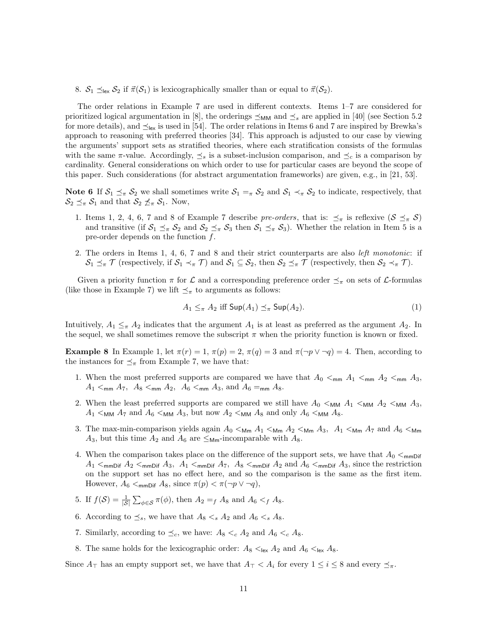8.  $S_1 \preceq_{\text{lex}} S_2$  if  $\vec{\pi}(S_1)$  is lexicographically smaller than or equal to  $\vec{\pi}(S_2)$ .

The order relations in Example 7 are used in different contexts. Items 1–7 are considered for prioritized logical argumentation in [8], the orderings  $\leq_{MM}$  and  $\leq_s$  are applied in [40] (see Section 5.2 for more details), and  $\preceq_{\text{lex}}$  is used in [54]. The order relations in Items 6 and 7 are inspired by Brewka's approach to reasoning with preferred theories [34]. This approach is adjusted to our case by viewing the arguments' support sets as stratified theories, where each stratification consists of the formulas with the same  $\pi$ -value. Accordingly,  $\preceq_s$  is a subset-inclusion comparison, and  $\preceq_c$  is a comparison by cardinality. General considerations on which order to use for particular cases are beyond the scope of this paper. Such considerations (for abstract argumentation frameworks) are given, e.g., in [21, 53].

**Note 6** If  $S_1 \leq_{\pi} S_2$  we shall sometimes write  $S_1 =_{\pi} S_2$  and  $S_1 \prec_{\pi} S_2$  to indicate, respectively, that  $\mathcal{S}_2 \preceq_{\pi} \mathcal{S}_1$  and that  $\mathcal{S}_2 \npreceq_{\pi} \mathcal{S}_1$ . Now,

- 1. Items 1, 2, 4, 6, 7 and 8 of Example 7 describe pre-orders, that is:  $\preceq_{\pi}$  is reflexive  $(S \preceq_{\pi} S)$ and transitive (if  $S_1 \leq_{\pi} S_2$  and  $S_2 \leq_{\pi} S_3$  then  $S_1 \leq_{\pi} S_3$ ). Whether the relation in Item 5 is a pre-order depends on the function  $f$ .
- 2. The orders in Items 1, 4, 6, 7 and 8 and their strict counterparts are also left monotonic: if  $\mathcal{S}_1 \preceq_{\pi} \mathcal{T}$  (respectively, if  $\mathcal{S}_1 \prec_{\pi} \mathcal{T}$ ) and  $\mathcal{S}_1 \subseteq \mathcal{S}_2$ , then  $\mathcal{S}_2 \preceq_{\pi} \mathcal{T}$  (respectively, then  $\mathcal{S}_2 \prec_{\pi} \mathcal{T}$ ).

Given a priority function  $\pi$  for  $\mathcal L$  and a corresponding preference order  $\preceq_{\pi}$  on sets of  $\mathcal L$ -formulas (like those in Example 7) we lift  $\preceq_{\pi}$  to arguments as follows:

$$
A_1 \leq_{\pi} A_2 \text{ iff } \mathsf{Sup}(A_1) \preceq_{\pi} \mathsf{Sup}(A_2). \tag{1}
$$

Intuitively,  $A_1 \leq_{\pi} A_2$  indicates that the argument  $A_1$  is at least as preferred as the argument  $A_2$ . In the sequel, we shall sometimes remove the subscript  $\pi$  when the priority function is known or fixed.

**Example 8** In Example 1, let  $\pi(r) = 1$ ,  $\pi(p) = 2$ ,  $\pi(q) = 3$  and  $\pi(\neg p \lor \neg q) = 4$ . Then, according to the instances for  $\preceq_{\pi}$  from Example 7, we have that:

- 1. When the most preferred supports are compared we have that  $A_0 \leq_{\text{mm}} A_1 \leq_{\text{mm}} A_2 \leq_{\text{mm}} A_3$ ,  $A_1 <_{\sf mm} A_7$ ,  $A_8 <_{\sf mm} A_2$ ,  $A_6 <_{\sf mm} A_3$ , and  $A_6 =_{\sf mm} A_8$ .
- 2. When the least preferred supports are compared we still have  $A_0 <_{MM} A_1 <_{MM} A_2 <_{MM} A_3$ ,  $A_1$  < MM  $A_7$  and  $A_6$  < MM  $A_3$ , but now  $A_2$  < MM  $A_8$  and only  $A_6$  < MM  $A_8$ .
- 3. The max-min-comparison yields again  $A_0 <_{\mathsf{Mm}} A_1 <_{\mathsf{Mm}} A_2 <_{\mathsf{Mm}} A_3$ ,  $A_1 <_{\mathsf{Mm}} A_7$  and  $A_6 <_{\mathsf{Mm}}$  $A_3$ , but this time  $A_2$  and  $A_6$  are  $\leq_{\mathsf{Mm}}$ -incomparable with  $A_8$ .
- 4. When the comparison takes place on the difference of the support sets, we have that  $A_0 <_{\text{mmDiff}}$  $A_1$   $\lt$ <sub>mmDif</sub>  $A_2$   $\lt$ <sub>mmDif</sub>  $A_3$ ,  $A_1$   $\lt$ <sub>mmDif</sub>  $A_7$ ,  $A_8$   $\lt$ <sub>mmDif</sub>  $A_2$  and  $A_6$   $\lt$ <sub>mmDif</sub>  $A_3$ , since the restriction on the support set has no effect here, and so the comparison is the same as the first item. However,  $A_6 <$ <sub>mmDif</sub>  $A_8$ , since  $\pi(p) < \pi(\neg p \lor \neg q)$ ,
- 5. If  $f(\mathcal{S}) = \frac{1}{|\mathcal{S}|} \sum_{\phi \in \mathcal{S}} \pi(\phi)$ , then  $A_2 = f A_8$  and  $A_6 < f A_8$ .
- 6. According to  $\preceq_s$ , we have that  $A_8 < s A_2$  and  $A_6 < s A_8$ .
- 7. Similarly, according to  $\preceq_c$ , we have:  $A_8 <_c A_2$  and  $A_6 <_c A_8$ .
- 8. The same holds for the lexicographic order:  $A_8 \leq_{\text{lex}} A_2$  and  $A_6 \leq_{\text{lex}} A_8$ .

Since  $A_{\top}$  has an empty support set, we have that  $A_{\top} < A_i$  for every  $1 \leq i \leq 8$  and every  $\preceq_{\pi}$ .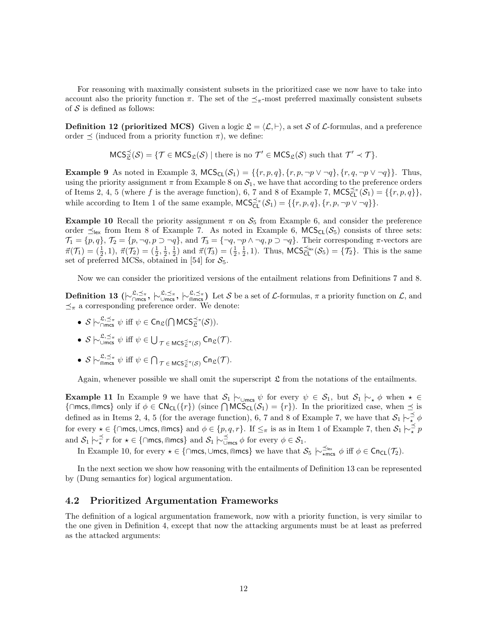For reasoning with maximally consistent subsets in the prioritized case we now have to take into account also the priority function  $\pi$ . The set of the  $\preceq_{\pi}$ -most preferred maximally consistent subsets of  $S$  is defined as follows:

**Definition 12 (prioritized MCS)** Given a logic  $\mathcal{L} = \langle \mathcal{L}, \vdash \rangle$ , a set S of L-formulas, and a preference order  $\preceq$  (induced from a priority function  $\pi$ ), we define:

$$
\mathsf{MCS}^{\preceq}_{\mathfrak L}(\mathcal S)=\{\mathcal T\in \mathsf{MCS}_\mathfrak L(\mathcal S)\mid \text{there is no }\mathcal T'\in \mathsf{MCS}_\mathfrak L(\mathcal S)\text{ such that }\mathcal T'\prec \mathcal T\}.
$$

**Example 9** As noted in Example 3,  $MCS_{CL}(\mathcal{S}_1) = \{\{r, p, q\}, \{r, p, \neg p \lor \neg q\}, \{r, q, \neg p \lor \neg q\}\}\.$  Thus, using the priority assignment  $\pi$  from Example 8 on  $S_1$ , we have that according to the preference orders of Items 2, 4, 5 (where f is the average function), 6, 7 and 8 of Example 7,  $MCS_{\mathsf{CL}}^{\preceq_\pi}(\mathcal{S}_1) = \{\{r, p, q\}\},\$ while according to Item 1 of the same example,  $MCS_{CL}^{\preceq_{\pi}}(\mathcal{S}_1) = \{\{r, p, q\}, \{r, p, \neg p \lor \neg q\}\}.$ 

**Example 10** Recall the priority assignment  $\pi$  on  $S_5$  from Example 6, and consider the preference order  $\preceq_{\text{lex}}$  from Item 8 of Example 7. As noted in Example 6, MCS<sub>CL</sub>( $S_5$ ) consists of three sets:  $\mathcal{T}_1 = \{p, q\}, \, \mathcal{T}_2 = \{p, \neg q, p \supset \neg q\}, \, \text{and } \mathcal{T}_3 = \{\neg q, \neg p \wedge \neg q, p \supset \neg q\}.$  Their corresponding  $\pi$ -vectors are  $\vec{\pi}(\mathcal{T}_1) = (\frac{1}{2}, 1), \ \vec{\pi}(\mathcal{T}_2) = (\frac{1}{2}, \frac{1}{2}, \frac{1}{2})$  and  $\vec{\pi}(\mathcal{T}_3) = (\frac{1}{2}, \frac{1}{2}, 1)$ . Thus,  $MCS_{CL}^{\leq \text{lex}}(\mathcal{S}_5) = \{\mathcal{T}_2\}$ . This is the same set of preferred MCSs, obtained in [54] for  $S_5$ .

Now we can consider the prioritized versions of the entailment relations from Definitions 7 and 8.

**Definition 13** ( $\vdash^{\mathfrak{L}, \preceq_{\pi}}_{\mathsf{Omcs}}, \vdash^{\mathfrak{L}, \preceq_{\pi}}_{\mathsf{Omcs}}$ ) Let S be a set of L-formulas,  $\pi$  a priority function on L, and  $\preceq_{\pi}$  a corresponding preference order. We denote:

- $S \nightharpoonup_{\bigcap \text{mcs}}^{\mathfrak{L}, \preceq_{\pi}} \psi$  iff  $\psi \in \mathsf{Cn}_{\mathfrak{L}}(\bigcap \text{MCS}_{\mathfrak{L}}^{\preceq_{\pi}}(\mathcal{S})).$
- $S \vdash_{\text{Umes}}^{\mathfrak{L}, \preceq_{\pi}} \psi \text{ iff } \psi \in \bigcup_{\mathcal{T} \in \text{MCS}_{\mathfrak{L}}^{\preceq_{\pi}}(\mathcal{S})} \text{Cn}_{\mathfrak{L}}(\mathcal{T}).$
- $S \vdash_{\widehat{\mathsf{m}} \mathsf{m}}^{\mathfrak{L}, \preceq_{\pi}} \psi \text{ iff } \psi \in \bigcap_{\mathcal{T} \in \mathsf{MCS}^{\preceq_{\pi}}_{\mathfrak{L}}(\mathcal{S})} \mathsf{Cn}_{\mathfrak{L}}(\mathcal{T}).$

Again, whenever possible we shall omit the superscript  $\mathfrak L$  from the notations of the entailments.

**Example 11** In Example 9 we have that  $S_1 \nvert_{\text{·} \text{ times }} \psi$  for every  $\psi \in S_1$ , but  $S_1 \nvert_{\text{·} \phi}$  when  $\star \in$  ${\{\cap \textsf{mcs}, \textsf{mmcs}\}}$  only if  $\phi \in \textsf{CN}_{\textsf{CL}}(\{r\})$  (since  $\bigcap \textsf{MCS}_{\textsf{CL}}(\mathcal{S}_1) = \{r\}$ ). In the prioritized case, when  $\preceq$  is defined as in Items 2, 4, 5 (for the average function), 6, 7 and 8 of Example 7, we have that  $S_1 \nvert \sim \frac{1}{\star} \phi$ for every  $\star \in \{\cap \textsf{mcs}, \cup \textsf{mcs}, \cap \textsf{mms}\}$  and  $\phi \in \{p, q, r\}$ . If  $\leq_\pi$  is as in Item 1 of Example 7, then  $\mathcal{S}_1 \sim \neq^\preceq p$ and  $S_1 \rvert \sim_{\star}^{\preceq} r$  for  $\star \in \{\cap \text{mcs}, \text{mmcs}\}\$  and  $S_1 \rvert \sim_{\cup \text{mcs}}^{\preceq} \phi$  for every  $\phi \in S_1$ .

In Example 10, for every  $\star \in \{\cap \text{mcs}, \cup \text{mcs}, \text{lmcs}\}\$  we have that  $\mathcal{S}_5 \hspace{0.2em}\sim_{\star \text{mcs}}^{\leq \text{lex}} \phi$  iff  $\phi \in \text{Cn}_{\text{CL}}(\mathcal{T}_2)$ .

In the next section we show how reasoning with the entailments of Definition 13 can be represented by (Dung semantics for) logical argumentation.

#### 4.2 Prioritized Argumentation Frameworks

The definition of a logical argumentation framework, now with a priority function, is very similar to the one given in Definition 4, except that now the attacking arguments must be at least as preferred as the attacked arguments: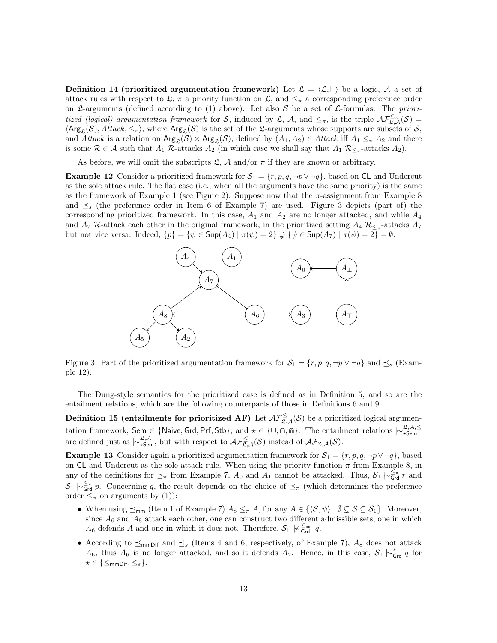**Definition 14 (prioritized argumentation framework)** Let  $\mathcal{L} = \langle \mathcal{L}, \vdash \rangle$  be a logic, A a set of attack rules with respect to  $\mathfrak{L}$ ,  $\pi$  a priority function on  $\mathcal{L}$ , and  $\leq_{\pi}$  a corresponding preference order on L-arguments (defined according to (1) above). Let also S be a set of L-formulas. The prioritized (logical) argumentation framework for S, induced by L, A, and  $\leq_{\pi}$ , is the triple  $\mathcal{AF}_{\mathcal{L},\mathcal{A}}^{\leq_{\pi}}(\mathcal{S})$  $\langle \text{Arg}_{\mathcal{L}}(\mathcal{S}), \text{Attack}, \leq_{\pi} \rangle$ , where  $\text{Arg}_{\mathcal{L}}(\mathcal{S})$  is the set of the L-arguments whose supports are subsets of S, and Attack is a relation on  $Arg_{\mathfrak{L}}(\mathcal{S}) \times Arg_{\mathfrak{L}}(\mathcal{S})$ , defined by  $(A_1, A_2) \in Attack$  iff  $A_1 \leq_{\pi} A_2$  and there is some  $\mathcal{R} \in \mathcal{A}$  such that  $A_1$  R-attacks  $A_2$  (in which case we shall say that  $A_1$   $\mathcal{R}_{\leq_{\pi}}$ -attacks  $A_2$ ).

As before, we will omit the subscripts  $\mathfrak{L}$ , A and/or  $\pi$  if they are known or arbitrary.

**Example 12** Consider a prioritized framework for  $S_1 = \{r, p, q, \neg p \lor \neg q\}$ , based on CL and Undercut as the sole attack rule. The flat case (i.e., when all the arguments have the same priority) is the same as the framework of Example 1 (see Figure 2). Suppose now that the  $\pi$ -assignment from Example 8 and  $\preceq_s$  (the preference order in Item 6 of Example 7) are used. Figure 3 depicts (part of) the corresponding prioritized framework. In this case,  $A_1$  and  $A_2$  are no longer attacked, and while  $A_4$ and  $A_7$  R-attack each other in the original framework, in the prioritized setting  $A_4$   $R_{\leq_{\pi}}$ -attacks  $A_7$ but not vice versa. Indeed,  $\{p\} = \{\psi \in \text{Sup}(A_4) \mid \pi(\psi) = 2\} \supsetneq \{\psi \in \text{Sup}(A_7) \mid \pi(\psi) = 2\} = \emptyset$ .



Figure 3: Part of the prioritized argumentation framework for  $S_1 = \{r, p, q, \neg p \lor \neg q\}$  and  $\preceq_s$  (Example 12).

The Dung-style semantics for the prioritized case is defined as in Definition 5, and so are the entailment relations, which are the following counterparts of those in Definitions 6 and 9.

**Definition 15 (entailments for prioritized AF)** Let  $\mathcal{AF}_{\mathfrak{L},\mathcal{A}}^{\leq}(\mathcal{S})$  be a prioritized logical argumentation framework, Sem ∈ {Naive, Grd, Prf, Stb}, and  $\star \in \{\cup, \cap, \text{m}\}.$  The entailment relations  $\vdash_{\star \textsf{Sem}}^{\mathfrak{L},\mathcal{A},\leq}$ are defined just as  $\qquadvdash^{\mathfrak{L},\mathcal{A}}_{\star \mathsf{Sem}}$ , but with respect to  $\mathcal{AF}^{\leq}_{\mathfrak{L},\mathcal{A}}(\mathcal{S})$  instead of  $\mathcal{AF}_{\mathfrak{L},\mathcal{A}}(\mathcal{S})$ .

**Example 13** Consider again a prioritized argumentation framework for  $S_1 = \{r, p, q, \neg p \lor \neg q\}$ , based on CL and Undercut as the sole attack rule. When using the priority function  $\pi$  from Example 8, in any of the definitions for  $\preceq_{\pi}$  from Example 7,  $A_0$  and  $\overline{A_1}$  cannot be attacked. Thus,  $S_1 \n\sim_{\mathsf{Grd}}^{\leq_{\pi}} r$  and  $S_1 \nvert \sim_{\mathsf{Grd}}^{\leq_{\pi}} p$ . Concerning q, the result depends on the choice of  $\preceq_{\pi}$  (which determines the preference order  $\leq_{\pi}$  on arguments by (1)):

- When using  $\preceq_{\sf mm}$  (Item 1 of Example 7)  $A_8 \leq_{\pi} A$ , for any  $A \in \{ \langle S, \psi \rangle \mid \emptyset \subsetneq S \subseteq S_1 \}$ . Moreover, since  $A_6$  and  $A_8$  attack each other, one can construct two different admissible sets, one in which A<sub>6</sub> defends A and one in which it does not. Therefore,  $S_1 \not\downarrow_{\mathsf{Grd}}^{\leq_{\mathsf{mm}}} q$ .
- According to  $\preceq_{\text{mmDiff}}$  and  $\preceq_s$  (Items 4 and 6, respectively, of Example 7),  $A_8$  does not attack  $A_6$ , thus  $A_6$  is no longer attacked, and so it defends  $A_2$ . Hence, in this case,  $S_1 \nvert \sim_{\mathsf{Grd}}^{\mathsf{c}} q$  for  $\star \in \{\leq_{\sf mmDif}, \leq_s\}.$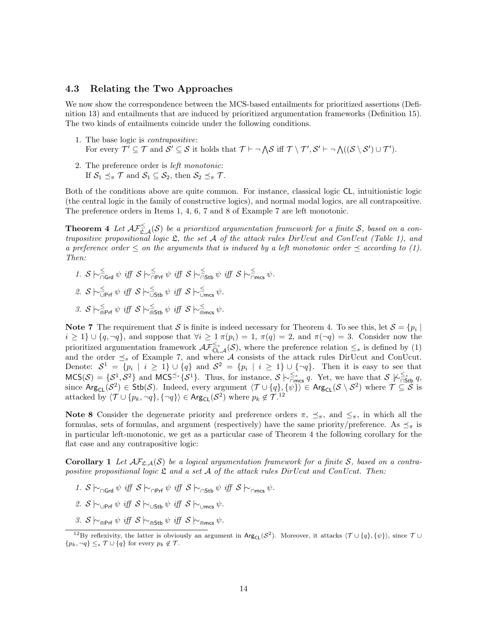#### 4.3 Relating the Two Approaches

We now show the correspondence between the MCS-based entailments for prioritized assertions (Definition 13) and entailments that are induced by prioritized argumentation frameworks (Definition 15). The two kinds of entailments coincide under the following conditions.

- 1. The base logic is contrapositive: For every  $\mathcal{T}' \subseteq \mathcal{T}$  and  $\mathcal{S}' \subseteq \mathcal{S}$  it holds that  $\mathcal{T} \vdash \neg \bigwedge \mathcal{S}$  iff  $\mathcal{T} \setminus \mathcal{T}', \mathcal{S}' \vdash \neg \bigwedge ((\mathcal{S} \setminus \mathcal{S}') \cup \mathcal{T}')$ .
- 2. The preference order is left monotonic: If  $S_1 \preceq_{\pi} \mathcal{T}$  and  $S_1 \subseteq S_2$ , then  $S_2 \preceq_{\pi} \mathcal{T}$ .

Both of the conditions above are quite common. For instance, classical logic CL, intuitionistic logic (the central logic in the family of constructive logics), and normal modal logics, are all contrapositive. The preference orders in Items 1, 4, 6, 7 and 8 of Example 7 are left monotonic.

**Theorem 4** Let  $\mathcal{AF}_{\mathfrak{L},\mathcal{A}}^{\leq}(S)$  be a prioritized argumentation framework for a finite S, based on a contrapositive propositional logic  $\mathfrak{L}$ , the set A of the attack rules DirUcut and ConUcut (Table 1), and a preference order  $\leq$  on the arguments that is induced by a left monotonic order  $\preceq$  according to (1). Then:

- 1.  $S \sim_{\square \textsf{Grd}}^{\leq} \psi \text{ iff } S \sim_{\square \textsf{Prf}}^{\leq} \psi \text{ iff } S \sim_{\square \textsf{Stb}}^{\leq} \psi \text{ iff } S \sim_{\square \textsf{mcs}}^{\leq} \psi.$
- 2.  $S \hspace{0.2em}\sim\hspace{-0.9em}\mid_{\cup \hspace{0.15em} \mathsf{Prf}}^{\leq} \hspace{0.2em}\psi \hspace{0.2em} \text{iff} \hspace{0.2em} S \hspace{0.2em}\sim\hspace{-0.9em}\mid_{\cup \hspace{0.15em} \mathsf{Stb}}^{\leq} \hspace{0.2em} \psi \hspace{0.2em} \text{iff} \hspace{0.2em} S \hspace{0.2em}\sim\hspace{-0.9em}\mid_{\cup \hspace{0.15em} \mathsf{mcs}}^{\leq} \hspace{0.2em} \psi.$
- 3. S  $\sim_{\widehat{\mathsf{mPrf}}}^{\leq} \psi$  iff S  $\sim_{\widehat{\mathsf{mStb}}}^{\leq} \psi$  iff S  $\sim_{\widehat{\mathsf{m}}\mathsf{mcs}}^{\leq} \psi$ .

Note 7 The requirement that S is finite is indeed necessary for Theorem 4. To see this, let  $S = \{p_i \mid$  $i \geq 1$   $\cup$   $\{q, \neg q\}$ , and suppose that  $\forall i \geq 1$   $\pi(p_i) = 1$ ,  $\pi(q) = 2$ , and  $\pi(\neg q) = 3$ . Consider now the prioritized argumentation framework  $\mathcal{AF}^{\leq s}_{\mathsf{CL},\mathcal{A}}(\mathcal{S})$ , where the preference relation  $\leq_s$  is defined by (1) and the order  $\leq_s$  of Example 7, and where A consists of the attack rules DirUcut and ConUcut. Denote:  $S^1 = \{p_i \mid i \geq 1\} \cup \{q\}$  and  $S^2 = \{p_i \mid i \geq 1\} \cup \{\neg q\}$ . Then it is easy to see that  $MCS(\mathcal{S}) = \{S^1, S^2\}$  and  $MCS^{\leq s} \{S^1\}$ . Thus, for instance,  $\mathcal{S} \nightharpoonup_{\bigcap \text{mcs}}^{\leq s} q$ . Yet, we have that  $\mathcal{S} \nightharpoonup_{\bigcap \text{Stb}}^{\leq s} q$ , since  $\text{Arg}_{\text{CL}}(\mathcal{S}^2) \in \text{Stb}(\mathcal{S})$ . Indeed, every argument  $\langle \mathcal{T} \cup {\lbrace q \rbrace}, {\lbrace \psi \rbrace} \rangle \in \text{Arg}_{\text{CL}}(\mathcal{S} \setminus \mathcal{S}^2)$  where  $\mathcal{T} \subseteq \mathcal{S}$  is attacked by  $\langle \mathcal{T} \cup \{p_k, \neg q\}, \{\neg q\}\rangle \in \text{Arg}_{\text{CL}}(\mathcal{S}^2)$  where  $p_k \notin \mathcal{T}^{12}$ .

Note 8 Consider the degenerate priority and preference orders  $\pi$ ,  $\preceq_{\pi}$ , and  $\leq_{\pi}$ , in which all the formulas, sets of formulas, and argument (respectively) have the same priority/preference. As  $\leq_{\pi}$  is in particular left-monotonic, we get as a particular case of Theorem 4 the following corollary for the flat case and any contrapositive logic:

**Corollary 1** Let  $\mathcal{AF}_{\mathfrak{L},\mathcal{A}}(\mathcal{S})$  be a logical argumentation framework for a finite S, based on a contrapositive propositional logic  $\mathfrak L$  and a set  $\mathcal A$  of the attack rules DirUcut and ConUcut. Then:

- 1. S  $\vdash_{\cap \text{Crr}} \psi$  iff  $S \vdash_{\cap \text{Prf}} \psi$  iff  $S \vdash_{\cap \text{Sth}} \psi$  iff  $S \vdash_{\cap \text{mcs}} \psi$ .
- 2. S  $\vdash_{\Box \text{Prf}} \psi \text{ iff } \mathcal{S} \models_{\Box \text{Stb}} \psi \text{ iff } \mathcal{S} \models_{\Box \text{mcs}} \psi.$
- 3.  $S \vdash_{\mathsf{QPFf}} \psi \text{ iff } S \vdash_{\mathsf{QStb}} \psi \text{ iff } S \vdash_{\mathsf{Qmcc}} \psi.$

<sup>&</sup>lt;sup>12</sup>By reflexivity, the latter is obviously an argument in  $Arg_{CL}(S^2)$ . Moreover, it attacks  $\langle \mathcal{T} \cup \{q\}, \{\psi\}\rangle$ , since  $\mathcal{T} \cup$  $\{p_k, \neg q\} \leq_s \mathcal{T} \cup \{q\}$  for every  $p_k \notin \mathcal{T}$ .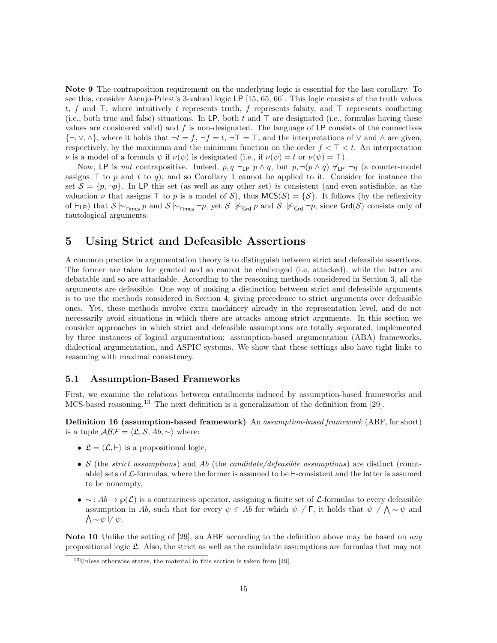Note 9 The contraposition requirement on the underlying logic is essential for the last corollary. To see this, consider Asenjo-Priest's 3-valued logic LP [15, 65, 66]. This logic consists of the truth values t, f and  $\top$ , where intuitively t represents truth, f represents falsity, and  $\top$  represents conflicting (i.e., both true and false) situations. In LP, both t and  $\top$  are designated (i.e., formulas having these values are considered valid) and  $f$  is non-designated. The language of LP consists of the connectives  ${\{\neg, \lor, \land\}}$ , where it holds that  $\neg t = f, \neg f = t, \neg T = \top$ , and the interpretations of  $\lor$  and  $\land$  are given, respectively, by the maximum and the minimum function on the order  $f < \top < t$ . An interpretation  $\nu$  is a model of a formula  $\psi$  if  $\nu(\psi)$  is designated (i.e., if  $\nu(\psi) = t$  or  $\nu(\psi) = \top$ ).

Now, LP is not contrapositive. Indeed,  $p, q \vdash_{\textsf{LP}} p \land q$ , but  $p, \neg(p \land q) \not\vdash_{\textsf{LP}} \neg q$  (a counter-model assigns  $\top$  to p and t to q), and so Corollary 1 cannot be applied to it. Consider for instance the set  $S = \{p, \neg p\}$ . In LP this set (as well as any other set) is consistent (and even satisfiable, as the valuation  $\nu$  that assigns  $\top$  to  $p$  is a model of S), thus  $MCS(\mathcal{S}) = \{S\}$ . It follows (by the reflexivity of  $\vdash_{LP}$ ) that  $S \mid_{\sim_{\cap \text{mcs}}} p$  and  $S \mid_{\sim_{\cap \text{mcs}}} \neg p$ , yet  $S \not\vdash_{\mathsf{Grd}} p$  and  $S \not\vdash_{\mathsf{Grd}} \neg p$ , since  $\mathsf{Grd}(S)$  consists only of tautological arguments.

## 5 Using Strict and Defeasible Assertions

A common practice in argumentation theory is to distinguish between strict and defeasible assertions. The former are taken for granted and so cannot be challenged (i.e, attacked), while the latter are debatable and so are attackable. According to the reasoning methods considered in Section 3, all the arguments are defeasible. One way of making a distinction between strict and defeasible arguments is to use the methods considered in Section 4, giving precedence to strict arguments over defeasible ones. Yet, these methods involve extra machinery already in the representation level, and do not necessarily avoid situations in which there are attacks among strict arguments. In this section we consider approaches in which strict and defeasible assumptions are totally separated, implemented by three instances of logical argumentation: assumption-based argumentation (ABA) frameworks, dialectical argumentation, and ASPIC systems. We show that these settings also have tight links to reasoning with maximal consistency.

#### 5.1 Assumption-Based Frameworks

First, we examine the relations between entailments induced by assumption-based frameworks and MCS-based reasoning.<sup>13</sup> The next definition is a generalization of the definition from [29].

Definition 16 (assumption-based framework) An assumption-based framework (ABF, for short) is a tuple  $\mathcal{ABF} = \langle \mathfrak{L}, \mathcal{S}, Ab, \sim \rangle$  where:

- $\mathfrak{L} = \langle \mathcal{L}, \vdash \rangle$  is a propositional logic,
- S (the strict assumptions) and Ab (the candidate/defeasible assumptions) are distinct (countable) sets of  $\mathcal{L}$ -formulas, where the former is assumed to be  $\vdash$ -consistent and the latter is assumed to be nonempty,
- $\sim$ :  $Ab \rightarrow \varphi(\mathcal{L})$  is a contrariness operator, assigning a finite set of  $\mathcal{L}$ -formulas to every defeasible assumption in Ab, such that for every  $\psi \in Ab$  for which  $\psi \nvdash F$ , it holds that  $\psi \nvdash \bigwedge \sim \psi$  and  $\bigwedge \sim \psi \not\vdash \psi.$

Note 10 Unlike the setting of [29], an ABF according to the definition above may be based on *any* propositional logic L. Also, the strict as well as the candidate assumptions are formulas that may not

<sup>13</sup>Unless otherwise states, the material in this section is taken from [49].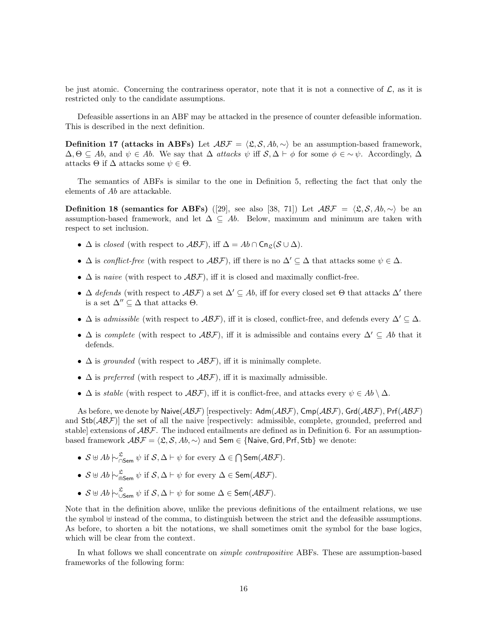be just atomic. Concerning the contrariness operator, note that it is not a connective of  $\mathcal{L}$ , as it is restricted only to the candidate assumptions.

Defeasible assertions in an ABF may be attacked in the presence of counter defeasible information. This is described in the next definition.

Definition 17 (attacks in ABFs) Let  $ABF = \langle \mathfrak{L}, \mathcal{S}, Ab, \sim \rangle$  be an assumption-based framework,  $\Delta, \Theta \subseteq Ab$ , and  $\psi \in Ab$ . We say that  $\Delta$  attacks  $\psi$  iff  $S, \Delta \vdash \phi$  for some  $\phi \in \sim \psi$ . Accordingly,  $\Delta$ attacks  $\Theta$  if  $\Delta$  attacks some  $\psi \in \Theta$ .

The semantics of ABFs is similar to the one in Definition 5, reflecting the fact that only the elements of Ab are attackable.

**Definition 18 (semantics for ABFs)** ([29], see also [38, 71]) Let  $ABF = \langle \mathfrak{L}, \mathcal{S}, Ab, \sim \rangle$  be an assumption-based framework, and let  $\Delta \subseteq Ab$ . Below, maximum and minimum are taken with respect to set inclusion.

- $\Delta$  is closed (with respect to  $\mathcal{ABF}$ ), iff  $\Delta = Ab \cap \mathsf{Cn}_{\mathfrak{L}}(\mathcal{S} \cup \Delta)$ .
- $\Delta$  is conflict-free (with respect to  $\mathcal{ABF}$ ), iff there is no  $\Delta' \subseteq \Delta$  that attacks some  $\psi \in \Delta$ .
- $\Delta$  is naive (with respect to  $\mathcal{ABF}$ ), iff it is closed and maximally conflict-free.
- $\Delta$  defends (with respect to  $\mathcal{ABF}$ ) a set  $\Delta' \subseteq Ab$ , iff for every closed set  $\Theta$  that attacks  $\Delta'$  there is a set  $\Delta'' \subseteq \Delta$  that attacks  $\Theta$ .
- $\Delta$  is admissible (with respect to  $\mathcal{ABF}$ ), iff it is closed, conflict-free, and defends every  $\Delta' \subseteq \Delta$ .
- $\Delta$  is complete (with respect to  $\mathcal{ABF}$ ), iff it is admissible and contains every  $\Delta' \subseteq Ab$  that it defends.
- $\Delta$  is grounded (with respect to  $\mathcal{ABF}$ ), iff it is minimally complete.
- $\Delta$  is preferred (with respect to  $\mathcal{ABF}$ ), iff it is maximally admissible.
- $\Delta$  is *stable* (with respect to  $\mathcal{ABF}$ ), iff it is conflict-free, and attacks every  $\psi \in Ab \setminus \Delta$ .

As before, we denote by Naive $(\mathcal{ABF})$  [respectively: Adm $(\mathcal{ABF})$ , Cmp $(\mathcal{ABF})$ , Grd $(\mathcal{ABF})$ , Prf $(\mathcal{ABF})$ and  $Stb(\mathcal{A}\mathcal{B}\mathcal{F})$ ] the set of all the naive [respectively: admissible, complete, grounded, preferred and stable] extensions of  $\mathcal{ABF}$ . The induced entailments are defined as in Definition 6. For an assumptionbased framework  $ABF = \langle \mathfrak{L}, \mathcal{S}, Ab, \sim \rangle$  and Sem ∈ {Naive, Grd, Prf, Stb} we denote:

- $S \oplus Ab \sim_{\square \text{Sem}}^{\mathfrak{L}} \psi \text{ if } S, \Delta \vdash \psi \text{ for every } \Delta \in \bigcap \text{Sem}(\mathcal{ABF}).$
- $S \uplus Ab \hspace{0.2em}\sim\hspace{-0.9em}\mid\hspace{0.58em} \mathcal{S}_{\text{em}} \psi$  if  $S, \Delta \vdash \psi$  for every  $\Delta \in \mathsf{Sem}(\mathcal{ABF})$ .
- $S \uplus Ab \,\bigwedge_{\cup \,\mathsf{Sem}}^{\mathfrak{L}} \psi \text{ if } S, \Delta \vdash \psi \text{ for some } \Delta \in \mathsf{Sem}(\mathcal{ABF}).$

Note that in the definition above, unlike the previous definitions of the entailment relations, we use the symbol  $\uplus$  instead of the comma, to distinguish between the strict and the defeasible assumptions. As before, to shorten a bit the notations, we shall sometimes omit the symbol for the base logics, which will be clear from the context.

In what follows we shall concentrate on simple contrapositive ABFs. These are assumption-based frameworks of the following form: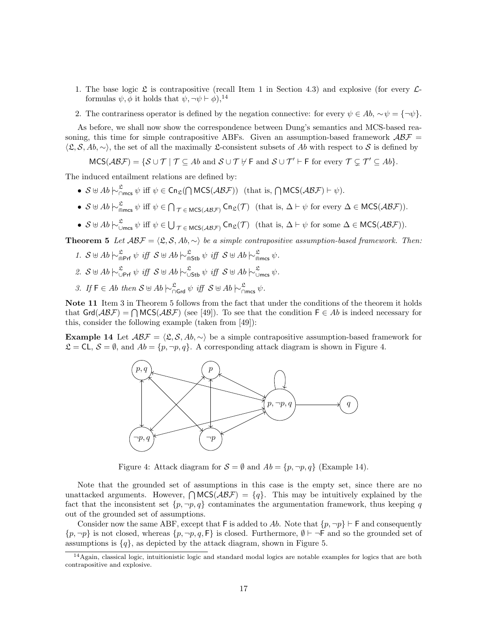- 1. The base logic  $\mathfrak L$  is contrapositive (recall Item 1 in Section 4.3) and explosive (for every  $\mathcal L$ formulas  $\psi$ ,  $\phi$  it holds that  $\psi$ ,  $\neg \psi \vdash \phi$ ),<sup>14</sup>
- 2. The contrariness operator is defined by the negation connective: for every  $\psi \in Ab$ ,  $\sim \psi = {\neg \psi}$ .

As before, we shall now show the correspondence between Dung's semantics and MCS-based reasoning, this time for simple contrapositive ABFs. Given an assumption-based framework  $ABF =$  $\langle \mathfrak{L}, \mathcal{S}, Ab, \sim \rangle$ , the set of all the maximally L-consistent subsets of Ab with respect to S is defined by

 $MCS(\mathcal{ABF}) = \{ \mathcal{S} \cup \mathcal{T} \mid \mathcal{T} \subseteq \mathcal{A}b \text{ and } \mathcal{S} \cup \mathcal{T} \nvdash F \text{ and } \mathcal{S} \cup \mathcal{T}' \vdash F \text{ for every } \mathcal{T} \subsetneq \mathcal{T}' \subseteq \mathcal{A}b \}.$ 

The induced entailment relations are defined by:

- $S \oplus Ab \n\sim_{\cap \text{mes}}^{\mathfrak{L}} \psi \text{ iff } \psi \in \text{Cn}_{\mathfrak{L}}(\bigcap \text{MCS}(\mathcal{ABF})) \text{ (that is, } \bigcap \text{MCS}(\mathcal{ABF}) \vdash \psi).$
- $S \oplus Ab \sim_{\widehat{\mathfrak{m}}_{\text{mres}}} \psi$  iff  $\psi \in \bigcap_{\mathcal{T} \in \text{MCS}(AB\mathcal{F})} \text{Cn}_{\mathfrak{L}}(\mathcal{T})$  (that is,  $\Delta \vdash \psi$  for every  $\Delta \in \text{MCS}(AB\mathcal{F})$ ).
- $S \oplus Ab \sim_{\cup \text{mes}}^{\mathfrak{L}} \psi$  iff  $\psi \in \bigcup_{\mathcal{T} \in \text{MCS}(\mathcal{ABF})} \text{Cn}_{\mathfrak{L}}(\mathcal{T})$  (that is,  $\Delta \vdash \psi$  for some  $\Delta \in \text{MCS}(\mathcal{ABF})$ ).

**Theorem 5** Let  $ABF = \langle \mathfrak{L}, \mathcal{S}, Ab, \sim \rangle$  be a simple contrapositive assumption-based framework. Then:

- 1.  $S \oplus Ab \sim_{\widehat{\mathsf{m}}Prf}^{\mathfrak{L}} \psi \text{ iff } S \oplus Ab \sim_{\widehat{\mathsf{m}}S\text{tb}}^{\mathfrak{L}} \psi \text{ iff } S \oplus Ab \sim_{\widehat{\mathsf{m}}mcs}^{\mathfrak{L}} \psi.$
- 2.  $S \oplus Ab \n\sim_{\mathsf{UPrf}}^{\mathfrak{L}} \psi \text{ iff } S \oplus Ab \n\sim_{\mathsf{UStb}}^{\mathfrak{L}} \psi \text{ iff } S \oplus Ab \n\sim_{\mathsf{Umcs}}^{\mathfrak{L}} \psi.$
- 3. If  $F \in Ab$  then  $S \cup Ab \nightharpoonup_{\bigcap \text{Grd}}^{\mathfrak{L}} \psi$  iff  $S \cup Ab \nightharpoonup_{\bigcap \text{mcs}}^{\mathfrak{L}} \psi$ .

Note 11 Item 3 in Theorem 5 follows from the fact that under the conditions of the theorem it holds that  $\text{Grd}(\mathcal{ABF}) = \bigcap \text{MCS}(\mathcal{ABF})$  (see [49]). To see that the condition  $F \in Ab$  is indeed necessary for this, consider the following example (taken from [49]):

**Example 14** Let  $ABF = \langle \mathfrak{L}, \mathcal{S}, Ab, \sim \rangle$  be a simple contrapositive assumption-based framework for  $\mathcal{L} = \mathsf{CL}, \, \mathcal{S} = \emptyset$ , and  $Ab = \{p, \neg p, q\}.$  A corresponding attack diagram is shown in Figure 4.



Figure 4: Attack diagram for  $S = \emptyset$  and  $Ab = \{p, \neg p, q\}$  (Example 14).

Note that the grounded set of assumptions in this case is the empty set, since there are no unattacked arguments. However,  $\bigcap \text{MCS}(\mathcal{ABF}) = \{q\}$ . This may be intuitively explained by the fact that the inconsistent set  $\{p, \neg p, q\}$  contaminates the argumentation framework, thus keeping q out of the grounded set of assumptions.

Consider now the same ABF, except that F is added to Ab. Note that  $\{p, \neg p\} \vdash F$  and consequently  $\{p, \neg p\}$  is not closed, whereas  $\{p, \neg p, q, \mathsf{F}\}\$  is closed. Furthermore,  $\emptyset \vdash \neg \mathsf{F}$  and so the grounded set of assumptions is  ${q}$ , as depicted by the attack diagram, shown in Figure 5.

 $14$ Again, classical logic, intuitionistic logic and standard modal logics are notable examples for logics that are both contrapositive and explosive.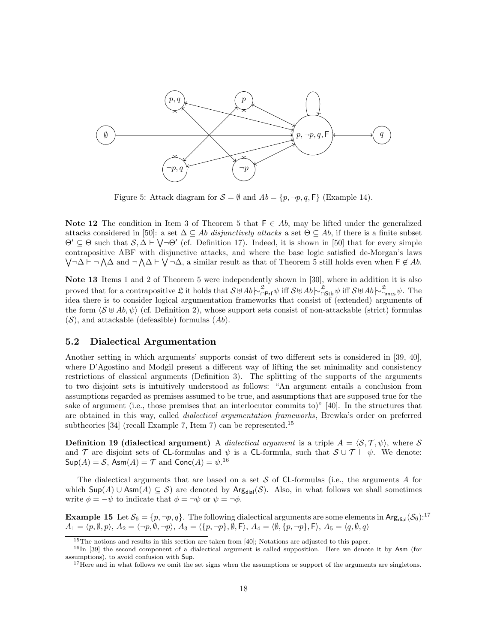

Figure 5: Attack diagram for  $S = \emptyset$  and  $Ab = \{p, \neg p, q, F\}$  (Example 14).

Note 12 The condition in Item 3 of Theorem 5 that  $F \in Ab$ , may be lifted under the generalized attacks considered in [50]: a set  $\Delta \subseteq Ab$  disjunctively attacks a set  $\Theta \subseteq Ab$ , if there is a finite subset  $\Theta' \subseteq \Theta$  such that  $S, \Delta \vdash \bigvee \neg \Theta'$  (cf. Definition 17). Indeed, it is shown in [50] that for every simple contrapositive ABF with disjunctive attacks, and where the base logic satisfied de-Morgan's laws  $\bigvee \neg \Delta \vdash \neg \bigwedge \Delta$  and  $\neg \bigwedge \Delta \vdash \bigvee \neg \Delta$ , a similar result as that of Theorem 5 still holds even when  $\mathsf{F} \notin Ab$ .

Note 13 Items 1 and 2 of Theorem 5 were independently shown in [30], where in addition it is also proved that for a contrapositive  $\mathfrak{L}$  it holds that  $S \oplus Ab \sim_{\square \mathsf{Prf}}^{\mathfrak{L}} \psi$  iff  $S \oplus Ab \sim_{\square \mathsf{Stb}}^{\mathfrak{L}} \psi$  iff  $S \oplus Ab \sim_{\square \mathsf{mcs}}^{\mathfrak{L}} \psi$ . The idea there is to consider logical argumentation frameworks that consist of (extended) arguments of the form  $\langle S \oplus Ab, \psi \rangle$  (cf. Definition 2), whose support sets consist of non-attackable (strict) formulas  $(S)$ , and attackable (defeasible) formulas  $(Ab)$ .

#### 5.2 Dialectical Argumentation

Another setting in which arguments' supports consist of two different sets is considered in [39, 40], where D'Agostino and Modgil present a different way of lifting the set minimality and consistency restrictions of classical arguments (Definition 3). The splitting of the supports of the arguments to two disjoint sets is intuitively understood as follows: "An argument entails a conclusion from assumptions regarded as premises assumed to be true, and assumptions that are supposed true for the sake of argument (i.e., those premises that an interlocutor commits to)" [40]. In the structures that are obtained in this way, called *dialectical argumentation frameworks*, Brewka's order on preferred subtheories [34] (recall Example 7, Item 7) can be represented.<sup>15</sup>

**Definition 19 (dialectical argument)** A *dialectical argument* is a triple  $A = \langle S, \mathcal{T}, \psi \rangle$ , where S and T are disjoint sets of CL-formulas and  $\psi$  is a CL-formula, such that  $\mathcal{S} \cup \mathcal{T} \vdash \psi$ . We denote:  $\mathsf{Sup}(A) = \mathcal{S}$ ,  $\mathsf{Asm}(A) = \mathcal{T}$  and  $\mathsf{Conc}(A) = \psi$ .<sup>16</sup>

The dialectical arguments that are based on a set  $S$  of CL-formulas (i.e., the arguments A for which  $\textsf{Sup}(A) \cup \textsf{Asm}(A) \subseteq \mathcal{S}$  are denoted by  $\textsf{Arg}_{\text{dial}}(\mathcal{S})$ . Also, in what follows we shall sometimes write  $\phi = -\psi$  to indicate that  $\phi = -\psi$  or  $\psi = -\phi$ .

**Example 15** Let  $S_6 = \{p, \neg p, q\}$ . The following dialectical arguments are some elements in Arg<sub>dial</sub>( $S_6$ ):<sup>17</sup>  $A_1 = \langle p, \emptyset, p \rangle, A_2 = \langle \neg p, \emptyset, \neg p \rangle, A_3 = \langle \{p, \neg p\}, \emptyset, \mathsf{F} \rangle, A_4 = \langle \emptyset, \{p, \neg p\}, \mathsf{F} \rangle, A_5 = \langle q, \emptyset, q \rangle$ 

<sup>&</sup>lt;sup>15</sup>The notions and results in this section are taken from [40]; Notations are adjusted to this paper.

<sup>&</sup>lt;sup>16</sup>In [39] the second component of a dialectical argument is called supposition. Here we denote it by Asm (for assumptions), to avoid confusion with Sup.

<sup>&</sup>lt;sup>17</sup>Here and in what follows we omit the set signs when the assumptions or support of the arguments are singletons.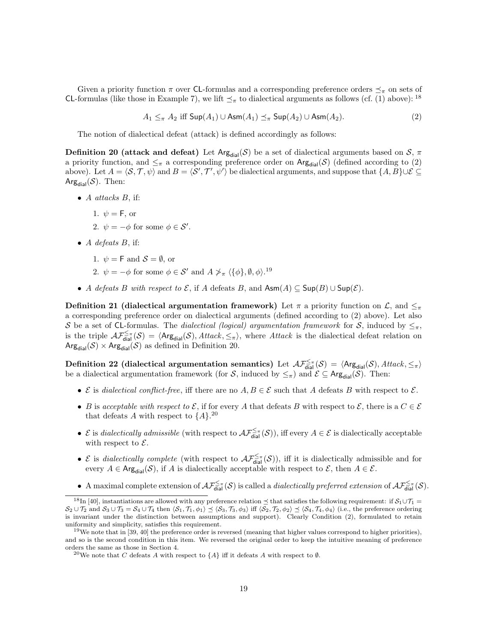Given a priority function  $\pi$  over CL-formulas and a corresponding preference orders  $\preceq_{\pi}$  on sets of CL-formulas (like those in Example 7), we lift  $\preceq_{\pi}$  to dialectical arguments as follows (cf. (1) above): <sup>18</sup>

 $A_1 \leq_{\pi} A_2$  iff  $\textsf{Sup}(A_1) \cup \textsf{Asm}(A_1) \leq_{\pi} \textsf{Sup}(A_2) \cup \textsf{Asm}(A_2).$  (2)

The notion of dialectical defeat (attack) is defined accordingly as follows:

Definition 20 (attack and defeat) Let  $Arg_{dial}(S)$  be a set of dialectical arguments based on  $S$ ,  $\pi$ a priority function, and  $\leq_{\pi}$  a corresponding preference order on Arg<sub>dial</sub>(S) (defined according to (2) above). Let  $A = \langle S, \mathcal{T}, \psi \rangle$  and  $B = \langle S', \mathcal{T}', \psi' \rangle$  be dialectical arguments, and suppose that  $\{A, B\} \cup \mathcal{E} \subseteq$ Arg<sub>dial</sub> $(S)$ . Then:

 $\bullet$  A attacks B, if:

1. 
$$
\psi = \mathsf{F}
$$
, or

- 2.  $\psi = -\phi$  for some  $\phi \in \mathcal{S}'$ .
- $\bullet$  *A* defeats *B*, if:
	- 1.  $\psi = \mathsf{F}$  and  $\mathcal{S} = \emptyset$ , or
	- 2.  $\psi = -\phi$  for some  $\phi \in \mathcal{S}'$  and  $A \nsucc_{\pi} \langle {\phi}, \emptyset, \phi \rangle$ .<sup>19</sup>
- A defeats B with respect to  $\mathcal{E}$ , if A defeats B, and  $\mathsf{Asm}(A) \subseteq \mathsf{Sup}(B) \cup \mathsf{Sup}(\mathcal{E})$ .

**Definition 21 (dialectical argumentation framework)** Let  $\pi$  a priority function on  $\mathcal{L}$ , and  $\leq_{\pi}$ a corresponding preference order on dialectical arguments (defined according to (2) above). Let also S be a set of CL-formulas. The dialectical (logical) argumentation framework for S, induced by  $\leq_{\pi}$ , is the triple  $\mathcal{AF}_{\text{dial}}^{\leq \pi}(\mathcal{S}) = \langle \text{Arg}_{\text{dial}}(\mathcal{S}), \text{Attack}, \leq_{\pi} \rangle$ , where Attack is the dialectical defeat relation on  $Arg_{dial}(\mathcal{S}) \times Arg_{dial}(\mathcal{S})$  as defined in Definition 20.

Definition 22 (dialectical argumentation semantics) Let  $\mathcal{AF}_{\text{dial}}^{\leq \pi}(\mathcal{S}) = \langle \mathsf{Arg}_{\text{dial}}(\mathcal{S}), \mathit{Attack}, \leq_\pi \rangle$ be a dialectical argumentation framework (for S, induced by  $\leq_{\pi}$ ) and  $\mathcal{E} \subseteq \mathsf{Arg}_{\text{dial}}(\mathcal{S})$ . Then:

- $\mathcal E$  is dialectical conflict-free, iff there are no  $A, B \in \mathcal E$  such that A defeats B with respect to  $\mathcal E$ .
- B is acceptable with respect to  $\mathcal{E}$ , if for every A that defeats B with respect to  $\mathcal{E}$ , there is a  $C \in \mathcal{E}$ that defeats A with respect to  $\{A\}$ <sup>20</sup>
- E is dialectically admissible (with respect to  $\mathcal{AF}_{\text{dial}}^{\leq \pi}(\mathcal{S})$ ), iff every  $A \in \mathcal{E}$  is dialectically acceptable with respect to  $\mathcal{E}$ .
- E is dialectically complete (with respect to  $\mathcal{AF}_{\text{dial}}^{\leq \pi}(\mathcal{S})$ ), iff it is dialectically admissible and for every  $A \in \text{Arg}_{\text{dial}}(\mathcal{S})$ , if A is dialectically acceptable with respect to  $\mathcal{E}$ , then  $A \in \mathcal{E}$ .
- A maximal complete extension of  $\mathcal{AF}_{\text{dial}}^{\leq \pi}(\mathcal{S})$  is called a *dialectically preferred extension* of  $\mathcal{AF}_{\text{dial}}^{\leq \pi}(\mathcal{S})$ .

<sup>&</sup>lt;sup>18</sup>In [40], instantiations are allowed with any preference relation  $\prec$  that satisfies the following requirement: if  $S_1 \cup T_1$  =  $S_2 \cup \mathcal{T}_2$  and  $S_3 \cup \mathcal{T}_3 = S_4 \cup \mathcal{T}_4$  then  $\langle S_1, \mathcal{T}_1, \phi_1 \rangle \preceq \langle S_3, \mathcal{T}_3, \phi_3 \rangle$  iff  $\langle S_2, \mathcal{T}_2, \phi_2 \rangle \preceq \langle S_4, \mathcal{T}_4, \phi_4 \rangle$  (i.e., the preference ordering is invariant under the distinction between assumptions and support). Clearly Condition (2), formulated to retain uniformity and simplicity, satisfies this requirement.

 $19$ We note that in [39, 40] the preference order is reversed (meaning that higher values correspond to higher priorities), and so is the second condition in this item. We reversed the original order to keep the intuitive meaning of preference orders the same as those in Section 4.

<sup>&</sup>lt;sup>20</sup>We note that C defeats A with respect to  $\{A\}$  iff it defeats A with respect to Ø.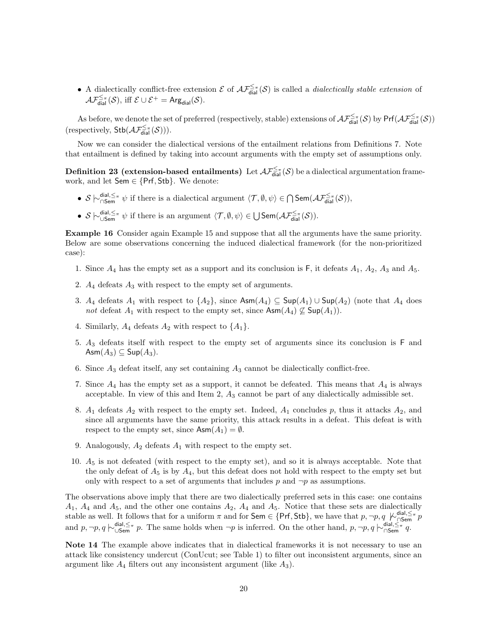• A dialectically conflict-free extension  $\mathcal E$  of  $\mathcal{AF}_{\text{dial}}^{\leq \pi}(\mathcal S)$  is called a *dialectically stable extension* of  $\mathcal{AF}_{\textsf{dial}}^{\leq\pi}(\mathcal{S}), \text{ iff } \mathcal{E}\cup\mathcal{E}^+=\mathsf{Arg}_{\textsf{dial}}(\mathcal{S}).$ 

As before, we denote the set of preferred (respectively, stable) extensions of  $\mathcal{AF}_{\text{dial}}^{\leq \pi}(\mathcal{S})$  by  $Pr(\mathcal{AF}_{\text{dial}}^{\leq \pi}(\mathcal{S}))$ (respectively,  $\mathsf{Stb}(\mathcal{AF}_{\mathsf{dial}}^{\leq\pi}(\mathcal{S}))).$ 

Now we can consider the dialectical versions of the entailment relations from Definitions 7. Note that entailment is defined by taking into account arguments with the empty set of assumptions only.

**Definition 23 (extension-based entailments)** Let  $\mathcal{AF}_{\text{dial}}^{\leq \pi}(\mathcal{S})$  be a dialectical argumentation framework, and let  $Sem \in \{Prf, Stb\}$ . We denote:

- $S \n\sim_{\mathsf{CSem}}^{\mathsf{dial},\leq \pi} \psi$  if there is a dialectical argument  $\langle \mathcal{T}, \emptyset, \psi \rangle \in \bigcap \mathsf{Sem}(\mathcal{AF}_{\mathsf{dial}}^{\leq \pi}(\mathcal{S})),$
- $S \n\sim_{\mathsf{USem}}^{\mathsf{dial}, \leq \pi} \psi$  if there is an argument  $\langle \mathcal{T}, \emptyset, \psi \rangle \in \bigcup \mathsf{Sem}(\mathcal{AF}_{\mathsf{dial}}^{\leq \pi}(\mathcal{S})).$

Example 16 Consider again Example 15 and suppose that all the arguments have the same priority. Below are some observations concerning the induced dialectical framework (for the non-prioritized case):

- 1. Since  $A_4$  has the empty set as a support and its conclusion is F, it defeats  $A_1$ ,  $A_2$ ,  $A_3$  and  $A_5$ .
- 2.  $A_4$  defeats  $A_3$  with respect to the empty set of arguments.
- 3. A<sub>4</sub> defeats A<sub>1</sub> with respect to  $\{A_2\}$ , since  $\text{Asm}(A_4) \subseteq \text{Sup}(A_1) \cup \text{Sup}(A_2)$  (note that  $A_4$  does not defeat  $A_1$  with respect to the empty set, since  $\mathsf{Asm}(A_4) \not\subseteq \mathsf{Sup}(A_1)$ .
- 4. Similarly,  $A_4$  defeats  $A_2$  with respect to  $\{A_1\}.$
- 5. A<sup>3</sup> defeats itself with respect to the empty set of arguments since its conclusion is F and  $\mathsf{Asm}(A_3) \subseteq \mathsf{Sup}(A_3).$
- 6. Since  $A_3$  defeat itself, any set containing  $A_3$  cannot be dialectically conflict-free.
- 7. Since  $A_4$  has the empty set as a support, it cannot be defeated. This means that  $A_4$  is always acceptable. In view of this and Item 2,  $A_3$  cannot be part of any dialectically admissible set.
- 8.  $A_1$  defeats  $A_2$  with respect to the empty set. Indeed,  $A_1$  concludes p, thus it attacks  $A_2$ , and since all arguments have the same priority, this attack results in a defeat. This defeat is with respect to the empty set, since  $\mathsf{Asm}(A_1) = \emptyset$ .
- 9. Analogously,  $A_2$  defeats  $A_1$  with respect to the empty set.
- 10.  $A_5$  is not defeated (with respect to the empty set), and so it is always acceptable. Note that the only defeat of  $A_5$  is by  $A_4$ , but this defeat does not hold with respect to the empty set but only with respect to a set of arguments that includes  $p$  and  $\neg p$  as assumptions.

The observations above imply that there are two dialectically preferred sets in this case: one contains  $A_1$ ,  $A_4$  and  $A_5$ , and the other one contains  $A_2$ ,  $A_4$  and  $A_5$ . Notice that these sets are dialectically stable as well. It follows that for a uniform  $\pi$  and for Sem ∈ {Prf, Stb}, we have that  $p, \neg p, q \not\sim_{\square \text{Sem}}^{\text{dial}, \leq \pi} p$ and  $p, \neg p, q \nmid \sim_{\mathsf{USem}}^{\mathsf{dial}, \leq \pi} p$ . The same holds when  $\neg p$  is inferred. On the other hand,  $p, \neg p, q \nmid_{\mathsf{OSem}}^{\mathsf{dial}, \leq \pi} q$ .

Note 14 The example above indicates that in dialectical frameworks it is not necessary to use an attack like consistency undercut (ConUcut; see Table 1) to filter out inconsistent arguments, since an argument like  $A_4$  filters out any inconsistent argument (like  $A_3$ ).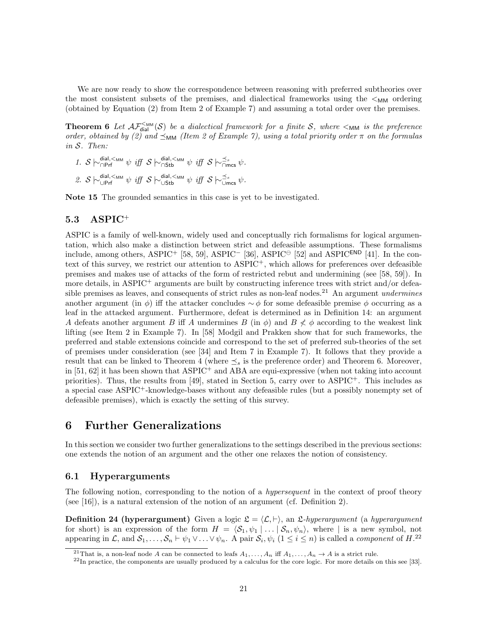We are now ready to show the correspondence between reasoning with preferred subtheories over the most consistent subsets of the premises, and dialectical frameworks using the  $\lt M_M$  ordering (obtained by Equation (2) from Item 2 of Example 7) and assuming a total order over the premises.

**Theorem 6** Let  $A\mathcal{F}_{\text{dial}}^{\leq_{MM}}(\mathcal{S})$  be a dialectical framework for a finite  $\mathcal{S}$ , where  $\lt_{MM}$  is the preference order, obtained by (2) and  $\preceq_{MM}$  (Item 2 of Example 7), using a total priority order  $\pi$  on the formulas in S. Then:

- 1.  $S \nightharpoonup_{\bigcap \text{Prf}}^{\text{dial},\leq_{\text{MM}}} \psi \text{ iff } S \nightharpoonup_{\bigcap \text{Stb}}^{\text{dial},\leq_{\text{MM}}} \psi \text{ iff } S \nightharpoonup_{\bigcap \text{mcs}}^{\preceq_s} \psi.$
- 2.  $\mathcal{S} \hspace{0.2em}\sim\hspace{-0.9em}\mid\hspace{0.58em} \mid$   $\lim\limits_{\psi \rightarrow 0} \psi \hspace{0.2em} \mid$   $\mathcal{S} \hspace{0.2em}\sim\hspace{-0.9em}\mid\hspace{0.58em} \mid$   $\lim\limits_{\psi \rightarrow 0} \psi \hspace{0.2em} \mid$   $\lim\limits_{\psi \rightarrow 0} \mathcal{S} \hspace{0.2em}\sim\hspace{-0.9em}\mid\hspace{0.58em} \sup\limits_{\psi \rightarrow \infty} \psi$ .

Note 15 The grounded semantics in this case is yet to be investigated.

### 5.3 ASPIC<sup>+</sup>

ASPIC is a family of well-known, widely used and conceptually rich formalisms for logical argumentation, which also make a distinction between strict and defeasible assumptions. These formalisms include, among others, ASPIC<sup>+</sup> [58, 59], ASPIC<sup>-</sup> [36], ASPIC<sup>⊖</sup> [52] and ASPIC<sup>END</sup> [41]. In the context of this survey, we restrict our attention to ASPIC+, which allows for preferences over defeasible premises and makes use of attacks of the form of restricted rebut and undermining (see [58, 59]). In more details, in ASPIC<sup>+</sup> arguments are built by constructing inference trees with strict and/or defeasible premises as leaves, and consequents of strict rules as non-leaf nodes.<sup>21</sup> An argument *undermines* another argument (in  $\phi$ ) iff the attacker concludes  $\sim \phi$  for some defeasible premise  $\phi$  occurring as a leaf in the attacked argument. Furthermore, defeat is determined as in Definition 14: an argument A defeats another argument B iff A undermines  $B$  (in  $\phi$ ) and  $B \nless \phi$  according to the weakest link lifting (see Item 2 in Example 7). In [58] Modgil and Prakken show that for such frameworks, the preferred and stable extensions coincide and correspond to the set of preferred sub-theories of the set of premises under consideration (see [34] and Item 7 in Example 7). It follows that they provide a result that can be linked to Theorem 4 (where  $\preceq_s$  is the preference order) and Theorem 6. Moreover, in [51, 62] it has been shown that ASPIC<sup>+</sup> and ABA are equi-expressive (when not taking into account priorities). Thus, the results from [49], stated in Section 5, carry over to  $\text{ASPIC}^+$ . This includes as a special case ASPIC+-knowledge-bases without any defeasible rules (but a possibly nonempty set of defeasible premises), which is exactly the setting of this survey.

## 6 Further Generalizations

In this section we consider two further generalizations to the settings described in the previous sections: one extends the notion of an argument and the other one relaxes the notion of consistency.

#### 6.1 Hyperarguments

The following notion, corresponding to the notion of a *hypersequent* in the context of proof theory (see  $[16]$ ), is a natural extension of the notion of an argument (cf. Definition 2).

**Definition 24 (hyperargument)** Given a logic  $\mathcal{L} = \langle \mathcal{L}, \vdash \rangle$ , an *L*-hyperargument (a hyperargument for short) is an expression of the form  $H = \langle S_1, \psi_1 | \dots | S_n, \psi_n \rangle$ , where | is a new symbol, not appearing in L, and  $S_1, \ldots, S_n \vdash \psi_1 \vee \ldots \vee \psi_n$ . A pair  $S_i, \psi_i$   $(1 \leq i \leq n)$  is called a *component* of  $H^{22}$ 

<sup>&</sup>lt;sup>21</sup>That is, a non-leaf node A can be connected to leafs  $A_1, \ldots, A_n$  iff  $A_1, \ldots, A_n \rightarrow A$  is a strict rule.

 $22$ In practice, the components are usually produced by a calculus for the core logic. For more details on this see [33].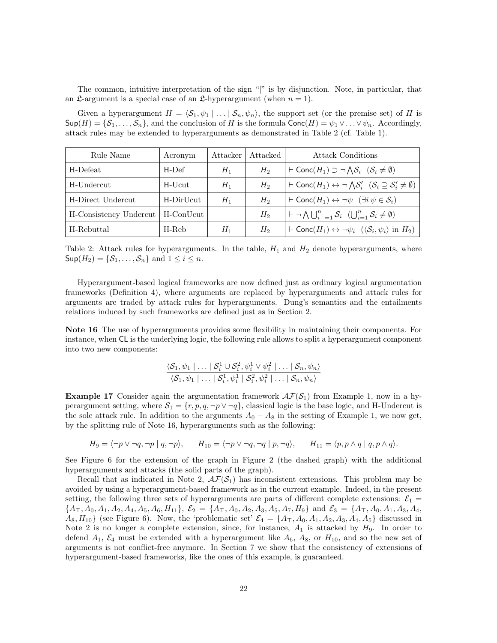The common, intuitive interpretation of the sign "|" is by disjunction. Note, in particular, that an  $\mathfrak{L}$ -argument is a special case of an  $\mathfrak{L}$ -hyperargument (when  $n = 1$ ).

Given a hyperargument  $H = \langle S_1, \psi_1 | \dots | S_n, \psi_n \rangle$ , the support set (or the premise set) of H is  $\textsf{Sup}(H) = \{S_1, \ldots, S_n\}$ , and the conclusion of H is the formula  $\textsf{Conc}(H) = \psi_1 \vee \ldots \vee \psi_n$ . Accordingly, attack rules may be extended to hyperarguments as demonstrated in Table 2 (cf. Table 1).

| Rule Name              | Acronym   | Attacker | Attacked | <b>Attack Conditions</b>                                                                                            |
|------------------------|-----------|----------|----------|---------------------------------------------------------------------------------------------------------------------|
| H-Defeat               | H-Def     | $H_1$    | $H_2$    | $\vdash$ Conc $(H_1) \supset \neg \bigwedge \mathcal{S}_i \ (S_i \neq \emptyset)$                                   |
| H-Undercut             | H-Ucut    | $H_1$    | $H_2$    | $\vdash$ Conc $(H_1) \leftrightarrow \neg \bigwedge S'_i$ $(\mathcal{S}_i \supseteq \mathcal{S}'_i \neq \emptyset)$ |
| H-Direct Undercut      | H-DirUcut | $H_1$    | $H_2$    | $\vdash$ Conc $(H_1) \leftrightarrow \neg \psi$ $(\exists i \psi \in \mathcal{S}_i)$                                |
| H-Consistency Undercut | H-ConUcut |          | $H_2$    | $  \vdash \neg \bigwedge \bigcup_{i=1}^n \mathcal{S}_i \mid (\bigcup_{i=1}^n \mathcal{S}_i \neq \emptyset)$         |
| H-Rebuttal             | H-Reb     | $H_1$    | $H_2$    | $\vdash$ Conc $(H_1) \leftrightarrow \neg \psi_i$ $(\langle S_i, \psi_i \rangle$ in $H_2)$                          |

Table 2: Attack rules for hyperarguments. In the table,  $H_1$  and  $H_2$  denote hyperarguments, where  $\mathsf{Sup}(H_2) = \{S_1, \ldots, S_n\}$  and  $1 \leq i \leq n$ .

Hyperargument-based logical frameworks are now defined just as ordinary logical argumentation frameworks (Definition 4), where arguments are replaced by hyperarguments and attack rules for arguments are traded by attack rules for hyperarguments. Dung's semantics and the entailments relations induced by such frameworks are defined just as in Section 2.

Note 16 The use of hyperarguments provides some flexibility in maintaining their components. For instance, when CL is the underlying logic, the following rule allows to split a hyperargument component into two new components:

$$
\frac{\langle \mathcal{S}_1, \psi_1 | \dots | \mathcal{S}_i^1 \cup \mathcal{S}_i^2, \psi_i^1 \vee \psi_i^2 | \dots | \mathcal{S}_n, \psi_n \rangle}{\langle \mathcal{S}_1, \psi_1 | \dots | \mathcal{S}_i^1, \psi_i^1 | \mathcal{S}_i^2, \psi_i^2 | \dots | \mathcal{S}_n, \psi_n \rangle}
$$

**Example 17** Consider again the argumentation framework  $\mathcal{A}\mathcal{F}(\mathcal{S}_1)$  from Example 1, now in a hyperargument setting, where  $S_1 = \{r, p, q, \neg p \lor \neg q\}$ , classical logic is the base logic, and H-Undercut is the sole attack rule. In addition to the arguments  $A_0 - A_8$  in the setting of Example 1, we now get, by the splitting rule of Note 16, hyperarguments such as the following:

$$
H_9 = \langle \neg p \lor \neg q, \neg p \mid q, \neg p \rangle, \qquad H_{10} = \langle \neg p \lor \neg q, \neg q \mid p, \neg q \rangle, \qquad H_{11} = \langle p, p \land q \mid q, p \land q \rangle.
$$

See Figure 6 for the extension of the graph in Figure 2 (the dashed graph) with the additional hyperarguments and attacks (the solid parts of the graph).

Recall that as indicated in Note 2,  $\mathcal{AF}(\mathcal{S}_1)$  has inconsistent extensions. This problem may be avoided by using a hyperargument-based framework as in the current example. Indeed, in the present setting, the following three sets of hyperarguments are parts of different complete extensions:  $\mathcal{E}_1$  =  ${A<sub>T</sub>, A<sub>0</sub>, A<sub>1</sub>, A<sub>2</sub>, A<sub>4</sub>, A<sub>5</sub>, A<sub>6</sub>, H<sub>11</sub>}, \, \mathcal{E}<sub>2</sub> = {A<sub>T</sub>, A<sub>0</sub>, A<sub>2</sub>, A<sub>3</sub>, A<sub>5</sub>, A<sub>7</sub>, H<sub>9</sub>}$  and  $\mathcal{E}<sub>3</sub> = {A<sub>T</sub>, A<sub>0</sub>, A<sub>1</sub>, A<sub>3</sub>, A<sub>4</sub>, A<sub>7</sub>}.$  $A_8, H_{10}$  (see Figure 6). Now, the 'problematic set'  $\mathcal{E}_4 = \{A_{\top}, A_0, A_1, A_2, A_3, A_4, A_5\}$  discussed in Note 2 is no longer a complete extension, since, for instance,  $A_1$  is attacked by  $H_9$ . In order to defend  $A_1$ ,  $\mathcal{E}_4$  must be extended with a hyperargument like  $A_6$ ,  $A_8$ , or  $H_{10}$ , and so the new set of arguments is not conflict-free anymore. In Section 7 we show that the consistency of extensions of hyperargument-based frameworks, like the ones of this example, is guaranteed.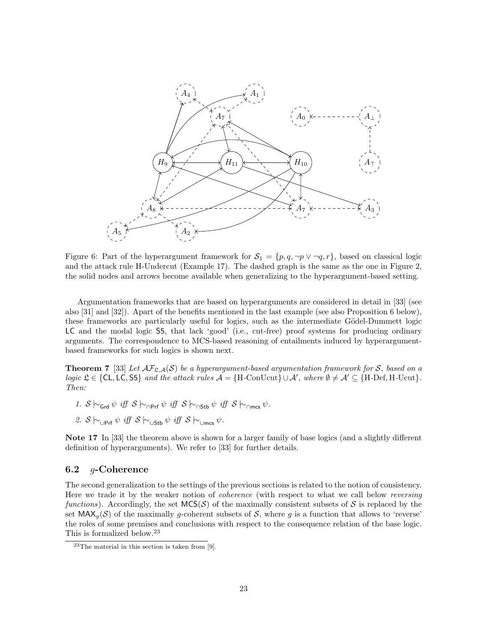

Figure 6: Part of the hyperargument framework for  $S_1 = \{p, q, \neg p \lor \neg q, r\}$ , based on classical logic and the attack rule H-Undercut (Example 17). The dashed graph is the same as the one in Figure 2, the solid nodes and arrows become available when generalizing to the hyperargument-based setting.

Argumentation frameworks that are based on hyperarguments are considered in detail in [33] (see also [31] and [32]). Apart of the benefits mentioned in the last example (see also Proposition 6 below), these frameworks are particularly useful for logics, such as the intermediate Gödel-Dummett logic LC and the modal logic S5, that lack 'good' (i.e., cut-free) proof systems for producing ordinary arguments. The correspondence to MCS-based reasoning of entailments induced by hyperargumentbased frameworks for such logics is shown next.

**Theorem 7** [33] Let  $\mathcal{AF}_{\mathcal{L},\mathcal{A}}(\mathcal{S})$  be a hyperargument-based argumentation framework for S, based on a logic  $\mathfrak{L} \in \{CL, LC, S5\}$  and the attack rules  $\mathcal{A} = \{H\text{-ConUcut}\} \cup \mathcal{A}'$ , where  $\emptyset \neq \mathcal{A}' \subseteq \{H\text{-Def}, H\text{-Ucut}\}.$ Then:

- 1.  $S \vdash_{Grd} \psi$  iff  $S \vdash_{\bigcap \text{Prf}} \psi$  iff  $S \vdash_{\bigcap \text{Stb}} \psi$  iff  $S \vdash_{\bigcap \text{mes}} \psi$ .
- 2. S  $\sim$ <sub>∪Prf</sub>  $\psi$  iff S  $\sim$ <sub>∪Stb</sub>  $\psi$  iff S  $\sim$ <sub>∪mcs</sub>  $\psi$ .

Note 17 In [33] the theorem above is shown for a larger family of base logics (and a slightly different definition of hyperarguments). We refer to [33] for further details.

#### 6.2 g-Coherence

The second generalization to the settings of the previous sections is related to the notion of consistency. Here we trade it by the weaker notion of coherence (with respect to what we call below reversing functions). Accordingly, the set  $MCS(\mathcal{S})$  of the maximally consistent subsets of S is replaced by the set  $MAX_{q}(S)$  of the maximally q-coherent subsets of S, where q is a function that allows to 'reverse' the roles of some premises and conclusions with respect to the consequence relation of the base logic. This is formalized below.<sup>23</sup>

 $23$ The material in this section is taken from [9].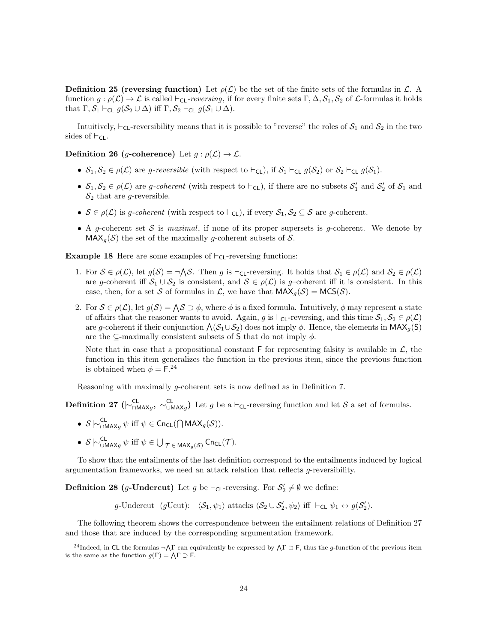**Definition 25 (reversing function)** Let  $\rho(\mathcal{L})$  be the set of the finite sets of the formulas in  $\mathcal{L}$ . function  $g : \rho(\mathcal{L}) \to \mathcal{L}$  is called  $\vdash_{\mathsf{CL}}\text{-}reversing$ , if for every finite sets  $\Gamma, \Delta, \mathcal{S}_1, \mathcal{S}_2$  of  $\mathcal{L}\text{-}formulas$  it holds that  $\Gamma, \mathcal{S}_1 \vdash_{\mathsf{CL}} g(\mathcal{S}_2 \cup \Delta)$  iff  $\Gamma, \mathcal{S}_2 \vdash_{\mathsf{CL}} g(\mathcal{S}_1 \cup \Delta)$ .

Intuitively,  $\vdash_{\mathsf{CL}}$ -reversibility means that it is possible to "reverse" the roles of  $\mathcal{S}_1$  and  $\mathcal{S}_2$  in the two sides of  $\vdash_{\mathsf{CL}}$ .

Definition 26 (q-coherence) Let  $q : \rho(\mathcal{L}) \to \mathcal{L}$ .

- $S_1, S_2 \in \rho(\mathcal{L})$  are g-reversible (with respect to  $\vdash_{\mathsf{CL}})$ , if  $S_1 \vdash_{\mathsf{CL}} g(S_2)$  or  $S_2 \vdash_{\mathsf{CL}} g(S_1)$ .
- $S_1, S_2 \in \rho(\mathcal{L})$  are *g-coherent* (with respect to  $\vdash_{\mathsf{CL}}$ ), if there are no subsets  $S'_1$  and  $S'_2$  of  $S_1$  and  $S_2$  that are *g*-reversible.
- $S \in \rho(\mathcal{L})$  is g-coherent (with respect to  $\vdash_{\mathsf{CL}}$ ), if every  $S_1, S_2 \subseteq S$  are g-coherent.
- A g-coherent set S is maximal, if none of its proper supersets is g-coherent. We denote by  $MAX<sub>q</sub>(S)$  the set of the maximally g-coherent subsets of S.

**Example 18** Here are some examples of  $\vdash_{\mathsf{CL}}$ -reversing functions:

- 1. For  $S \in \rho(\mathcal{L})$ , let  $g(S) = \neg \Lambda S$ . Then g is  $\vdash_{\mathsf{CL}}$ -reversing. It holds that  $S_1 \in \rho(\mathcal{L})$  and  $S_2 \in \rho(\mathcal{L})$ are g-coherent iff  $S_1 \cup S_2$  is consistent, and  $S \in \rho(\mathcal{L})$  is g-coherent iff it is consistent. In this case, then, for a set S of formulas in L, we have that  $MAX_g(S) = MCS(S)$ .
- 2. For  $S \in \rho(\mathcal{L})$ , let  $g(S) = \Lambda S \supset \phi$ , where  $\phi$  is a fixed formula. Intuitively,  $\phi$  may represent a state of affairs that the reasoner wants to avoid. Again, g is  $\vdash_{\mathsf{CL}}$ -reversing, and this time  $\mathcal{S}_1, \mathcal{S}_2 \in \rho(\mathcal{L})$ are g-coherent if their conjunction  $\Lambda(S_1\cup S_2)$  does not imply  $\phi$ . Hence, the elements in MAX<sub>g</sub>(S) are the ⊂-maximally consistent subsets of S that do not imply  $\phi$ .

Note that in case that a propositional constant  $\mathsf F$  for representing falsity is available in  $\mathcal L$ , the function in this item generalizes the function in the previous item, since the previous function is obtained when  $\phi = \mathsf{F}^{24}$ 

Reasoning with maximally g-coherent sets is now defined as in Definition 7.

**Definition 27** ( $\vdash^{\text{CL}}_{\text{OMAX}g}$ ,  $\vdash^{\text{CL}}_{\text{UMAX}g}$ ) Let g be a  $\vdash_{\text{CL}}$ -reversing function and let S a set of formulas.

- $S \sim_{\bigcap_{\text{MAX}_g}}^{\text{CL}} \psi$  iff  $\psi \in \text{Cn}_{\text{CL}}(\bigcap_{\text{MAX}_g} (S)).$
- $S \n\sim_{\bigcup_{\mathsf{MAX}_g} \psi}^{\mathsf{CL}}$  iff  $\psi \in \bigcup_{\mathcal{T} \in \mathsf{MAX}_g(\mathcal{S})} \mathsf{CncL}(\mathcal{T})$ .

To show that the entailments of the last definition correspond to the entailments induced by logical argumentation frameworks, we need an attack relation that reflects g-reversibility.

**Definition 28** (g-Undercut) Let g be  $\vdash_{\mathsf{CL}}$ -reversing. For  $\mathcal{S}'_2 \neq \emptyset$  we define:

g-Undercut (gUcut):  $\langle S_1, \psi_1 \rangle$  attacks  $\langle S_2 \cup S'_2, \psi_2 \rangle$  iff  $\vdash_{\mathsf{CL}} \psi_1 \leftrightarrow g(S'_2)$ .

The following theorem shows the correspondence between the entailment relations of Definition 27 and those that are induced by the corresponding argumentation framework.

<sup>&</sup>lt;sup>24</sup>Indeed, in CL the formulas  $\neg\Lambda\Gamma$  can equivalently be expressed by  $\Lambda\Gamma \supset F$ , thus the g-function of the previous item is the same as the function  $g(\Gamma) = \Lambda \Gamma \supset F$ .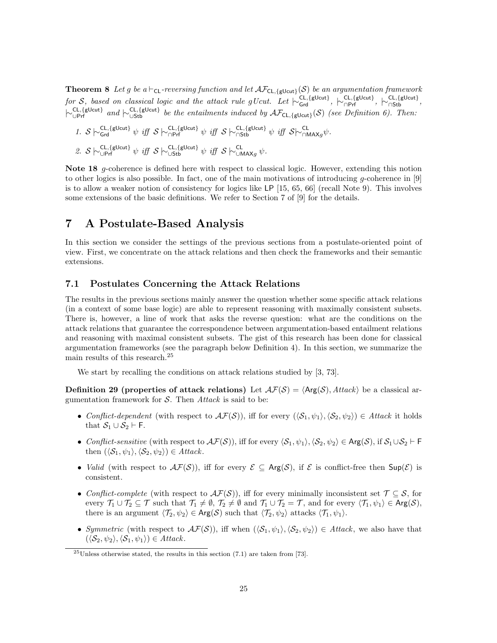**Theorem 8** Let g be a  $\vdash_{CL}$ -reversing function and let  $\mathcal{AF}_{CL, \{ \text{glcut} \}}(\mathcal{S})$  be an argumentation framework  $\text{for } \mathcal{S}, \text{ based on classical logic and the attack rule } g\text{ Ucut. Let } \vdash_{\mathsf{Grd}}^{\mathsf{CL}, \{\mathsf{gl} \cup \mathsf{cut}\}}, \ \vdash_{\mathsf{\cap }\mathsf{Prf}}^{\mathsf{CL}, \{\mathsf{gl} \cup \mathsf{cut}\}},$  $\vdash_{\cup \text{Prf}}^{\text{CL}, \{\text{gl} \cup \text{cut}\}}$  and  $\vdash_{\cup \text{Stb}}^{\text{CL}, \{\text{gl} \cup \text{cut}\}}$  be the entailments induced by  $\mathcal{AF}_{\text{CL}, \{\text{gl} \cup \text{cut}\}}(\mathcal{S})$  (see Definition 6). Then:

1. 
$$
S \sim_{\text{Grd}}^{\text{CL}, \{\text{glcut}\}} \psi
$$
 iff  $S \sim_{\text{OPT}}^{\text{CL}, \{\text{glcut}\}} \psi$  iff  $S \sim_{\text{Gst}}^{\text{CL}, \{\text{glcut}\}} \psi$  iff  $S \sim_{\text{Gtd}}^{\text{CL}, \{\text{glcut}\}} \psi$  iff  $S \sim_{\text{MAX}g}^{\text{CL}, \{\text{glcut}\}} \psi$ .  
2.  $S \sim_{\text{UPTf}}^{\text{CL}, \{\text{glcut}\}} \psi$  iff  $S \sim_{\text{Ust}}^{\text{CL}, \{\text{glcut}\}} \psi$  iff  $S \sim_{\text{MAX}g}^{\text{CL}} \psi$ .

Note 18 g-coherence is defined here with respect to classical logic. However, extending this notion to other logics is also possible. In fact, one of the main motivations of introducing g-coherence in [9] is to allow a weaker notion of consistency for logics like LP [15, 65, 66] (recall Note 9). This involves some extensions of the basic definitions. We refer to Section 7 of [9] for the details.

## 7 A Postulate-Based Analysis

In this section we consider the settings of the previous sections from a postulate-oriented point of view. First, we concentrate on the attack relations and then check the frameworks and their semantic extensions.

#### 7.1 Postulates Concerning the Attack Relations

The results in the previous sections mainly answer the question whether some specific attack relations (in a context of some base logic) are able to represent reasoning with maximally consistent subsets. There is, however, a line of work that asks the reverse question: what are the conditions on the attack relations that guarantee the correspondence between argumentation-based entailment relations and reasoning with maximal consistent subsets. The gist of this research has been done for classical argumentation frameworks (see the paragraph below Definition 4). In this section, we summarize the main results of this research.<sup>25</sup>

We start by recalling the conditions on attack relations studied by [3, 73].

**Definition 29 (properties of attack relations)** Let  $\mathcal{AF}(S) = \langle \text{Arg}(S), \text{Attack} \rangle$  be a classical argumentation framework for  $S$ . Then Attack is said to be:

- Conflict-dependent (with respect to  $\mathcal{AF}(S)$ ), iff for every  $(\langle \mathcal{S}_1, \psi_1 \rangle, \langle \mathcal{S}_2, \psi_2 \rangle) \in \mathcal{A}$ ttack it holds that  $S_1 \cup S_2 \vdash F$ .
- Conflict-sensitive (with respect to  $\mathcal{AF}(S)$ ), iff for every  $\langle \mathcal{S}_1, \psi_1 \rangle$ ,  $\langle \mathcal{S}_2, \psi_2 \rangle \in \mathsf{Arg}(\mathcal{S})$ , if  $\mathcal{S}_1 \cup \mathcal{S}_2 \vdash F$ then  $(\langle \mathcal{S}_1, \psi_1 \rangle, \langle \mathcal{S}_2, \psi_2 \rangle) \in Attack$ .
- *Valid* (with respect to  $\mathcal{AF}(S)$ ), iff for every  $\mathcal{E} \subseteq \mathsf{Arg}(\mathcal{S})$ , if  $\mathcal{E}$  is conflict-free then  $\mathsf{Sup}(\mathcal{E})$  is consistent.
- Conflict-complete (with respect to  $\mathcal{AF}(S)$ ), iff for every minimally inconsistent set  $\mathcal{T} \subseteq \mathcal{S}$ , for every  $\mathcal{T}_1 \cup \mathcal{T}_2 \subseteq \mathcal{T}$  such that  $\mathcal{T}_1 \neq \emptyset$ ,  $\mathcal{T}_2 \neq \emptyset$  and  $\mathcal{T}_1 \cup \mathcal{T}_2 = \mathcal{T}$ , and for every  $\langle \mathcal{T}_1, \psi_1 \rangle \in \mathsf{Arg}(\mathcal{S})$ , there is an argument  $\langle \mathcal{T}_2, \psi_2 \rangle \in \text{Arg}(\mathcal{S})$  such that  $\langle \mathcal{T}_2, \psi_2 \rangle$  attacks  $\langle \mathcal{T}_1, \psi_1 \rangle$ .
- Symmetric (with respect to  $\mathcal{AF}(S)$ ), iff when  $(\langle \mathcal{S}_1, \psi_1 \rangle, \langle \mathcal{S}_2, \psi_2 \rangle) \in \mathcal{A}$ ttack, we also have that  $(\langle \mathcal{S}_2, \psi_2 \rangle, \langle \mathcal{S}_1, \psi_1 \rangle) \in \text{Attack}.$

 $25$ Unless otherwise stated, the results in this section (7.1) are taken from [73].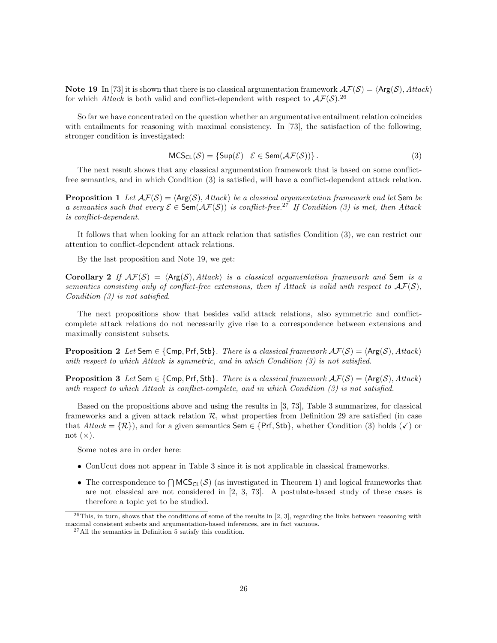Note 19 In [73] it is shown that there is no classical argumentation framework  $\mathcal{AF}(S) = \langle \text{Arg}(\mathcal{S}), \text{Attack} \rangle$ for which Attack is both valid and conflict-dependent with respect to  $\mathcal{AF}(S)$ <sup>26</sup>

So far we have concentrated on the question whether an argumentative entailment relation coincides with entailments for reasoning with maximal consistency. In [73], the satisfaction of the following, stronger condition is investigated:

$$
MCS_{CL}(\mathcal{S}) = \{ Sup(\mathcal{E}) \mid \mathcal{E} \in Sem(\mathcal{AF}(\mathcal{S}))\}.
$$
\n(3)

The next result shows that any classical argumentation framework that is based on some conflictfree semantics, and in which Condition (3) is satisfied, will have a conflict-dependent attack relation.

**Proposition 1** Let  $\mathcal{AF}(S) = \langle \mathsf{Arg}(S), \mathsf{Attack} \rangle$  be a classical argumentation framework and let Sem be a semantics such that every  $\mathcal{E} \in \text{Sem}(\mathcal{AF}(\mathcal{S}))$  is conflict-free.<sup>27</sup> If Condition (3) is met, then Attack is conflict-dependent.

It follows that when looking for an attack relation that satisfies Condition (3), we can restrict our attention to conflict-dependent attack relations.

By the last proposition and Note 19, we get:

Corollary 2 If  $\mathcal{AF}(S) = \langle \text{Arg}(\mathcal{S}), \text{Attack} \rangle$  is a classical argumentation framework and Sem is a semantics consisting only of conflict-free extensions, then if Attack is valid with respect to  $\mathcal{AF}(S)$ , Condition (3) is not satisfied.

The next propositions show that besides valid attack relations, also symmetric and conflictcomplete attack relations do not necessarily give rise to a correspondence between extensions and maximally consistent subsets.

**Proposition 2** Let Sem  $\in$  {Cmp, Prf, Stb}. There is a classical framework  $\mathcal{AF}(S) = \langle \text{Arg}(S), \text{Attack} \rangle$ with respect to which Attack is symmetric, and in which Condition (3) is not satisfied.

**Proposition 3** Let Sem  $\in \{\mathsf{Cmp}, \mathsf{Prf}, \mathsf{Stb}\}\$ . There is a classical framework  $\mathcal{AF}(S) = \langle \mathsf{Arg}(\mathcal{S}), \mathsf{Attack}\rangle$ with respect to which Attack is conflict-complete, and in which Condition (3) is not satisfied.

Based on the propositions above and using the results in [3, 73], Table 3 summarizes, for classical frameworks and a given attack relation  $\mathcal{R}$ , what properties from Definition 29 are satisfied (in case that  $Attack = \{R\}$ , and for a given semantics Sem  $\in \{Prf, Stb\}$ , whether Condition (3) holds ( $\checkmark$ ) or not  $(x)$ .

Some notes are in order here:

- ConUcut does not appear in Table 3 since it is not applicable in classical frameworks.
- The correspondence to  $\bigcap \text{MCS}_{\text{CL}}(\mathcal{S})$  (as investigated in Theorem 1) and logical frameworks that are not classical are not considered in [2, 3, 73]. A postulate-based study of these cases is therefore a topic yet to be studied.

 $^{26}$ This, in turn, shows that the conditions of some of the results in [2, 3], regarding the links between reasoning with maximal consistent subsets and argumentation-based inferences, are in fact vacuous.

<sup>27</sup>All the semantics in Definition 5 satisfy this condition.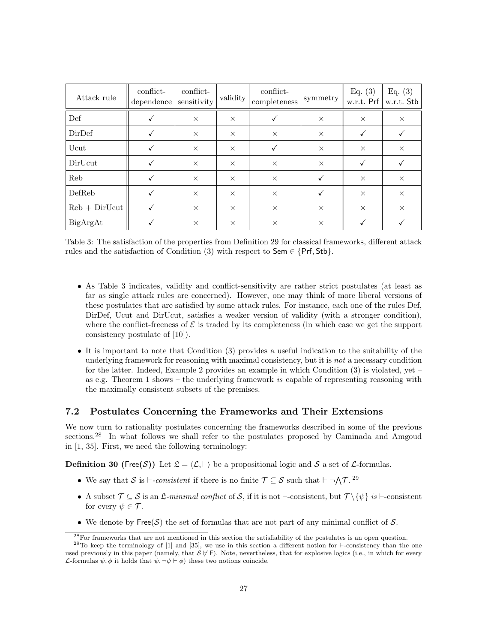| Attack rule     | conflict-<br>dependence | conflict-<br>sensitivity | validity | conflict-<br>completeness | symmetry | Eq. $(3)$<br>w.r.t. Prf | Eq. $(3)$<br>w.r.t. Stb |
|-----------------|-------------------------|--------------------------|----------|---------------------------|----------|-------------------------|-------------------------|
| Def             |                         | $\times$                 | $\times$ |                           | $\times$ | $\times$                | $\times$                |
| DirDef          |                         | $\times$                 | $\times$ | $\times$                  | $\times$ | √                       |                         |
| Ucut            |                         | $\times$                 | $\times$ |                           | $\times$ | $\times$                | $\times$                |
| DirUcut         |                         | $\times$                 | $\times$ | $\times$                  | $\times$ | √                       |                         |
| Reb             |                         | $\times$                 | $\times$ | $\times$                  |          | $\times$                | $\times$                |
| DefReb          |                         | $\times$                 | $\times$ | $\times$                  | ✓        | $\times$                | $\times$                |
| $Reb + DirUcut$ |                         | $\times$                 | $\times$ | $\times$                  | $\times$ | $\times$                | $\times$                |
| BigArgAt        |                         | $\times$                 | $\times$ | $\times$                  | $\times$ |                         |                         |

Table 3: The satisfaction of the properties from Definition 29 for classical frameworks, different attack rules and the satisfaction of Condition (3) with respect to  $Sem \in \{Prf, Stb\}.$ 

- As Table 3 indicates, validity and conflict-sensitivity are rather strict postulates (at least as far as single attack rules are concerned). However, one may think of more liberal versions of these postulates that are satisfied by some attack rules. For instance, each one of the rules Def, DirDef, Ucut and DirUcut, satisfies a weaker version of validity (with a stronger condition), where the conflict-freeness of  $\mathcal E$  is traded by its completeness (in which case we get the support consistency postulate of [10]).
- It is important to note that Condition (3) provides a useful indication to the suitability of the underlying framework for reasoning with maximal consistency, but it is *not* a necessary condition for the latter. Indeed, Example 2 provides an example in which Condition  $(3)$  is violated, yet – as e.g. Theorem 1 shows – the underlying framework is capable of representing reasoning with the maximally consistent subsets of the premises.

#### 7.2 Postulates Concerning the Frameworks and Their Extensions

We now turn to rationality postulates concerning the frameworks described in some of the previous sections.<sup>28</sup> In what follows we shall refer to the postulates proposed by Caminada and Amgoud in [1, 35]. First, we need the following terminology:

**Definition 30 (Free(S))** Let  $\mathcal{L} = \langle \mathcal{L}, \vdash \rangle$  be a propositional logic and S a set of L-formulas.

- We say that S is  $\vdash$ -consistent if there is no finite  $\mathcal{T} \subseteq \mathcal{S}$  such that  $\vdash \neg \mathcal{AT}$ . 29
- A subset  $\mathcal{T} \subseteq \mathcal{S}$  is an  $\mathcal{L}\text{-minimal conflict of }\mathcal{S}$ , if it is not  $\vdash$ -consistent, but  $\mathcal{T} \setminus \{\psi\}$  is  $\vdash$ -consistent for every  $\psi \in \mathcal{T}$ .
- We denote by Free(S) the set of formulas that are not part of any minimal conflict of S.

<sup>28</sup>For frameworks that are not mentioned in this section the satisfiability of the postulates is an open question.

 $29$ To keep the terminology of [1] and [35], we use in this section a different notion for  $\vdash$ -consistency than the one used previously in this paper (namely, that  $S \nvdash F$ ). Note, nevertheless, that for explosive logics (i.e., in which for every L-formulas  $\psi$ ,  $\phi$  it holds that  $\psi$ ,  $\neg \psi \vdash \phi$ ) these two notions coincide.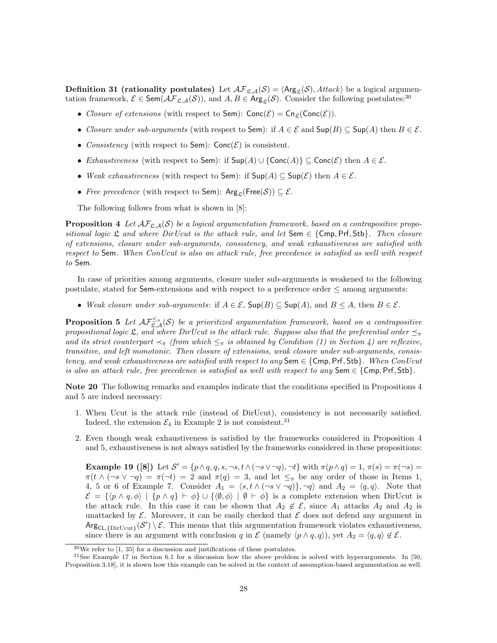**Definition 31 (rationality postulates)** Let  $\mathcal{AF}_{\mathcal{L},\mathcal{A}}(\mathcal{S}) = \langle \mathsf{Arg}_{\mathcal{L}}(\mathcal{S}), \mathcal{H} \mathcal{H} \mathcal{R} \mathcal{R} \rangle$  be a logical argumentation framework,  $\mathcal{E} \in \text{Sem}(\mathcal{AF}_{\mathfrak{L},\mathcal{A}}(\mathcal{S}))$ , and  $A, B \in \text{Arg}_{\mathfrak{L}}(\mathcal{S})$ . Consider the following postulates:<sup>30</sup>

- Closure of extensions (with respect to Sem):  $Conc(\mathcal{E}) = Con_{\mathcal{E}}(Conc(\mathcal{E}))$ .
- Closure under sub-arguments (with respect to Sem): if  $A \in \mathcal{E}$  and  $\text{Sup}(B) \subseteq \text{Sup}(A)$  then  $B \in \mathcal{E}$ .
- Consistency (with respect to Sem):  $Conc(\mathcal{E})$  is consistent.
- Exhaustiveness (with respect to Sem): if  $\textsf{Sup}(A) \cup \{\textsf{Conc}(A)\}\subseteq \textsf{Conc}(\mathcal{E})$  then  $A \in \mathcal{E}$ .
- Weak exhaustiveness (with respect to Sem): if  $\text{Sup}(A) \subseteq \text{Sup}(\mathcal{E})$  then  $A \in \mathcal{E}$ .
- Free precedence (with respect to Sem):  $\text{Arg}_{\mathfrak{L}}(\text{Free}(\mathcal{S})) \subseteq \mathcal{E}$ .

The following follows from what is shown in [8]:

**Proposition 4** Let  $\mathcal{AF}_{S,A}(S)$  be a logical argumentation framework, based on a contrapositive propositional logic  $\mathfrak L$  and where DirUcut is the attack rule, and let Sem  $\in \{\mathsf{Cmp}, \mathsf{Prf}, \mathsf{Stb}\}.$  Then closure of extensions, closure under sub-arguments, consistency, and weak exhaustiveness are satisfied with respect to Sem. When ConUcut is also an attack rule, free precedence is satisfied as well with respect to Sem.

In case of priorities among arguments, closure under sub-arguments is weakened to the following postulate, stated for  $Sem-extensions$  and with respect to a preference order  $\leq$  among arguments:

• Weak closure under sub-arguments: if  $A \in \mathcal{E}$ ,  $\text{Sup}(B) \subseteq \text{Sup}(A)$ , and  $B \leq A$ , then  $B \in \mathcal{E}$ .

**Proposition 5** Let  $\mathcal{AF}_{\mathfrak{L},\mathcal{A}}^{\leq_{\pi}}(\mathcal{S})$  be a prioritized argumentation framework, based on a contrapositive propositional logic  $\mathfrak{L}$ , and where DirUcut is the attack rule. Suppose also that the preferential order  $\preceq_{\pi}$ and its strict counterpart  $\prec_{\pi}$  (from which  $\leq_{\pi}$  is obtained by Condition (1) in Section 4) are reflexive, transitive, and left monotonic. Then closure of extensions, weak closure under sub-arguments, consistency, and weak exhaustiveness are satisfied with respect to any  $\mathsf{Sem} \in \{\mathsf{Cmp}, \mathsf{Prf}, \mathsf{Stb}\}.$  When ConUcut is also an attack rule, free precedence is satisfied as well with respect to any Sem  $\in \{\mathsf{Cmp}, \mathsf{Prf}, \mathsf{Stb}\}.$ 

Note 20 The following remarks and examples indicate that the conditions specified in Propositions 4 and 5 are indeed necessary:

- 1. When Ucut is the attack rule (instead of DirUcut), consistency is not necessarily satisfied. Indeed, the extension  $\mathcal{E}_4$  in Example 2 is not consistent.<sup>31</sup>
- 2. Even though weak exhaustiveness is satisfied by the frameworks considered in Proposition 4 and 5, exhaustiveness is not always satisfied by the frameworks considered in these propositions:

Example 19 ([8]) Let  $S' = \{p \land q, q, s, \neg s, t \land (\neg s \lor \neg q), \neg t\}$  with  $\pi(p \land q) = 1, \pi(s) = \pi(\neg s) =$  $\pi(t \wedge (\neg s \vee \neg q) = \pi(\neg t) = 2$  and  $\pi(q) = 3$ , and let  $\leq_{\pi}$  be any order of those in Items 1, 4, 5 or 6 of Example 7. Consider  $A_1 = \langle s, t \wedge (\neg s \vee \neg q) \rangle$ ,  $\neg q$  and  $A_2 = \langle q, q \rangle$ . Note that  $\mathcal{E} = \{ \langle p \wedge q, \phi \rangle \mid \{p \wedge q\} \vdash \phi \} \cup \{ \langle \emptyset, \phi \rangle \mid \emptyset \vdash \phi \}$  is a complete extension when DirUcut is the attack rule. In this case it can be shown that  $A_2 \notin \mathcal{E}$ , since  $A_1$  attacks  $A_2$  and  $A_2$  is unattacked by  $\mathcal{E}$ . Moreover, it can be easily checked that  $\mathcal{E}$  does not defend any argument in  $Arg_{CL, \{DirUcut\}}(\mathcal{S}') \setminus \mathcal{E}$ . This means that this argumentation framework violates exhaustiveness, since there is an argument with conclusion q in  $\mathcal E$  (namely  $\langle p \wedge q, q \rangle$ ), yet  $A_2 = \langle q, q \rangle \notin \mathcal E$ .

 $30$ We refer to [1, 35] for a discussion and justifications of these postulates.

<sup>31</sup>See Example 17 in Section 6.1 for a discussion how the above problem is solved with hyperarguments. In [50, Proposition 3.18], it is shown how this example can be solved in the context of assumption-based argumentation as well.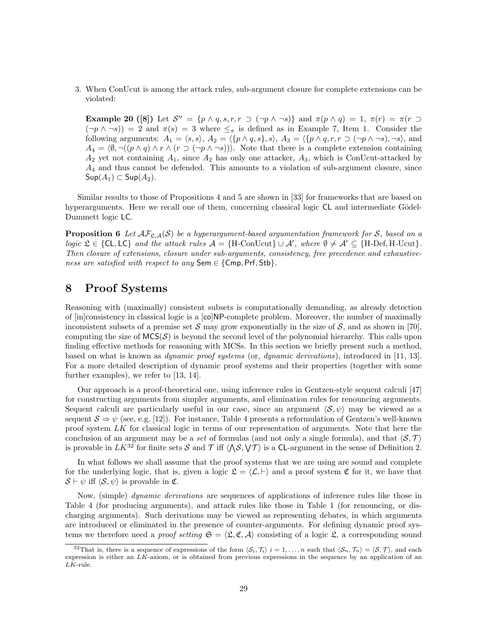3. When ConUcut is among the attack rules, sub-argument closure for complete extensions can be violated:

Example 20 ([8]) Let  $S'' = \{p \wedge q, s, r, r \supset (\neg p \wedge \neg s)\}\$ and  $\pi(p \wedge q) = 1, \pi(r) = \pi(r \supset$  $(\neg p \land \neg s)$  = 2 and  $\pi(s) = 3$  where  $\leq_{\pi}$  is defined as in Example 7, Item 1. Consider the following arguments:  $A_1 = \langle s, s \rangle$ ,  $A_2 = \langle \{p \land q, s\}, s \rangle$ ,  $A_3 = \langle \{p \land q, r, r \supset (\neg p \land \neg s), \neg s \rangle, \text{ and } \rangle\}$  $A_4 = \langle \emptyset, \neg((p \land q) \land r \land (r \supset (\neg p \land \neg s)))\rangle$ . Note that there is a complete extension containing  $A_2$  yet not containing  $A_1$ , since  $A_2$  has only one attacker,  $A_3$ , which is ConUcut-attacked by  $A_4$  and thus cannot be defended. This amounts to a violation of sub-argument closure, since  $\mathsf{Sup}(A_1) \subset \mathsf{Sup}(A_2).$ 

Similar results to those of Propositions 4 and 5 are shown in [33] for frameworks that are based on hyperarguments. Here we recall one of them, concerning classical logic  $CL$  and intermediate Gödel-Dummett logic LC.

**Proposition 6** Let  $\mathcal{AF}_{\mathcal{L},\mathcal{A}}(S)$  be a hyperargument-based argumentation framework for S, based on a logic  $\mathfrak{L} \in \{CL, LC\}$  and the attack rules  $\mathcal{A} = \{H\text{-ConUcut}\} \cup \mathcal{A}'$ , where  $\emptyset \neq \mathcal{A}' \subseteq \{H\text{-Def}, H\text{-Ucut}\}.$ Then closure of extensions, closure under sub-arguments, consistency, free precedence and exhaustiveness are satisfied with respect to any Sem  $\in$  {Cmp, Prf, Stb}.

# 8 Proof Systems

Reasoning with (maximally) consistent subsets is computationally demanding, as already detection of [in]consistency in classical logic is a [co]NP-complete problem. Moreover, the number of maximally inconsistent subsets of a premise set S may grow exponentially in the size of S, and as shown in [70], computing the size of  $MCS(\mathcal{S})$  is beyond the second level of the polynomial hierarchy. This calls upon finding effective methods for reasoning with MCSs. In this section we briefly present such a method, based on what is known as dynamic proof systems (or, dynamic derivations), introduced in [11, 13]. For a more detailed description of dynamic proof systems and their properties (together with some further examples), we refer to [13, 14].

Our approach is a proof-theoretical one, using inference rules in Gentzen-style sequent calculi [47] for constructing arguments from simpler arguments, and elimination rules for renouncing arguments. Sequent calculi are particularly useful in our case, since an argument  $\langle S, \psi \rangle$  may be viewed as a sequent  $S \Rightarrow \psi$  (see, e.g. [12]). For instance, Table 4 presents a reformulation of Gentzen's well-known proof system LK for classical logic in terms of our representation of arguments. Note that here the conclusion of an argument may be a set of formulas (and not only a single formula), and that  $\langle S, \mathcal{T} \rangle$ is provable in  $LK^{32}$  for finite sets S and T iff  $\langle\Lambda S,\nabla T\rangle$  is a CL-argument in the sense of Definition 2.

In what follows we shall assume that the proof systems that we are using are sound and complete for the underlying logic, that is, given a logic  $\mathfrak{L} = \langle \mathcal{L}, \vdash \rangle$  and a proof system  $\mathfrak C$  for it, we have that  $\mathcal{S} \vdash \psi$  iff  $\langle \mathcal{S}, \psi \rangle$  is provable in  $\mathfrak{C}$ .

Now, (simple) *dynamic derivations* are sequences of applications of inference rules like those in Table 4 (for producing arguments), and attack rules like those in Table 1 (for renouncing, or discharging arguments). Such derivations may be viewed as representing debates, in which arguments are introduced or eliminated in the presence of counter-arguments. For defining dynamic proof systems we therefore need a *proof setting*  $\mathfrak{S} = \langle \mathfrak{L}, \mathfrak{C}, \mathcal{A} \rangle$  consisting of a logic  $\mathfrak{L}$ , a corresponding sound

<sup>&</sup>lt;sup>32</sup>That is, there is a sequence of expressions of the form  $\langle S_i, \mathcal{T}_i \rangle$   $i = 1, \ldots, n$  such that  $\langle S_n, \mathcal{T}_n \rangle = \langle S, \mathcal{T} \rangle$ , and each expression is either an LK-axiom, or is obtained from previous expressions in the sequence by an application of an  $LK$ -rule.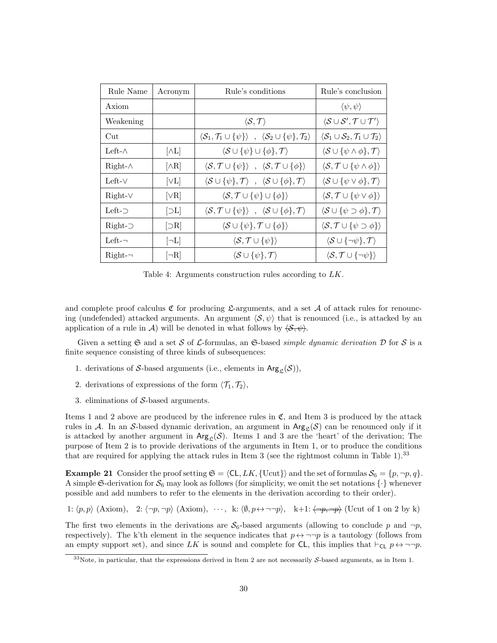| Rule Name           | Acronym                            | Rule's conditions                                                                                                       | Rule's conclusion                                                                    |
|---------------------|------------------------------------|-------------------------------------------------------------------------------------------------------------------------|--------------------------------------------------------------------------------------|
| Axiom               |                                    |                                                                                                                         | $\langle \psi, \psi \rangle$                                                         |
| Weakening           |                                    | $\langle \mathcal{S}, \mathcal{T} \rangle$                                                                              | $\langle \mathcal{S} \cup \mathcal{S}', \mathcal{T} \cup \mathcal{T}' \rangle$       |
| $_{\rm Cut}$        |                                    | $\langle \mathcal{S}_1, \mathcal{T}_1 \cup {\psi} \rangle$ , $\langle \mathcal{S}_2 \cup {\psi}, \mathcal{T}_2 \rangle$ | $\langle \mathcal{S}_1 \cup \mathcal{S}_2, \mathcal{T}_1 \cup \mathcal{T}_2 \rangle$ |
| Left- $\wedge$      | $ \wedge L $                       | $\langle \mathcal{S} \cup \{\psi\} \cup \{\phi\}, \mathcal{T} \rangle$                                                  | $\langle \mathcal{S} \cup {\psi \wedge \phi}, \mathcal{T} \rangle$                   |
| $Right-\wedge$      | $[\wedge \mathrm{R}]$              | $\langle \mathcal{S}, \mathcal{T} \cup {\psi} \rangle$ , $\langle \mathcal{S}, \mathcal{T} \cup {\phi} \rangle$         | $\langle \mathcal{S}, \mathcal{T} \cup {\psi \wedge \phi} \rangle$                   |
| Left- $\vee$        | [ <sub>VI</sub> ]                  | $\langle \mathcal{S} \cup {\psi}, \mathcal{T} \rangle$ , $\langle \mathcal{S} \cup {\phi}, \mathcal{T} \rangle$         | $\langle \mathcal{S} \cup \{ \psi \vee \phi \}, \mathcal{T} \rangle$                 |
| $Right-V$           | $[\vee \mathrm{R}]$                | $\langle \mathcal{S}, \mathcal{T} \cup {\psi} \} \cup {\phi}$                                                           | $\langle \mathcal{S}, \mathcal{T} \cup {\psi \vee \phi} \rangle$                     |
| Left- $\neg$        | $ \supset\!L $                     | $\langle \mathcal{S}, \mathcal{T} \cup {\psi} \rangle$ , $\langle \mathcal{S} \cup {\phi}, \mathcal{T} \rangle$         | $\langle \mathcal{S} \cup {\psi \supset \phi}, \mathcal{T} \rangle$                  |
| $Right$ - $\supset$ | $\left \supset\!\mathrm{R}\right $ | $\langle \mathcal{S} \cup {\psi}, \mathcal{T} \cup {\phi} \rangle$                                                      | $\langle \mathcal{S}, \mathcal{T} \cup {\psi \supset \phi} \rangle$                  |
| $Left-$             | $[\neg L]$                         | $\langle \mathcal{S}, \mathcal{T} \cup {\psi} \rangle$                                                                  | $\langle \mathcal{S} \cup \{\neg \psi\}, \mathcal{T} \rangle$                        |
| $Right$ - $\neg$    | $\neg R$                           | $\langle \mathcal{S} \cup {\psi}, \mathcal{T} \rangle$                                                                  | $\langle \mathcal{S}, \mathcal{T} \cup \{\neg \psi\} \rangle$                        |

Table 4: Arguments construction rules according to LK.

and complete proof calculus  $\mathfrak C$  for producing  $\mathfrak L$ -arguments, and a set A of attack rules for renouncing (undefended) attacked arguments. An argument  $\langle S, \psi \rangle$  that is renounced (i.e., is attacked by an application of a rule in A) will be denoted in what follows by  $\langle \mathcal{S}, \psi \rangle$ .

Given a setting  $\mathfrak S$  and a set S of L-formulas, an  $\mathfrak S$ -based *simple dynamic derivation*  $\mathcal D$  for S is a finite sequence consisting of three kinds of subsequences:

- 1. derivations of S-based arguments (i.e., elements in  $\text{Arg}_{\mathfrak{L}}(\mathcal{S})$ ),
- 2. derivations of expressions of the form  $\langle \mathcal{T}_1, \mathcal{T}_2 \rangle$ ,
- 3. eliminations of S-based arguments.

Items 1 and 2 above are produced by the inference rules in  $\mathfrak{C}$ , and Item 3 is produced by the attack rules in A. In an S-based dynamic derivation, an argument in  $Arg_{\mathcal{L}}(\mathcal{S})$  can be renounced only if it is attacked by another argument in  $Arg_{\mathcal{S}}(\mathcal{S})$ . Items 1 and 3 are the 'heart' of the derivation; The purpose of Item 2 is to provide derivations of the arguments in Item 1, or to produce the conditions that are required for applying the attack rules in Item 3 (see the rightmost column in Table 1).<sup>33</sup>

**Example 21** Consider the proof setting  $\mathfrak{S} = \langle \mathsf{CL}, LK, \{\text{Ucut}\}\rangle$  and the set of formulas  $\mathcal{S}_6 = \{p, \neg p, q\}.$ A simple G-derivation for  $S_6$  may look as follows (for simplicity, we omit the set notations  $\{\cdot\}$  whenever possible and add numbers to refer to the elements in the derivation according to their order).

1:  $\langle p, p \rangle$  (Axiom), 2:  $\langle \neg p, \neg p \rangle$  (Axiom),  $\cdots$ , k:  $\langle \emptyset, p \leftrightarrow \neg \neg p \rangle$ , k+1:  $\langle \neg p, \neg p \rangle$  (Ucut of 1 on 2 by k)

The first two elements in the derivations are  $S_6$ -based arguments (allowing to conclude p and  $\neg p$ , respectively). The k'th element in the sequence indicates that  $p \leftrightarrow \neg \neg p$  is a tautology (follows from an empty support set), and since LK is sound and complete for CL, this implies that  $\vdash_{\mathsf{CL}} p \leftrightarrow \neg \neg p$ .

 $33\text{Note, in particular, that the expressions derived in Item 2 are not necessarily *S*-based arguments, as in Item 1.$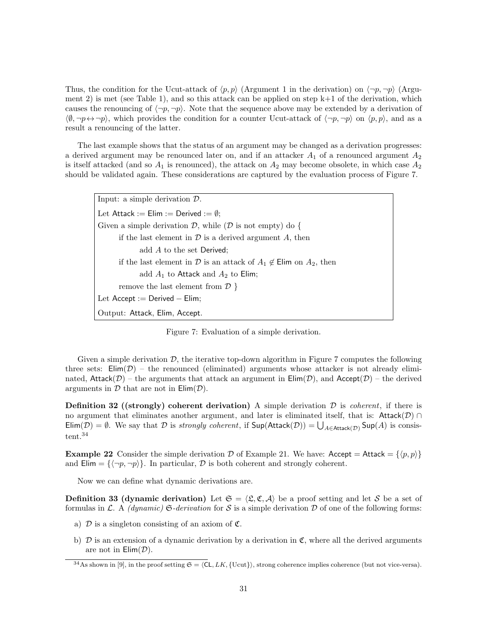Thus, the condition for the Ucut-attack of  $\langle p, p \rangle$  (Argument 1 in the derivation) on  $\langle \neg p, \neg p \rangle$  (Argument 2) is met (see Table 1), and so this attack can be applied on step  $k+1$  of the derivation, which causes the renouncing of  $\langle \neg p, \neg p \rangle$ . Note that the sequence above may be extended by a derivation of  $\langle \emptyset, \neg p \leftrightarrow \neg p \rangle$ , which provides the condition for a counter Ucut-attack of  $\langle \neg p, \neg p \rangle$  on  $\langle p, p \rangle$ , and as a result a renouncing of the latter.

The last example shows that the status of an argument may be changed as a derivation progresses: a derived argument may be renounced later on, and if an attacker  $A_1$  of a renounced argument  $A_2$ is itself attacked (and so  $A_1$  is renounced), the attack on  $A_2$  may become obsolete, in which case  $A_2$ should be validated again. These considerations are captured by the evaluation process of Figure 7.

Input: a simple derivation D. Let Attack := Elim := Derived :=  $\emptyset$ ; Given a simple derivation  $\mathcal{D}$ , while ( $\mathcal D$  is not empty) do { if the last element in  $\mathcal D$  is a derived argument  $A$ , then add A to the set Derived; if the last element in  $\mathcal D$  is an attack of  $A_1 \notin \mathsf{Elim}$  on  $A_2$ , then add  $A_1$  to Attack and  $A_2$  to Elim; remove the last element from  $\mathcal{D}$  } Let Accept := Derived - Elim; Output: Attack, Elim, Accept.

Figure 7: Evaluation of a simple derivation.

Given a simple derivation  $\mathcal{D}$ , the iterative top-down algorithm in Figure 7 computes the following three sets:  $\text{Elim}(\mathcal{D})$  – the renounced (eliminated) arguments whose attacker is not already eliminated,  $Attack(\mathcal{D})$  – the arguments that attack an argument in  $Elim(\mathcal{D})$ , and  $Accept(\mathcal{D})$  – the derived arguments in  $D$  that are not in  $Elim(D)$ .

**Definition 32 ((strongly) coherent derivation)** A simple derivation  $D$  is *coherent*, if there is no argument that eliminates another argument, and later is eliminated itself, that is: Attack( $\mathcal{D}$ ) ∩  $Elim(\mathcal{D}) = \emptyset$ . We say that  $\mathcal D$  is *strongly coherent*, if  $Sup(Attack(\mathcal{D})) = \bigcup_{A \in Attack(\mathcal{D})} Sup(A)$  is consistent.<sup>34</sup>

**Example 22** Consider the simple derivation D of Example 21. We have:  $Accept = Attack = \{\langle p, p \rangle\}$ and  $\text{Elim} = {\langle \neg p, \neg p \rangle}$ . In particular,  $D$  is both coherent and strongly coherent.

Now we can define what dynamic derivations are.

**Definition 33 (dynamic derivation)** Let  $\mathfrak{S} = \langle \mathfrak{L}, \mathfrak{C}, \mathcal{A} \rangle$  be a proof setting and let S be a set of formulas in L. A *(dynamic)*  $\mathfrak{S}\text{-}derivation$  for S is a simple derivation D of one of the following forms:

- a)  $\mathcal D$  is a singleton consisting of an axiom of  $\mathfrak C$ .
- b)  $\mathcal D$  is an extension of a dynamic derivation by a derivation in  $\mathfrak C$ , where all the derived arguments are not in  $\mathsf{Elim}(\mathcal{D})$ .

 $34$ As shown in [9], in the proof setting  $\mathfrak{S} = \langle CL, LK, \{U\text{cut}\}\rangle$ , strong coherence implies coherence (but not vice-versa).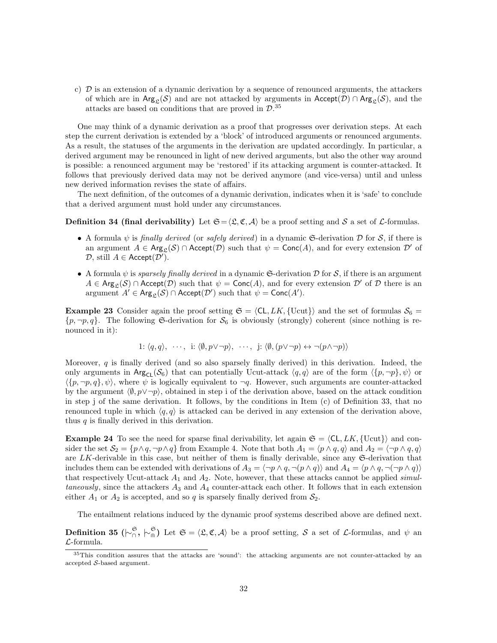c) D is an extension of a dynamic derivation by a sequence of renounced arguments, the attackers of which are in  $\text{Arg}_{\mathcal{S}}(\mathcal{S})$  and are not attacked by arguments in  $\text{Accept}(\mathcal{D}) \cap \text{Arg}_{\mathcal{S}}(\mathcal{S})$ , and the attacks are based on conditions that are proved in  $\mathcal{D}$ .<sup>35</sup>

One may think of a dynamic derivation as a proof that progresses over derivation steps. At each step the current derivation is extended by a 'block' of introduced arguments or renounced arguments. As a result, the statuses of the arguments in the derivation are updated accordingly. In particular, a derived argument may be renounced in light of new derived arguments, but also the other way around is possible: a renounced argument may be 'restored' if its attacking argument is counter-attacked. It follows that previously derived data may not be derived anymore (and vice-versa) until and unless new derived information revises the state of affairs.

The next definition, of the outcomes of a dynamic derivation, indicates when it is 'safe' to conclude that a derived argument must hold under any circumstances.

#### **Definition 34 (final derivability)** Let  $\mathfrak{S} = \langle \mathfrak{L}, \mathfrak{C}, \mathcal{A} \rangle$  be a proof setting and S a set of L-formulas.

- A formula  $\psi$  is finally derived (or safely derived) in a dynamic G-derivation D for S, if there is an argument  $A \in \text{Arg}_{\mathcal{C}}(\mathcal{S}) \cap \text{Accept}(\mathcal{D})$  such that  $\psi = \text{Conc}(A)$ , and for every extension  $\mathcal{D}'$  of  $\mathcal{D},$  still  $A \in \mathsf{Accept}(\mathcal{D}').$
- A formula  $\psi$  is sparsely finally derived in a dynamic G-derivation D for S, if there is an argument  $A \in \text{Arg}_{\mathfrak{L}}(\mathcal{S}) \cap \text{Accept}(\mathcal{D})$  such that  $\psi = \text{Conc}(A)$ , and for every extension  $\mathcal{D}'$  of  $\mathcal D$  there is an argument  $A' \in \text{Arg}_{\mathfrak{L}}(\mathcal{S}) \cap \text{Accept}(\mathcal{D}')$  such that  $\psi = \text{Conc}(A').$

**Example 23** Consider again the proof setting  $\mathfrak{S} = \langle CL, LK, \{Ucut\}\rangle$  and the set of formulas  $S_6 =$  $\{p, \neg p, q\}$ . The following G-derivation for  $S_6$  is obviously (strongly) coherent (since nothing is renounced in it):

1: 
$$
\langle q, q \rangle
$$
,  $\cdots$ , i:  $\langle \emptyset, p \vee \neg p \rangle$ ,  $\cdots$ , j:  $\langle \emptyset, (p \vee \neg p) \leftrightarrow \neg (p \wedge \neg p) \rangle$ 

Moreover, q is finally derived (and so also sparsely finally derived) in this derivation. Indeed, the only arguments in  $\text{Arg}_{\mathsf{CL}}(\mathcal{S}_6)$  that can potentially Ucut-attack  $\langle q, q \rangle$  are of the form  $\langle \{p, \neg p\}, \psi \rangle$  or  $\langle p, \neg p, q \rangle$ , where  $\psi$  is logically equivalent to  $\neg q$ . However, such arguments are counter-attacked by the argument  $\langle \emptyset, p \vee \neg p \rangle$ , obtained in step i of the derivation above, based on the attack condition in step j of the same derivation. It follows, by the conditions in Item (c) of Definition 33, that no renounced tuple in which  $\langle q, q \rangle$  is attacked can be derived in any extension of the derivation above, thus  $q$  is finally derived in this derivation.

**Example 24** To see the need for sparse final derivability, let again  $\mathfrak{S} = \langle CL, LK, \{Ucut\}\rangle$  and consider the set  $S_2 = \{p \wedge q, \neg p \wedge q\}$  from Example 4. Note that both  $A_1 = \langle p \wedge q, q \rangle$  and  $A_2 = \langle \neg p \wedge q, q \rangle$ are LK-derivable in this case, but neither of them is finally derivable, since any  $\mathfrak{S}\text{-}\text{derivation}$  that includes them can be extended with derivations of  $A_3 = \langle \neg p \wedge q, \neg (p \wedge q) \rangle$  and  $A_4 = \langle p \wedge q, \neg (\neg p \wedge q) \rangle$ that respectively Ucut-attack  $A_1$  and  $A_2$ . Note, however, that these attacks cannot be applied simultaneously, since the attackers  $A_3$  and  $A_4$  counter-attack each other. It follows that in each extension either  $A_1$  or  $A_2$  is accepted, and so q is sparsely finally derived from  $S_2$ .

The entailment relations induced by the dynamic proof systems described above are defined next.

**Definition 35** ( $\vdash_{\cap}^{\mathfrak{S}}, \vdash_{\Cap}^{\mathfrak{S}}$ ) Let  $\mathfrak{S} = \langle \mathfrak{L}, \mathfrak{C}, \mathcal{A} \rangle$  be a proof setting, S a set of L-formulas, and  $\psi$  and L-formula.

<sup>35</sup>This condition assures that the attacks are 'sound': the attacking arguments are not counter-attacked by an accepted  $S$ -based argument.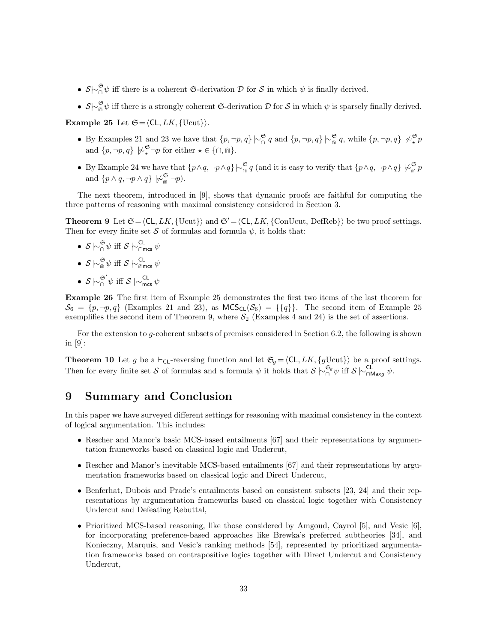- $S\sim_{\cap}^{\mathfrak{S}}\psi$  iff there is a coherent G-derivation D for S in which  $\psi$  is finally derived.
- $S\sim_{\widehat{\mathfrak{g}}}\psi$  iff there is a strongly coherent G-derivation D for S in which  $\psi$  is sparsely finally derived.

Example 25 Let  $\mathfrak{S} = \langle CL, LK, \{Ucut\}\rangle$ .

- By Examples 21 and 23 we have that  $\{p, \neg p, q\} \n\sim_{\cap}^{\mathfrak{S}} q$  and  $\{p, \neg p, q\} \n\sim_{\widehat{\mathfrak{m}}}^{\mathfrak{S}} q$ , while  $\{p, \neg p, q\} \n\sim_{\star}^{\mathfrak{S}} p$ and  $\{p, \neg p, q\} \not\sim_{\star}^{\mathfrak{S}} \neg p$  for either  $\star \in \{\cap, \text{in}\}.$
- By Example 24 we have that  $\{p \wedge q, \neg p \wedge q\} \n\sim_{\widehat{\mathfrak{m}}}^{\mathfrak{S}} q$  (and it is easy to verify that  $\{p \wedge q, \neg p \wedge q\} \n\sim_{\widehat{\mathfrak{m}}}^{\mathfrak{S}} p$ and  $\{p \wedge q, \neg p \wedge q\} \not\vdash_{\Cap}^{\mathfrak{S}} \neg p$ .

The next theorem, introduced in [9], shows that dynamic proofs are faithful for computing the three patterns of reasoning with maximal consistency considered in Section 3.

**Theorem 9** Let  $\mathfrak{S} = \langle CL, LK, \{U\text{cut}\}\rangle$  and  $\mathfrak{S}' = \langle CL, LK, \{ConU\text{cut}, \text{DefReb}\}\rangle$  be two proof settings. Then for every finite set S of formulas and formula  $\psi$ , it holds that:

- $\bullet$  S  $\mathop{\sim_{\cap}^{\mathfrak{S}}}\psi$  iff S  $\mathop{\sim_{\cap}^{\mathsf{CL}}}\limits^{\mathsf{CL}}\psi$
- $\bullet \enspace \mathcal{S} \hspace{0.2em}\sim\hspace{-0.9em}\mid\hspace{0.58em}^{\mathfrak{S}} \hspace{-0.9em}\psi \text{ iff } \mathcal{S} \hspace{0.2em}\sim\hspace{-0.9em}\mid\hspace{0.58em}^{\mathsf{CL}}$
- $\bullet$  S  $\hspace{0.2em}\sim\hspace{-0.9em}\mid\hspace{0.58em}^{\mathfrak{S}'}\psi$  iff S  $\hspace{0.2em}\mid\hspace{0.58em}\sim$   $\hspace{0.2em}\sim$   $\hspace{0.2em}\sim$

Example 26 The first item of Example 25 demonstrates the first two items of the last theorem for  $\mathcal{S}_6 = \{p, \neg p, q\}$  (Examples 21 and 23), as  $MCS_{CL}(\mathcal{S}_6) = \{\{q\}\}\$ . The second item of Example 25 exemplifies the second item of Theorem 9, where  $S_2$  (Examples 4 and 24) is the set of assertions.

For the extension to g-coherent subsets of premises considered in Section 6.2, the following is shown in [9]:

**Theorem 10** Let g be a  $\vdash_{\mathsf{CL}}$ -reversing function and let  $\mathfrak{S}_g = \langle \mathsf{CL}, LK, \{gU\text{cut}\}\rangle$  be a proof settings. Then for every finite set S of formulas and a formula  $\psi$  it holds that  $\mathcal{S} \models_{\cap}^{\mathfrak{S}_{g}} \psi$  iff  $\mathcal{S} \models_{\cap \mathsf{Maxg}}^{\mathsf{CL}} \psi$ .

# 9 Summary and Conclusion

In this paper we have surveyed different settings for reasoning with maximal consistency in the context of logical argumentation. This includes:

- Rescher and Manor's basic MCS-based entailments [67] and their representations by argumentation frameworks based on classical logic and Undercut,
- Rescher and Manor's inevitable MCS-based entailments [67] and their representations by argumentation frameworks based on classical logic and Direct Undercut,
- Benferhat, Dubois and Prade's entailments based on consistent subsets [23, 24] and their representations by argumentation frameworks based on classical logic together with Consistency Undercut and Defeating Rebuttal,
- Prioritized MCS-based reasoning, like those considered by Amgoud, Cayrol [5], and Vesic [6], for incorporating preference-based approaches like Brewka's preferred subtheories [34], and Konieczny, Marquis, and Vesic's ranking methods [54], represented by prioritized argumentation frameworks based on contrapositive logics together with Direct Undercut and Consistency Undercut,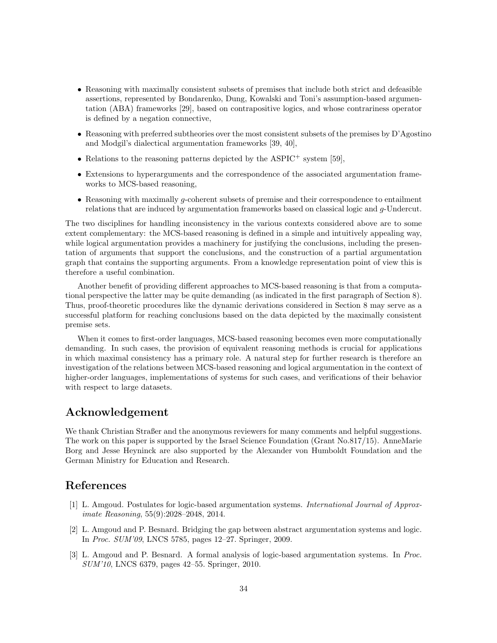- Reasoning with maximally consistent subsets of premises that include both strict and defeasible assertions, represented by Bondarenko, Dung, Kowalski and Toni's assumption-based argumentation (ABA) frameworks [29], based on contrapositive logics, and whose contrariness operator is defined by a negation connective,
- Reasoning with preferred subtheories over the most consistent subsets of the premises by D'Agostino and Modgil's dialectical argumentation frameworks [39, 40],
- Relations to the reasoning patterns depicted by the ASPIC<sup>+</sup> system [59],
- Extensions to hyperarguments and the correspondence of the associated argumentation frameworks to MCS-based reasoning,
- Reasoning with maximally g-coherent subsets of premise and their correspondence to entailment relations that are induced by argumentation frameworks based on classical logic and g-Undercut.

The two disciplines for handling inconsistency in the various contexts considered above are to some extent complementary: the MCS-based reasoning is defined in a simple and intuitively appealing way, while logical argumentation provides a machinery for justifying the conclusions, including the presentation of arguments that support the conclusions, and the construction of a partial argumentation graph that contains the supporting arguments. From a knowledge representation point of view this is therefore a useful combination.

Another benefit of providing different approaches to MCS-based reasoning is that from a computational perspective the latter may be quite demanding (as indicated in the first paragraph of Section 8). Thus, proof-theoretic procedures like the dynamic derivations considered in Section 8 may serve as a successful platform for reaching conclusions based on the data depicted by the maximally consistent premise sets.

When it comes to first-order languages, MCS-based reasoning becomes even more computationally demanding. In such cases, the provision of equivalent reasoning methods is crucial for applications in which maximal consistency has a primary role. A natural step for further research is therefore an investigation of the relations between MCS-based reasoning and logical argumentation in the context of higher-order languages, implementations of systems for such cases, and verifications of their behavior with respect to large datasets.

# Acknowledgement

We thank Christian Straßer and the anonymous reviewers for many comments and helpful suggestions. The work on this paper is supported by the Israel Science Foundation (Grant No.817/15). AnneMarie Borg and Jesse Heyninck are also supported by the Alexander von Humboldt Foundation and the German Ministry for Education and Research.

## References

- [1] L. Amgoud. Postulates for logic-based argumentation systems. International Journal of Approximate Reasoning, 55(9):2028–2048, 2014.
- [2] L. Amgoud and P. Besnard. Bridging the gap between abstract argumentation systems and logic. In Proc. SUM'09, LNCS 5785, pages 12–27. Springer, 2009.
- [3] L. Amgoud and P. Besnard. A formal analysis of logic-based argumentation systems. In Proc. SUM'10, LNCS 6379, pages 42–55. Springer, 2010.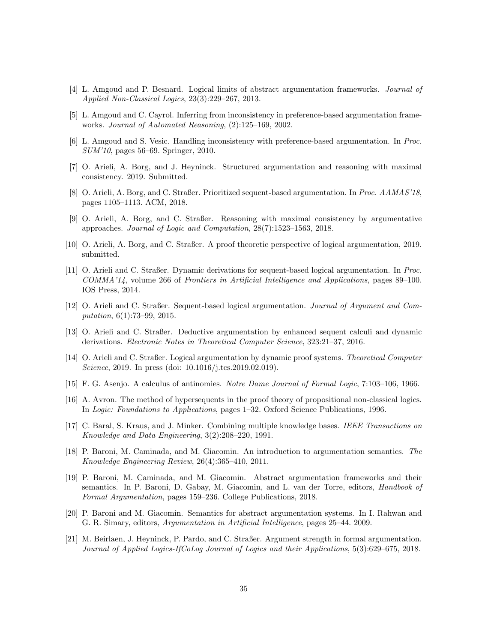- [4] L. Amgoud and P. Besnard. Logical limits of abstract argumentation frameworks. Journal of Applied Non-Classical Logics, 23(3):229–267, 2013.
- [5] L. Amgoud and C. Cayrol. Inferring from inconsistency in preference-based argumentation frameworks. Journal of Automated Reasoning, (2):125–169, 2002.
- [6] L. Amgoud and S. Vesic. Handling inconsistency with preference-based argumentation. In Proc. SUM'10, pages 56–69. Springer, 2010.
- [7] O. Arieli, A. Borg, and J. Heyninck. Structured argumentation and reasoning with maximal consistency. 2019. Submitted.
- [8] O. Arieli, A. Borg, and C. Straßer. Prioritized sequent-based argumentation. In Proc. AAMAS'18, pages 1105–1113. ACM, 2018.
- [9] O. Arieli, A. Borg, and C. Straßer. Reasoning with maximal consistency by argumentative approaches. Journal of Logic and Computation, 28(7):1523–1563, 2018.
- [10] O. Arieli, A. Borg, and C. Straßer. A proof theoretic perspective of logical argumentation, 2019. submitted.
- [11] O. Arieli and C. Straßer. Dynamic derivations for sequent-based logical argumentation. In Proc. COMMA'14, volume 266 of Frontiers in Artificial Intelligence and Applications, pages 89–100. IOS Press, 2014.
- [12] O. Arieli and C. Straßer. Sequent-based logical argumentation. Journal of Argument and Computation, 6(1):73–99, 2015.
- [13] O. Arieli and C. Straßer. Deductive argumentation by enhanced sequent calculi and dynamic derivations. Electronic Notes in Theoretical Computer Science, 323:21–37, 2016.
- [14] O. Arieli and C. Straßer. Logical argumentation by dynamic proof systems. Theoretical Computer Science, 2019. In press (doi: 10.1016/j.tcs.2019.02.019).
- [15] F. G. Asenjo. A calculus of antinomies. Notre Dame Journal of Formal Logic, 7:103–106, 1966.
- [16] A. Avron. The method of hypersequents in the proof theory of propositional non-classical logics. In Logic: Foundations to Applications, pages 1–32. Oxford Science Publications, 1996.
- [17] C. Baral, S. Kraus, and J. Minker. Combining multiple knowledge bases. IEEE Transactions on Knowledge and Data Engineering, 3(2):208–220, 1991.
- [18] P. Baroni, M. Caminada, and M. Giacomin. An introduction to argumentation semantics. The Knowledge Engineering Review, 26(4):365–410, 2011.
- [19] P. Baroni, M. Caminada, and M. Giacomin. Abstract argumentation frameworks and their semantics. In P. Baroni, D. Gabay, M. Giacomin, and L. van der Torre, editors, Handbook of Formal Argumentation, pages 159–236. College Publications, 2018.
- [20] P. Baroni and M. Giacomin. Semantics for abstract argumentation systems. In I. Rahwan and G. R. Simary, editors, Argumentation in Artificial Intelligence, pages 25–44. 2009.
- [21] M. Beirlaen, J. Heyninck, P. Pardo, and C. Straßer. Argument strength in formal argumentation. Journal of Applied Logics-IfCoLog Journal of Logics and their Applications, 5(3):629–675, 2018.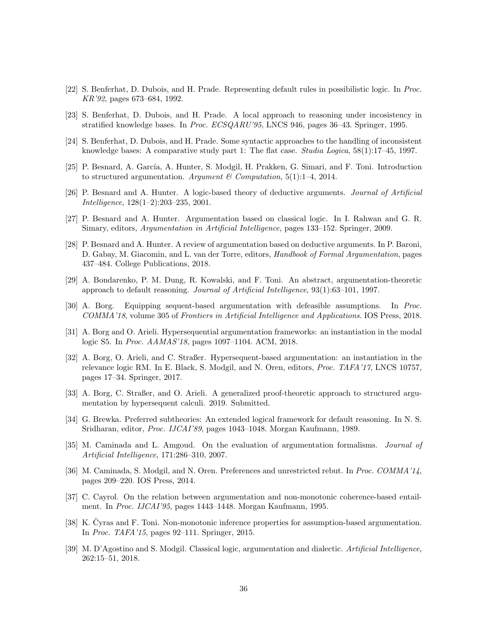- [22] S. Benferhat, D. Dubois, and H. Prade. Representing default rules in possibilistic logic. In Proc. KR'92, pages 673–684, 1992.
- [23] S. Benferhat, D. Dubois, and H. Prade. A local approach to reasoning under incosistency in stratified knowledge bases. In Proc. ECSQARU'95, LNCS 946, pages 36–43. Springer, 1995.
- [24] S. Benferhat, D. Dubois, and H. Prade. Some syntactic approaches to the handling of inconsistent knowledge bases: A comparative study part 1: The flat case. Studia Logica,  $58(1)$ :17-45, 1997.
- [25] P. Besnard, A. García, A. Hunter, S. Modgil, H. Prakken, G. Simari, and F. Toni. Introduction to structured argumentation. Argument & Computation,  $5(1)$ :1-4, 2014.
- [26] P. Besnard and A. Hunter. A logic-based theory of deductive arguments. Journal of Artificial Intelligence, 128(1–2):203–235, 2001.
- [27] P. Besnard and A. Hunter. Argumentation based on classical logic. In I. Rahwan and G. R. Simary, editors, Argumentation in Artificial Intelligence, pages 133–152. Springer, 2009.
- [28] P. Besnard and A. Hunter. A review of argumentation based on deductive arguments. In P. Baroni, D. Gabay, M. Giacomin, and L. van der Torre, editors, Handbook of Formal Argumentation, pages 437–484. College Publications, 2018.
- [29] A. Bondarenko, P. M. Dung, R. Kowalski, and F. Toni. An abstract, argumentation-theoretic approach to default reasoning. Journal of Artificial Intelligence, 93(1):63–101, 1997.
- [30] A. Borg. Equipping sequent-based argumentation with defeasible assumptions. In Proc. COMMA'18, volume 305 of Frontiers in Artificial Intelligence and Applications. IOS Press, 2018.
- [31] A. Borg and O. Arieli. Hypersequential argumentation frameworks: an instantiation in the modal logic S5. In Proc. AAMAS'18, pages 1097–1104. ACM, 2018.
- [32] A. Borg, O. Arieli, and C. Straßer. Hypersequent-based argumentation: an instantiation in the relevance logic RM. In E. Black, S. Modgil, and N. Oren, editors, Proc. TAFA'17, LNCS 10757, pages 17–34. Springer, 2017.
- [33] A. Borg, C. Straßer, and O. Arieli. A generalized proof-theoretic approach to structured argumentation by hypersequent calculi. 2019. Submitted.
- [34] G. Brewka. Preferred subtheories: An extended logical framework for default reasoning. In N. S. Sridharan, editor, Proc. IJCAI'89, pages 1043–1048. Morgan Kaufmann, 1989.
- [35] M. Caminada and L. Amgoud. On the evaluation of argumentation formalisms. Journal of Artificial Intelligence, 171:286–310, 2007.
- [36] M. Caminada, S. Modgil, and N. Oren. Preferences and unrestricted rebut. In Proc. COMMA'14, pages 209–220. IOS Press, 2014.
- [37] C. Cayrol. On the relation between argumentation and non-monotonic coherence-based entailment. In Proc. IJCAI'95, pages 1443–1448. Morgan Kaufmann, 1995.
- [38] K. Cyras and F. Toni. Non-monotonic inference properties for assumption-based argumentation. In Proc. TAFA'15, pages 92–111. Springer, 2015.
- [39] M. D'Agostino and S. Modgil. Classical logic, argumentation and dialectic. Artificial Intelligence, 262:15–51, 2018.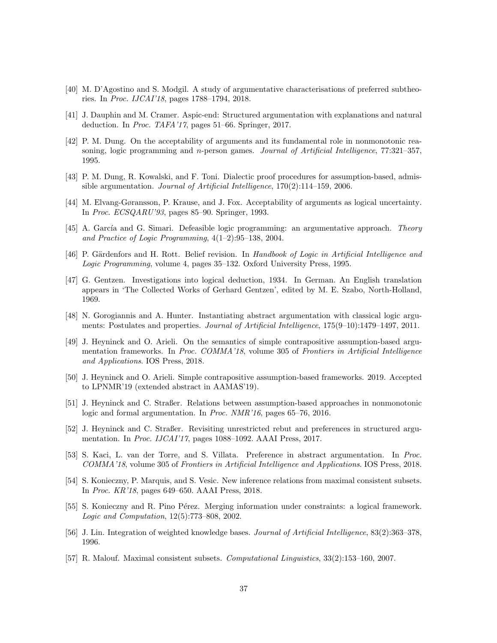- [40] M. D'Agostino and S. Modgil. A study of argumentative characterisations of preferred subtheories. In Proc. IJCAI'18, pages 1788–1794, 2018.
- [41] J. Dauphin and M. Cramer. Aspic-end: Structured argumentation with explanations and natural deduction. In Proc. TAFA'17, pages 51–66. Springer, 2017.
- [42] P. M. Dung. On the acceptability of arguments and its fundamental role in nonmonotonic reasoning, logic programming and n-person games. Journal of Artificial Intelligence, 77:321-357, 1995.
- [43] P. M. Dung, R. Kowalski, and F. Toni. Dialectic proof procedures for assumption-based, admissible argumentation. Journal of Artificial Intelligence, 170(2):114–159, 2006.
- [44] M. Elvang-Gøransson, P. Krause, and J. Fox. Acceptability of arguments as logical uncertainty. In Proc. ECSQARU'93, pages 85–90. Springer, 1993.
- [45] A. García and G. Simari. Defeasible logic programming: an argumentative approach. Theory and Practice of Logic Programming, 4(1–2):95–138, 2004.
- [46] P. Gärdenfors and H. Rott. Belief revision. In Handbook of Logic in Artificial Intelligence and Logic Programming, volume 4, pages 35–132. Oxford University Press, 1995.
- [47] G. Gentzen. Investigations into logical deduction, 1934. In German. An English translation appears in 'The Collected Works of Gerhard Gentzen', edited by M. E. Szabo, North-Holland, 1969.
- [48] N. Gorogiannis and A. Hunter. Instantiating abstract argumentation with classical logic arguments: Postulates and properties. Journal of Artificial Intelligence, 175(9–10):1479–1497, 2011.
- [49] J. Heyninck and O. Arieli. On the semantics of simple contrapositive assumption-based argumentation frameworks. In Proc. COMMA'18, volume 305 of Frontiers in Artificial Intelligence and Applications. IOS Press, 2018.
- [50] J. Heyninck and O. Arieli. Simple contrapositive assumption-based frameworks. 2019. Accepted to LPNMR'19 (extended abstract in AAMAS'19).
- [51] J. Heyninck and C. Straßer. Relations between assumption-based approaches in nonmonotonic logic and formal argumentation. In Proc. NMR'16, pages 65–76, 2016.
- [52] J. Heyninck and C. Straßer. Revisiting unrestricted rebut and preferences in structured argumentation. In Proc. IJCAI'17, pages 1088–1092. AAAI Press, 2017.
- [53] S. Kaci, L. van der Torre, and S. Villata. Preference in abstract argumentation. In Proc. COMMA'18, volume 305 of Frontiers in Artificial Intelligence and Applications. IOS Press, 2018.
- [54] S. Konieczny, P. Marquis, and S. Vesic. New inference relations from maximal consistent subsets. In Proc. KR'18, pages 649–650. AAAI Press, 2018.
- [55] S. Konieczny and R. Pino Pérez. Merging information under constraints: a logical framework. Logic and Computation, 12(5):773–808, 2002.
- [56] J. Lin. Integration of weighted knowledge bases. Journal of Artificial Intelligence, 83(2):363–378, 1996.
- [57] R. Malouf. Maximal consistent subsets. Computational Linguistics, 33(2):153–160, 2007.